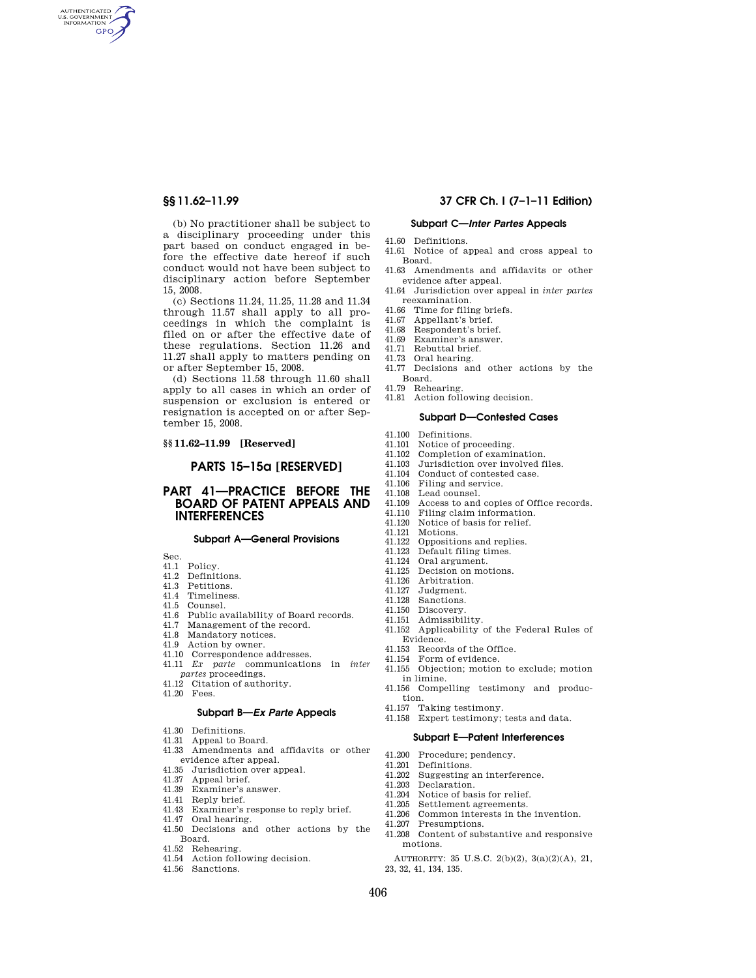AUTHENTICATED<br>U.S. GOVERNMENT<br>INFORMATION **GPO** 

> (b) No practitioner shall be subject to a disciplinary proceeding under this part based on conduct engaged in before the effective date hereof if such conduct would not have been subject to disciplinary action before September 15, 2008.

> (c) Sections 11.24, 11.25, 11.28 and 11.34 through 11.57 shall apply to all proceedings in which the complaint is filed on or after the effective date of these regulations. Section 11.26 and 11.27 shall apply to matters pending on or after September 15, 2008.

> (d) Sections 11.58 through 11.60 shall apply to all cases in which an order of suspension or exclusion is entered or resignation is accepted on or after September 15, 2008.

#### **§§ 11.62–11.99 [Reserved]**

### **PARTS 15–15a [RESERVED]**

# **PART 41—PRACTICE BEFORE THE BOARD OF PATENT APPEALS AND INTERFERENCES**

#### **Subpart A—General Provisions**

Sec.

- 41.1 Policy.
- 41.2 Definitions.
- 41.3 Petitions.
- 41.4 Timeliness.
- 41.5 Counsel.
- 41.6 Public availability of Board records.
- 41.7 Management of the record.
- 41.8 Mandatory notices.
- 41.9 Action by owner.
- 41.10 Correspondence addresses. 41.11 *Ex parte* communications in *inter*
- *partes* proceedings. 41.12 Citation of authority.
- 41.20 Fees.

# **Subpart B—***Ex Parte* **Appeals**

- 41.30 Definitions.
- 41.31 Appeal to Board.
- 41.33 Amendments and affidavits or other evidence after appeal.
- 41.35 Jurisdiction over appeal.
- 41.37 Appeal brief.
- 41.39 Examiner's answer.
- 41.41 Reply brief.
- 41.43 Examiner's response to reply brief.
- 41.47 Oral hearing.
- 41.50 Decisions and other actions by the Board.
- 41.52 Rehearing.
- 41.54 Action following decision.
- 41.56 Sanctions.

#### **§§ 11.62–11.99 37 CFR Ch. I (7–1–11 Edition)**

#### **Subpart C—***Inter Partes* **Appeals**

- 41.60 Definitions. 41.61 Notice of appeal and cross appeal to
- Board. 41.63 Amendments and affidavits or other
- evidence after appeal.
- 41.64 Jurisdiction over appeal in *inter partes*  reexamination.
- 41.66 Time for filing briefs.
- 41.67 Appellant's brief.
- 41.68 Respondent's brief.
- 41.69 Examiner's answer.
- 41.71 Rebuttal brief.
- 41.73 Oral hearing.
- 41.77 Decisions and other actions by the Board.
- 41.79 Rehearing.
- 41.81 Action following decision.

#### **Subpart D—Contested Cases**

- 41.100 Definitions.
- 41.101 Notice of proceeding.
- 41.102 Completion of examination.<br>41.103 Jurisdiction over involved f
- 41.103 Jurisdiction over involved files.
- 41.104 Conduct of contested case.<br>41.106 Filing and service. Filing and service.
- 
- 41.108 Lead counsel.<br>41.109 Access to and 41.109 Access to and copies of Office records.<br>41.110 Filing claim information.
- 41.110 Filing claim information.<br>41.120 Notice of basis for relief.
- Notice of basis for relief.
- 41.121 Motions.<br>41.122 Opposition
- Oppositions and replies.
- 41.123 Default filing times.<br>41.124 Oral argument.
- Oral argument.
- 41.125 Decision on motions.
- 41.126 Arbitration.<br>41.127 Judgment.
- Judgment.
- 41.128 Sanctions.
- 41.150 Discovery.
- 41.151 Admissibility.
- 41.152 Applicability of the Federal Rules of Evidence.
- 41.153 Records of the Office. 41.154 Form of evidence.
- 
- 41.155 Objection; motion to exclude; motion in limine. 41.156 Compelling testimony and produc-
- tion.
- 41.157 Taking testimony.
- 41.158 Expert testimony; tests and data.

#### **Subpart E—Patent Interferences**

- 41.200 Procedure; pendency.
- 41.201 Definitions.
- 41.202 Suggesting an interference.
- 41.203 Declaration.<br>41.204 Notice of bas
- Notice of basis for relief.
- 41.205 Settlement agreements.
- Common interests in the invention.
- 41.207 Presumptions.
- 41.208 Content of substantive and responsive motions.

AUTHORITY: 35 U.S.C. 2(b)(2), 3(a)(2)(A), 21, 23, 32, 41, 134, 135.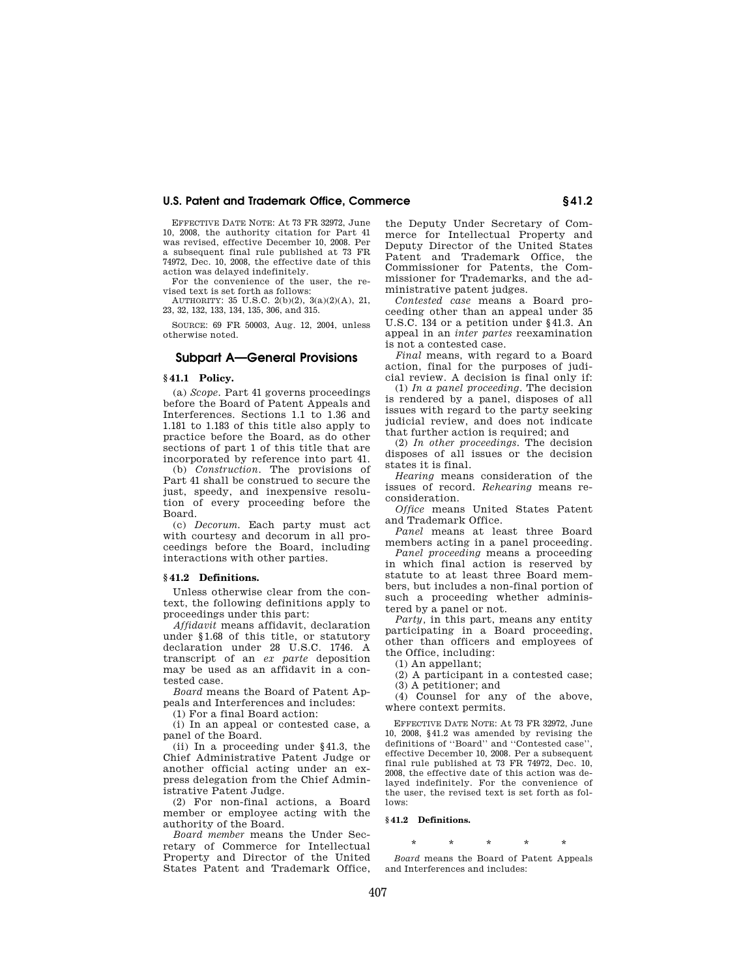EFFECTIVE DATE NOTE: At 73 FR 32972, June 10, 2008, the authority citation for Part 41 was revised, effective December 10, 2008. Per a subsequent final rule published at 73 FR 74972, Dec. 10, 2008, the effective date of this action was delayed indefinitely.

For the convenience of the user, the revised text is set forth as follows:

AUTHORITY:  $35 \text{ U.S.C. } 2(b)(2), 3(a)(2)(A), 21,$ 23, 32, 132, 133, 134, 135, 306, and 315.

SOURCE: 69 FR 50003, Aug. 12, 2004, unless otherwise noted.

#### **Subpart A—General Provisions**

#### **§ 41.1 Policy.**

(a) *Scope*. Part 41 governs proceedings before the Board of Patent Appeals and Interferences. Sections 1.1 to 1.36 and 1.181 to 1.183 of this title also apply to practice before the Board, as do other sections of part 1 of this title that are incorporated by reference into part 41.

(b) *Construction*. The provisions of Part 41 shall be construed to secure the just, speedy, and inexpensive resolution of every proceeding before the Board.

(c) *Decorum*. Each party must act with courtesy and decorum in all proceedings before the Board, including interactions with other parties.

#### **§ 41.2 Definitions.**

Unless otherwise clear from the context, the following definitions apply to proceedings under this part:

*Affidavit* means affidavit, declaration under §1.68 of this title, or statutory declaration under 28 U.S.C. 1746. A transcript of an *ex parte* deposition may be used as an affidavit in a contested case.

*Board* means the Board of Patent Appeals and Interferences and includes:

(1) For a final Board action:

(i) In an appeal or contested case, a panel of the Board.

(ii) In a proceeding under §41.3, the Chief Administrative Patent Judge or another official acting under an express delegation from the Chief Administrative Patent Judge.

(2) For non-final actions, a Board member or employee acting with the authority of the Board.

*Board member* means the Under Secretary of Commerce for Intellectual Property and Director of the United States Patent and Trademark Office, the Deputy Under Secretary of Commerce for Intellectual Property and Deputy Director of the United States Patent and Trademark Office, the Commissioner for Patents, the Commissioner for Trademarks, and the administrative patent judges.

*Contested case* means a Board proceeding other than an appeal under 35 U.S.C. 134 or a petition under §41.3. An appeal in an *inter partes* reexamination is not a contested case.

*Final* means, with regard to a Board action, final for the purposes of judicial review. A decision is final only if:

(1) *In a panel proceeding*. The decision is rendered by a panel, disposes of all issues with regard to the party seeking judicial review, and does not indicate that further action is required; and

(2) *In other proceedings*. The decision disposes of all issues or the decision states it is final.

*Hearing* means consideration of the issues of record. *Rehearing* means reconsideration.

*Office* means United States Patent and Trademark Office.

*Panel* means at least three Board members acting in a panel proceeding.

*Panel proceeding* means a proceeding in which final action is reserved by statute to at least three Board members, but includes a non-final portion of such a proceeding whether administered by a panel or not.

*Party,* in this part, means any entity participating in a Board proceeding, other than officers and employees of the Office, including:

(1) An appellant;

(2) A participant in a contested case; (3) A petitioner; and

(4) Counsel for any of the above, where context permits.

EFFECTIVE DATE NOTE: At 73 FR 32972, June 10, 2008, §41.2 was amended by revising the definitions of ''Board'' and ''Contested case'', effective December 10, 2008. Per a subsequent final rule published at 73 FR 74972, Dec. 10, 2008, the effective date of this action was delayed indefinitely. For the convenience of the user, the revised text is set forth as follows:

### **§ 41.2 Definitions.**

#### \* \* \* \* \*

*Board* means the Board of Patent Appeals and Interferences and includes: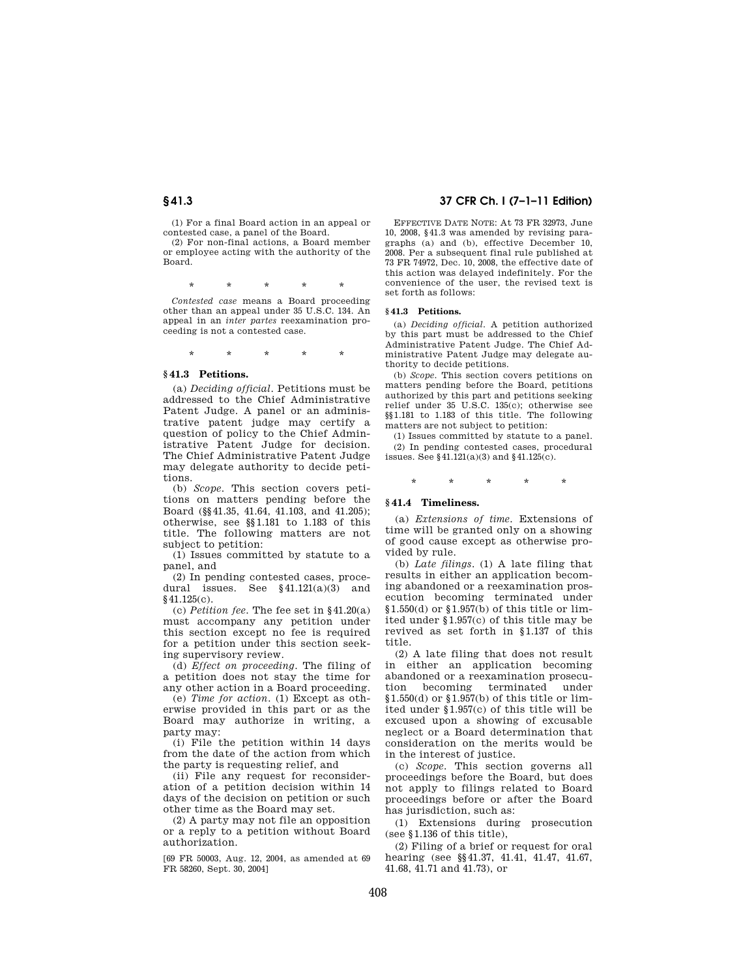(1) For a final Board action in an appeal or contested case, a panel of the Board.

(2) For non-final actions, a Board member or employee acting with the authority of the Board.

\* \* \* \* \*

*Contested case* means a Board proceeding other than an appeal under 35 U.S.C. 134. An appeal in an *inter partes* reexamination proceeding is not a contested case.

\* \* \* \* \*

#### **§ 41.3 Petitions.**

(a) *Deciding official*. Petitions must be addressed to the Chief Administrative Patent Judge. A panel or an administrative patent judge may certify a question of policy to the Chief Administrative Patent Judge for decision. The Chief Administrative Patent Judge may delegate authority to decide petitions.

(b) *Scope*. This section covers petitions on matters pending before the Board (§§41.35, 41.64, 41.103, and 41.205); otherwise, see §§1.181 to 1.183 of this title. The following matters are not subject to petition:

(1) Issues committed by statute to a panel, and

(2) In pending contested cases, procedural issues. See §41.121(a)(3) and §41.125(c).

(c) *Petition fee*. The fee set in §41.20(a) must accompany any petition under this section except no fee is required for a petition under this section seeking supervisory review.

(d) *Effect on proceeding*. The filing of a petition does not stay the time for any other action in a Board proceeding.

(e) *Time for action.* (1) Except as otherwise provided in this part or as the Board may authorize in writing, a party may:

(i) File the petition within 14 days from the date of the action from which the party is requesting relief, and

(ii) File any request for reconsideration of a petition decision within 14 days of the decision on petition or such other time as the Board may set.

(2) A party may not file an opposition or a reply to a petition without Board authorization.

[69 FR 50003, Aug. 12, 2004, as amended at 69 FR 58260, Sept. 30, 2004]

### **§ 41.3 37 CFR Ch. I (7–1–11 Edition)**

EFFECTIVE DATE NOTE: At 73 FR 32973, June 10, 2008, §41.3 was amended by revising paragraphs (a) and (b), effective December 10, 2008. Per a subsequent final rule published at 73 FR 74972, Dec. 10, 2008, the effective date of this action was delayed indefinitely. For the convenience of the user, the revised text is set forth as follows:

#### **§ 41.3 Petitions.**

(a) *Deciding official.* A petition authorized by this part must be addressed to the Chief Administrative Patent Judge. The Chief Administrative Patent Judge may delegate authority to decide petitions.

(b) *Scope.* This section covers petitions on matters pending before the Board, petitions authorized by this part and petitions seeking relief under 35 U.S.C. 135(c); otherwise see §§1.181 to 1.183 of this title. The following matters are not subject to petition:

(1) Issues committed by statute to a panel. (2) In pending contested cases, procedural issues. See §41.121(a)(3) and §41.125(c).

\* \* \* \* \*

### **§ 41.4 Timeliness.**

(a) *Extensions of time*. Extensions of time will be granted only on a showing of good cause except as otherwise provided by rule.

(b) *Late filings*. (1) A late filing that results in either an application becoming abandoned or a reexamination prosecution becoming terminated under §1.550(d) or §1.957(b) of this title or limited under §1.957(c) of this title may be revived as set forth in §1.137 of this title.

(2) A late filing that does not result in either an application becoming abandoned or a reexamination prosecution becoming terminated under  $§1.550(d)$  or  $§1.957(b)$  of this title or limited under §1.957(c) of this title will be excused upon a showing of excusable neglect or a Board determination that consideration on the merits would be in the interest of justice.

(c) *Scope*. This section governs all proceedings before the Board, but does not apply to filings related to Board proceedings before or after the Board has jurisdiction, such as:

(1) Extensions during prosecution (see §1.136 of this title),

(2) Filing of a brief or request for oral hearing (see §§41.37, 41.41, 41.47, 41.67, 41.68, 41.71 and 41.73), or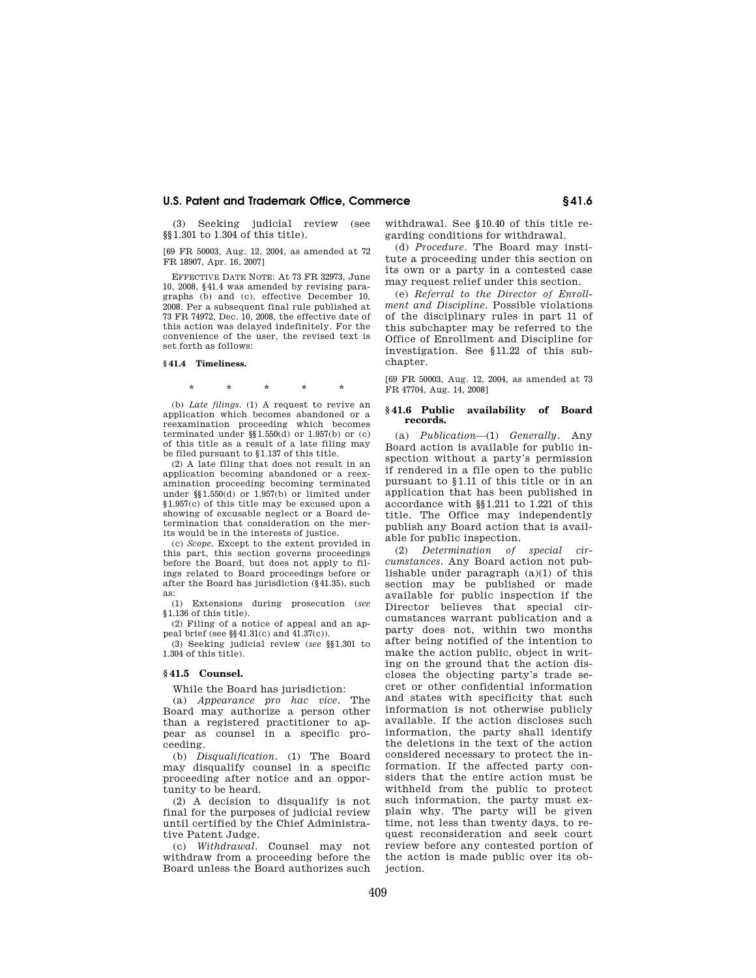(3) Seeking judicial review (see §§1.301 to 1.304 of this title).

[69 FR 50003, Aug. 12, 2004, as amended at 72 FR 18907, Apr. 16, 2007]

EFFECTIVE DATE NOTE: At 73 FR 32973, June 10, 2008, §41.4 was amended by revising paragraphs (b) and (c), effective December 10, 2008. Per a subsequent final rule published at 73 FR 74972, Dec. 10, 2008, the effective date of this action was delayed indefinitely. For the convenience of the user, the revised text is set forth as follows:

#### **§ 41.4 Timeliness.**

\* \* \* \* \*

(b) *Late filings.* (1) A request to revive an application which becomes abandoned or a reexamination proceeding which becomes terminated under  $\S$ 1.550(d) or 1.957(b) or (c) of this title as a result of a late filing may be filed pursuant to §1.137 of this title.

(2) A late filing that does not result in an application becoming abandoned or a reexamination proceeding becoming terminated under §§1.550(d) or 1.957(b) or limited under §1.957(c) of this title may be excused upon a showing of excusable neglect or a Board determination that consideration on the merits would be in the interests of justice.

(c) *Scope.* Except to the extent provided in this part, this section governs proceedings before the Board, but does not apply to filings related to Board proceedings before or after the Board has jurisdiction (§41.35), such as:

(1) Extensions during prosecution (*see*  §1.136 of this title).

(2) Filing of a notice of appeal and an appeal brief (see  $\S$  $41.31(c)$  and  $41.37(c)$ ).

(3) Seeking judicial review (*see* §§1.301 to 1.304 of this title).

#### **§ 41.5 Counsel.**

While the Board has jurisdiction:

(a) *Appearance pro hac vice*. The Board may authorize a person other than a registered practitioner to appear as counsel in a specific proceeding.

(b) *Disqualification*. (1) The Board may disqualify counsel in a specific proceeding after notice and an opportunity to be heard.

(2) A decision to disqualify is not final for the purposes of judicial review until certified by the Chief Administrative Patent Judge.

(c) *Withdrawal*. Counsel may not withdraw from a proceeding before the Board unless the Board authorizes such withdrawal. See §10.40 of this title regarding conditions for withdrawal.

(d) *Procedure*. The Board may institute a proceeding under this section on its own or a party in a contested case may request relief under this section.

(e) *Referral to the Director of Enrollment and Discipline.* Possible violations of the disciplinary rules in part 11 of this subchapter may be referred to the Office of Enrollment and Discipline for investigation. See §11.22 of this subchapter.

[69 FR 50003, Aug. 12, 2004, as amended at 73 FR 47704, Aug. 14, 2008]

#### **§ 41.6 Public availability of Board records.**

(a) *Publication*—(1) *Generally*. Any Board action is available for public inspection without a party's permission if rendered in a file open to the public pursuant to §1.11 of this title or in an application that has been published in accordance with §§1.211 to 1.221 of this title. The Office may independently publish any Board action that is available for public inspection.

(2) *Determination of special circumstances*. Any Board action not publishable under paragraph (a)(1) of this section may be published or made available for public inspection if the Director believes that special circumstances warrant publication and a party does not, within two months after being notified of the intention to make the action public, object in writing on the ground that the action discloses the objecting party's trade secret or other confidential information and states with specificity that such information is not otherwise publicly available. If the action discloses such information, the party shall identify the deletions in the text of the action considered necessary to protect the information. If the affected party considers that the entire action must be withheld from the public to protect such information, the party must explain why. The party will be given time, not less than twenty days, to request reconsideration and seek court review before any contested portion of the action is made public over its objection.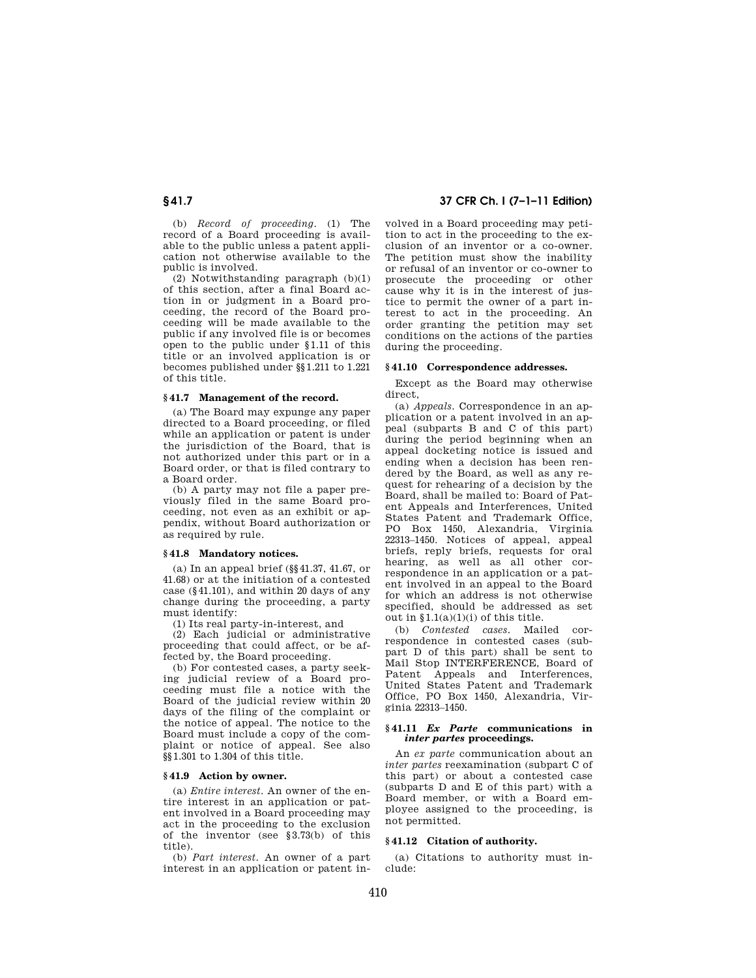(b) *Record of proceeding*. (1) The record of a Board proceeding is available to the public unless a patent application not otherwise available to the public is involved.

(2) Notwithstanding paragraph (b)(1) of this section, after a final Board action in or judgment in a Board proceeding, the record of the Board proceeding will be made available to the public if any involved file is or becomes open to the public under §1.11 of this title or an involved application is or becomes published under §§1.211 to 1.221 of this title.

#### **§ 41.7 Management of the record.**

(a) The Board may expunge any paper directed to a Board proceeding, or filed while an application or patent is under the jurisdiction of the Board, that is not authorized under this part or in a Board order, or that is filed contrary to a Board order.

(b) A party may not file a paper previously filed in the same Board proceeding, not even as an exhibit or appendix, without Board authorization or as required by rule.

#### **§ 41.8 Mandatory notices.**

(a) In an appeal brief (§§41.37, 41.67, or 41.68) or at the initiation of a contested case (§41.101), and within 20 days of any change during the proceeding, a party must identify:

(1) Its real party-in-interest, and

(2) Each judicial or administrative proceeding that could affect, or be affected by, the Board proceeding.

(b) For contested cases, a party seeking judicial review of a Board proceeding must file a notice with the Board of the judicial review within 20 days of the filing of the complaint or the notice of appeal. The notice to the Board must include a copy of the complaint or notice of appeal. See also §§1.301 to 1.304 of this title.

#### **§ 41.9 Action by owner.**

(a) *Entire interest*. An owner of the entire interest in an application or patent involved in a Board proceeding may act in the proceeding to the exclusion of the inventor (see §3.73(b) of this title).

(b) *Part interest*. An owner of a part interest in an application or patent in-

## **§ 41.7 37 CFR Ch. I (7–1–11 Edition)**

volved in a Board proceeding may petition to act in the proceeding to the exclusion of an inventor or a co-owner. The petition must show the inability or refusal of an inventor or co-owner to prosecute the proceeding or other cause why it is in the interest of justice to permit the owner of a part interest to act in the proceeding. An order granting the petition may set conditions on the actions of the parties during the proceeding.

#### **§ 41.10 Correspondence addresses.**

Except as the Board may otherwise direct,

(a) *Appeals*. Correspondence in an application or a patent involved in an appeal (subparts B and C of this part) during the period beginning when an appeal docketing notice is issued and ending when a decision has been rendered by the Board, as well as any request for rehearing of a decision by the Board, shall be mailed to: Board of Patent Appeals and Interferences, United States Patent and Trademark Office, PO Box 1450, Alexandria, Virginia 22313–1450. Notices of appeal, appeal briefs, reply briefs, requests for oral hearing, as well as all other correspondence in an application or a patent involved in an appeal to the Board for which an address is not otherwise specified, should be addressed as set out in  $\S1.1(a)(1)(i)$  of this title.

(b) *Contested cases*. Mailed correspondence in contested cases (subpart D of this part) shall be sent to Mail Stop INTERFERENCE, Board of Patent Appeals and Interferences, United States Patent and Trademark Office, PO Box 1450, Alexandria, Virginia 22313–1450.

#### **§ 41.11** *Ex Parte* **communications in**  *inter partes* **proceedings.**

An *ex parte* communication about an *inter partes* reexamination (subpart C of this part) or about a contested case (subparts D and E of this part) with a Board member, or with a Board employee assigned to the proceeding, is not permitted.

### **§ 41.12 Citation of authority.**

(a) Citations to authority must include: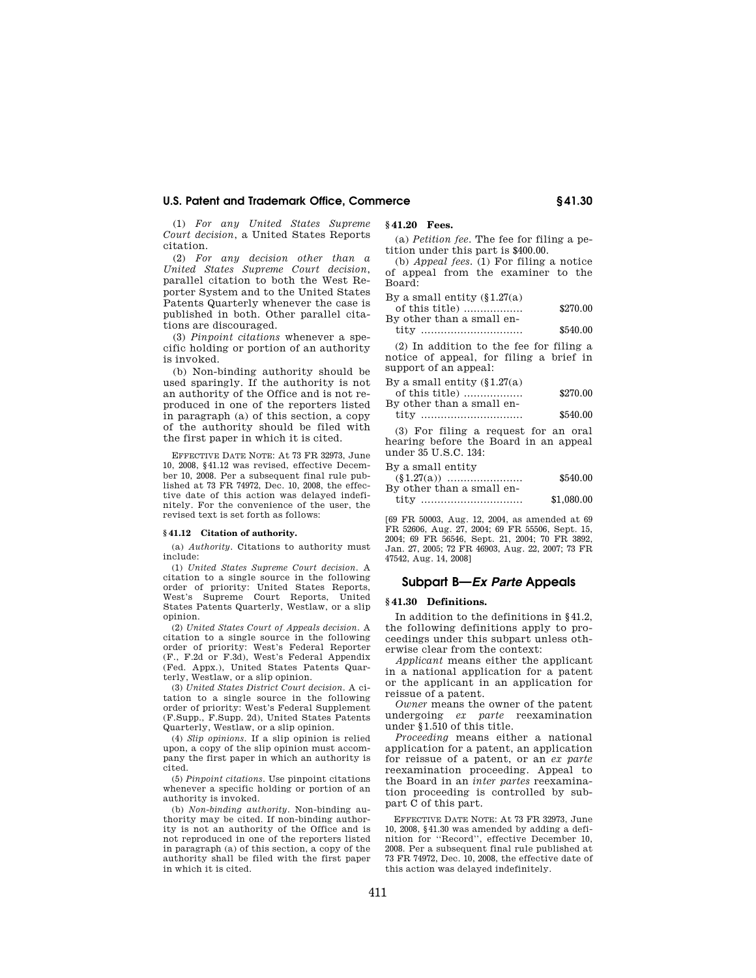(1) *For any United States Supreme Court decision*, a United States Reports citation.

(2) *For any decision other than a United States Supreme Court decision*, parallel citation to both the West Reporter System and to the United States Patents Quarterly whenever the case is published in both. Other parallel citations are discouraged.

(3) *Pinpoint citations* whenever a specific holding or portion of an authority is invoked.

(b) Non-binding authority should be used sparingly. If the authority is not an authority of the Office and is not reproduced in one of the reporters listed in paragraph (a) of this section, a copy of the authority should be filed with the first paper in which it is cited.

EFFECTIVE DATE NOTE: At 73 FR 32973, June 10, 2008, §41.12 was revised, effective December 10, 2008. Per a subsequent final rule published at 73 FR 74972, Dec. 10, 2008, the effective date of this action was delayed indefinitely. For the convenience of the user, the revised text is set forth as follows:

#### **§ 41.12 Citation of authority.**

(a) *Authority.* Citations to authority must include:

(1) *United States Supreme Court decision.* A citation to a single source in the following order of priority: United States Reports, West's Supreme Court Reports, United States Patents Quarterly, Westlaw, or a slip opinion.

(2) *United States Court of Appeals decision.* A citation to a single source in the following order of priority: West's Federal Reporter (F., F.2d or F.3d), West's Federal Appendix (Fed. Appx.), United States Patents Quarterly, Westlaw, or a slip opinion.

(3) *United States District Court decision.* A citation to a single source in the following order of priority: West's Federal Supplement (F.Supp., F.Supp. 2d), United States Patents Quarterly, Westlaw, or a slip opinion.

(4) *Slip opinions.* If a slip opinion is relied upon, a copy of the slip opinion must accompany the first paper in which an authority is cited.

(5) *Pinpoint citations.* Use pinpoint citations whenever a specific holding or portion of an authority is invoked.

(b) *Non-binding authority.* Non-binding authority may be cited. If non-binding authority is not an authority of the Office and is not reproduced in one of the reporters listed in paragraph (a) of this section, a copy of the authority shall be filed with the first paper in which it is cited.

**§ 41.20 Fees.** 

(a) *Petition fee*. The fee for filing a petition under this part is \$400.00.

(b) *Appeal fees.* (1) For filing a notice of appeal from the examiner to the Board:

By a small entity  $(\S1.27(a))$ 

| of this title)            | \$270.00 |
|---------------------------|----------|
| By other than a small en- |          |
| tity                      | \$540.00 |

(2) In addition to the fee for filing a notice of appeal, for filing a brief in support of an appeal:

By a small entity  $(\S1.27(a))$ 

| of this title)            | \$270.00 |
|---------------------------|----------|
| By other than a small en- |          |
|                           |          |

| tity |  | \$540.00 |
|------|--|----------|
|------|--|----------|

(3) For filing a request for an oral hearing before the Board in an appeal under 35 U.S.C. 134: By a small entity

| D'A & DIH&II CHAIA'A      |            |
|---------------------------|------------|
|                           | \$540.00   |
| By other than a small en- |            |
|                           | $$ $00000$ |

| tity | <br>\$1,080.00 |
|------|----------------|
|      |                |

[69 FR 50003, Aug. 12, 2004, as amended at 69 FR 52606, Aug. 27, 2004; 69 FR 55506, Sept. 15, 2004; 69 FR 56546, Sept. 21, 2004; 70 FR 3892, Jan. 27, 2005; 72 FR 46903, Aug. 22, 2007; 73 FR 47542, Aug. 14, 2008]

#### **Subpart B—***Ex Parte* **Appeals**

#### **§ 41.30 Definitions.**

In addition to the definitions in §41.2, the following definitions apply to proceedings under this subpart unless otherwise clear from the context:

*Applicant* means either the applicant in a national application for a patent or the applicant in an application for reissue of a patent.

*Owner* means the owner of the patent undergoing *ex parte* reexamination under §1.510 of this title.

*Proceeding* means either a national application for a patent, an application for reissue of a patent, or an *ex parte*  reexamination proceeding. Appeal to the Board in an *inter partes* reexamination proceeding is controlled by subpart C of this part.

EFFECTIVE DATE NOTE: At 73 FR 32973, June 10, 2008, §41.30 was amended by adding a definition for ''Record'', effective December 10, 2008. Per a subsequent final rule published at 73 FR 74972, Dec. 10, 2008, the effective date of this action was delayed indefinitely.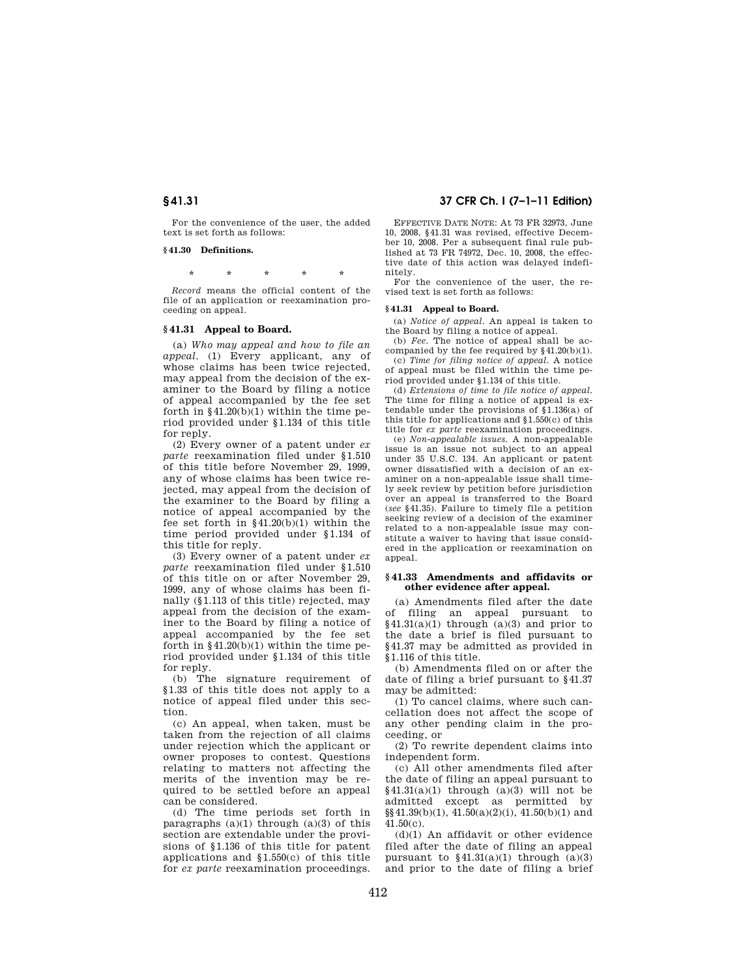For the convenience of the user, the added text is set forth as follows:

#### **§ 41.30 Definitions.**

\* \* \* \* \*

*Record* means the official content of the file of an application or reexamination proceeding on appeal.

#### **§ 41.31 Appeal to Board.**

(a) *Who may appeal and how to file an appeal*. (1) Every applicant, any of whose claims has been twice rejected, may appeal from the decision of the examiner to the Board by filing a notice of appeal accompanied by the fee set forth in §41.20(b)(1) within the time period provided under §1.134 of this title for reply.

(2) Every owner of a patent under *ex parte* reexamination filed under §1.510 of this title before November 29, 1999, any of whose claims has been twice rejected, may appeal from the decision of the examiner to the Board by filing a notice of appeal accompanied by the fee set forth in  $§41.20(b)(1)$  within the time period provided under §1.134 of this title for reply.

(3) Every owner of a patent under *ex parte* reexamination filed under §1.510 of this title on or after November 29, 1999, any of whose claims has been finally (§1.113 of this title) rejected, may appeal from the decision of the examiner to the Board by filing a notice of appeal accompanied by the fee set forth in  $§41.20(b)(1)$  within the time period provided under §1.134 of this title for reply.

(b) The signature requirement of §1.33 of this title does not apply to a notice of appeal filed under this section.

(c) An appeal, when taken, must be taken from the rejection of all claims under rejection which the applicant or owner proposes to contest. Questions relating to matters not affecting the merits of the invention may be required to be settled before an appeal can be considered.

(d) The time periods set forth in paragraphs  $(a)(1)$  through  $(a)(3)$  of this section are extendable under the provisions of §1.136 of this title for patent applications and §1.550(c) of this title for *ex parte* reexamination proceedings.

#### **§ 41.31 37 CFR Ch. I (7–1–11 Edition)**

EFFECTIVE DATE NOTE: At 73 FR 32973, June 10, 2008, §41.31 was revised, effective December 10, 2008. Per a subsequent final rule published at 73 FR 74972, Dec. 10, 2008, the effective date of this action was delayed indefinitely.

For the convenience of the user, the revised text is set forth as follows:

#### **§ 41.31 Appeal to Board.**

(a) *Notice of appeal.* An appeal is taken to the Board by filing a notice of appeal.

(b) *Fee.* The notice of appeal shall be accompanied by the fee required by §41.20(b)(1).

(c) *Time for filing notice of appeal.* A notice of appeal must be filed within the time period provided under §1.134 of this title.

(d) *Extensions of time to file notice of appeal.*  The time for filing a notice of appeal is extendable under the provisions of §1.136(a) of this title for applications and §1.550(c) of this title for *ex parte* reexamination proceedings.

(e) *Non-appealable issues.* A non-appealable issue is an issue not subject to an appeal under 35 U.S.C. 134. An applicant or patent owner dissatisfied with a decision of an examiner on a non-appealable issue shall timely seek review by petition before jurisdiction over an appeal is transferred to the Board (*see* §41.35). Failure to timely file a petition seeking review of a decision of the examiner related to a non-appealable issue may constitute a waiver to having that issue considered in the application or reexamination on appeal.

#### **§ 41.33 Amendments and affidavits or other evidence after appeal.**

(a) Amendments filed after the date<br>of filing an anneal nursuant to filing an appeal pursuant to  $§41.31(a)(1)$  through  $(a)(3)$  and prior to the date a brief is filed pursuant to §41.37 may be admitted as provided in §1.116 of this title.

(b) Amendments filed on or after the date of filing a brief pursuant to §41.37 may be admitted:

(1) To cancel claims, where such cancellation does not affect the scope of any other pending claim in the proceeding, or

(2) To rewrite dependent claims into independent form.

(c) All other amendments filed after the date of filing an appeal pursuant to  $§41.31(a)(1)$  through  $(a)(3)$  will not be admitted except as permitted by  $\S(41.39(b)(1), 41.50(a)(2)(i), 41.50(b)(1)$  and 41.50(c).

 $(d)(1)$  An affidavit or other evidence filed after the date of filing an appeal pursuant to  $§41.31(a)(1)$  through  $(a)(3)$ and prior to the date of filing a brief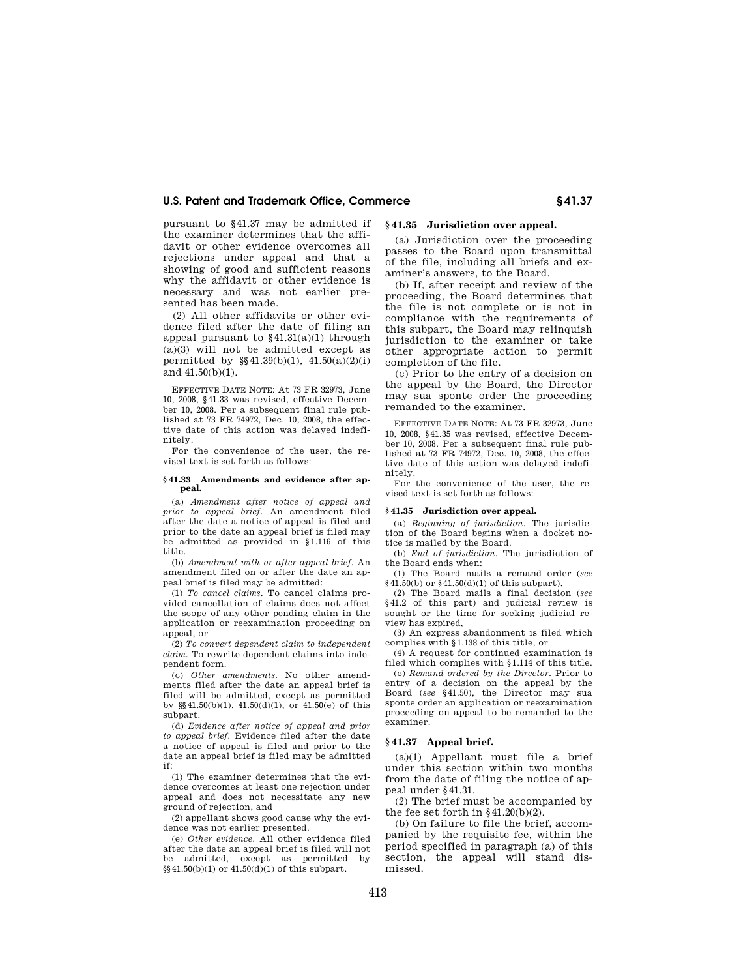pursuant to §41.37 may be admitted if the examiner determines that the affidavit or other evidence overcomes all rejections under appeal and that a showing of good and sufficient reasons why the affidavit or other evidence is necessary and was not earlier presented has been made.

(2) All other affidavits or other evidence filed after the date of filing an appeal pursuant to  $$41.31(a)(1)$  through (a)(3) will not be admitted except as permitted by  $\S(41.39(b)(1), 41.50(a)(2)(i))$ and 41.50(b)(1).

EFFECTIVE DATE NOTE: At 73 FR 32973, June 10, 2008, §41.33 was revised, effective December 10, 2008. Per a subsequent final rule published at 73 FR 74972, Dec. 10, 2008, the effective date of this action was delayed indefinitely.

For the convenience of the user, the revised text is set forth as follows:

#### **§ 41.33 Amendments and evidence after appeal.**

(a) *Amendment after notice of appeal and prior to appeal brief.* An amendment filed after the date a notice of appeal is filed and prior to the date an appeal brief is filed may be admitted as provided in §1.116 of this title.

(b) *Amendment with or after appeal brief.* An amendment filed on or after the date an appeal brief is filed may be admitted:

(1) *To cancel claims.* To cancel claims provided cancellation of claims does not affect the scope of any other pending claim in the application or reexamination proceeding on appeal, or

(2) *To convert dependent claim to independent claim.* To rewrite dependent claims into independent form.

(c) *Other amendments.* No other amendments filed after the date an appeal brief is filed will be admitted, except as permitted by  $\S(41.50(b)(1), 41.50(d)(1), or 41.50(e)$  of this subpart.

(d) *Evidence after notice of appeal and prior to appeal brief.* Evidence filed after the date a notice of appeal is filed and prior to the date an appeal brief is filed may be admitted if:

(1) The examiner determines that the evidence overcomes at least one rejection under appeal and does not necessitate any new ground of rejection, and

(2) appellant shows good cause why the evidence was not earlier presented.

(e) *Other evidence.* All other evidence filed after the date an appeal brief is filed will not be admitted, except as permitted by  $\frac{8}{9}$  41.50(b)(1) or 41.50(d)(1) of this subpart.

#### **§ 41.35 Jurisdiction over appeal.**

(a) Jurisdiction over the proceeding passes to the Board upon transmittal of the file, including all briefs and examiner's answers, to the Board.

(b) If, after receipt and review of the proceeding, the Board determines that the file is not complete or is not in compliance with the requirements of this subpart, the Board may relinquish jurisdiction to the examiner or take other appropriate action to permit completion of the file.

(c) Prior to the entry of a decision on the appeal by the Board, the Director may sua sponte order the proceeding remanded to the examiner.

EFFECTIVE DATE NOTE: At 73 FR 32973, June 10, 2008, §41.35 was revised, effective December 10, 2008. Per a subsequent final rule published at 73 FR 74972, Dec. 10, 2008, the effective date of this action was delayed indefinitely.

For the convenience of the user, the revised text is set forth as follows:

#### **§ 41.35 Jurisdiction over appeal.**

(a) *Beginning of jurisdiction.* The jurisdiction of the Board begins when a docket notice is mailed by the Board.

(b) *End of jurisdiction.* The jurisdiction of the Board ends when:

(1) The Board mails a remand order (*see*   $§41.50(b)$  or  $§41.50(d)(1)$  of this subpart),

(2) The Board mails a final decision (*see*  §41.2 of this part) and judicial review is sought or the time for seeking judicial review has expired,

(3) An express abandonment is filed which complies with §1.138 of this title, or

(4) A request for continued examination is filed which complies with §1.114 of this title.

(c) *Remand ordered by the Director.* Prior to entry of a decision on the appeal by the Board (*see* §41.50), the Director may sua sponte order an application or reexamination proceeding on appeal to be remanded to the examiner.

#### **§ 41.37 Appeal brief.**

(a)(1) Appellant must file a brief under this section within two months from the date of filing the notice of appeal under §41.31.

(2) The brief must be accompanied by the fee set forth in §41.20(b)(2).

(b) On failure to file the brief, accompanied by the requisite fee, within the period specified in paragraph (a) of this section, the appeal will stand dismissed.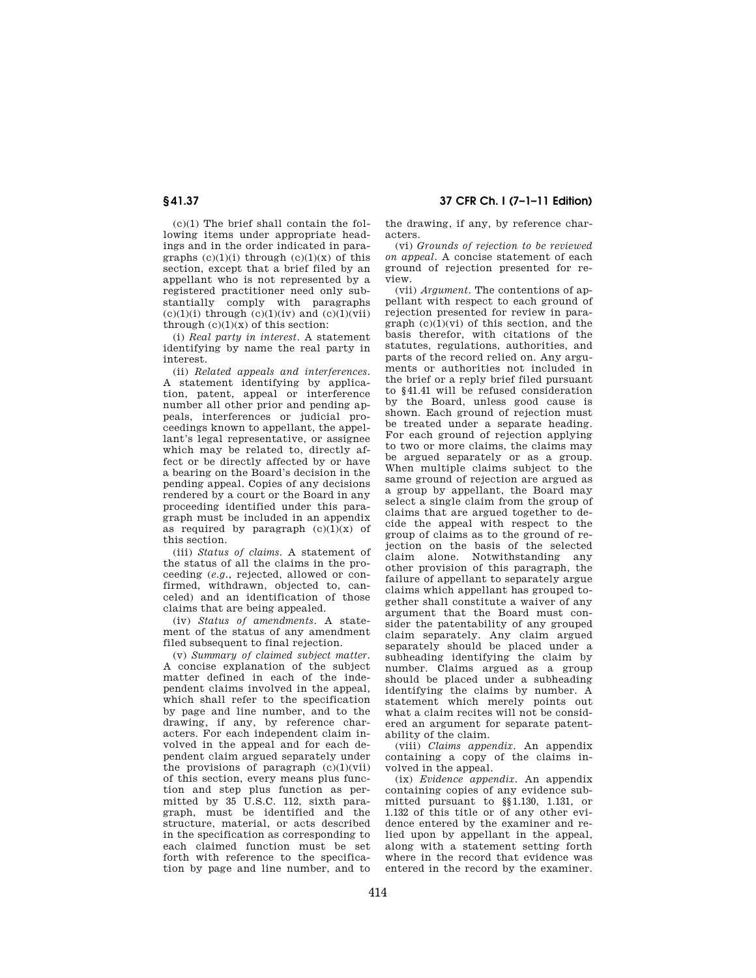$(c)(1)$  The brief shall contain the following items under appropriate headings and in the order indicated in paragraphs  $(c)(1)(i)$  through  $(c)(1)(x)$  of this section, except that a brief filed by an appellant who is not represented by a registered practitioner need only substantially comply with paragraphs

through  $(c)(1)(x)$  of this section: (i) *Real party in interest*. A statement identifying by name the real party in interest.

 $(c)(1)(i)$  through  $(c)(1)(iv)$  and  $(c)(1)(vii)$ 

(ii) *Related appeals and interferences*. A statement identifying by application, patent, appeal or interference number all other prior and pending appeals, interferences or judicial proceedings known to appellant, the appellant's legal representative, or assignee which may be related to, directly affect or be directly affected by or have a bearing on the Board's decision in the pending appeal. Copies of any decisions rendered by a court or the Board in any proceeding identified under this paragraph must be included in an appendix as required by paragraph  $(c)(1)(x)$  of this section.

(iii) *Status of claims*. A statement of the status of all the claims in the proceeding (*e.g.*, rejected, allowed or confirmed, withdrawn, objected to, canceled) and an identification of those claims that are being appealed.

(iv) *Status of amendments*. A statement of the status of any amendment filed subsequent to final rejection.

(v) *Summary of claimed subject matter*. A concise explanation of the subject matter defined in each of the independent claims involved in the appeal, which shall refer to the specification by page and line number, and to the drawing, if any, by reference characters. For each independent claim involved in the appeal and for each dependent claim argued separately under the provisions of paragraph  $(c)(1)(vi)$ of this section, every means plus function and step plus function as permitted by 35 U.S.C. 112, sixth paragraph, must be identified and the structure, material, or acts described in the specification as corresponding to each claimed function must be set forth with reference to the specification by page and line number, and to

**§ 41.37 37 CFR Ch. I (7–1–11 Edition)** 

the drawing, if any, by reference characters.

(vi) *Grounds of rejection to be reviewed on appeal*. A concise statement of each ground of rejection presented for review.

(vii) *Argument*. The contentions of appellant with respect to each ground of rejection presented for review in paragraph  $(c)(1)(vi)$  of this section, and the basis therefor, with citations of the statutes, regulations, authorities, and parts of the record relied on. Any arguments or authorities not included in the brief or a reply brief filed pursuant to §41.41 will be refused consideration by the Board, unless good cause is shown. Each ground of rejection must be treated under a separate heading. For each ground of rejection applying to two or more claims, the claims may be argued separately or as a group. When multiple claims subject to the same ground of rejection are argued as a group by appellant, the Board may select a single claim from the group of claims that are argued together to decide the appeal with respect to the group of claims as to the ground of rejection on the basis of the selected claim alone. Notwithstanding any other provision of this paragraph, the failure of appellant to separately argue claims which appellant has grouped together shall constitute a waiver of any argument that the Board must consider the patentability of any grouped claim separately. Any claim argued separately should be placed under a subheading identifying the claim by number. Claims argued as a group should be placed under a subheading identifying the claims by number. A statement which merely points out what a claim recites will not be considered an argument for separate patentability of the claim.

(viii) *Claims appendix*. An appendix containing a copy of the claims involved in the appeal.

(ix) *Evidence appendix*. An appendix containing copies of any evidence submitted pursuant to §§1.130, 1.131, or 1.132 of this title or of any other evidence entered by the examiner and relied upon by appellant in the appeal, along with a statement setting forth where in the record that evidence was entered in the record by the examiner.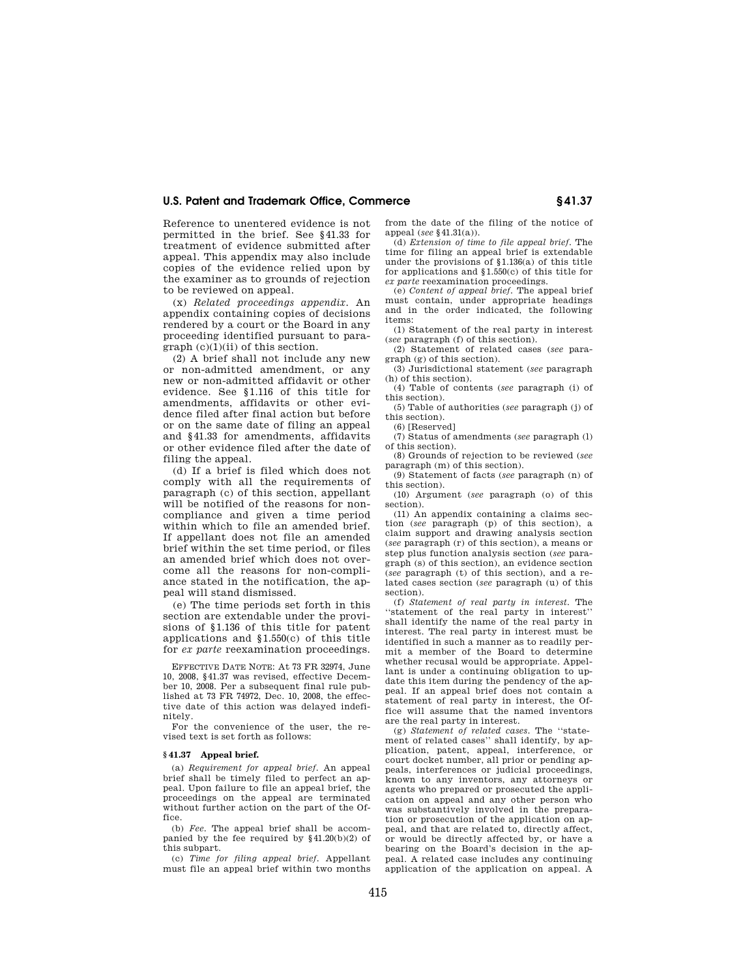Reference to unentered evidence is not permitted in the brief. See §41.33 for treatment of evidence submitted after appeal. This appendix may also include copies of the evidence relied upon by the examiner as to grounds of rejection to be reviewed on appeal.

(x) *Related proceedings appendix*. An appendix containing copies of decisions rendered by a court or the Board in any proceeding identified pursuant to paragraph (c)(1)(ii) of this section.

(2) A brief shall not include any new or non-admitted amendment, or any new or non-admitted affidavit or other evidence. See §1.116 of this title for amendments, affidavits or other evidence filed after final action but before or on the same date of filing an appeal and §41.33 for amendments, affidavits or other evidence filed after the date of filing the appeal.

(d) If a brief is filed which does not comply with all the requirements of paragraph (c) of this section, appellant will be notified of the reasons for noncompliance and given a time period within which to file an amended brief. If appellant does not file an amended brief within the set time period, or files an amended brief which does not overcome all the reasons for non-compliance stated in the notification, the appeal will stand dismissed.

(e) The time periods set forth in this section are extendable under the provisions of §1.136 of this title for patent applications and §1.550(c) of this title for *ex parte* reexamination proceedings.

EFFECTIVE DATE NOTE: At 73 FR 32974, June 10, 2008, §41.37 was revised, effective December 10, 2008. Per a subsequent final rule published at 73 FR 74972, Dec. 10, 2008, the effective date of this action was delayed indefinitely.

For the convenience of the user, the revised text is set forth as follows:

#### **§ 41.37 Appeal brief.**

(a) *Requirement for appeal brief.* An appeal brief shall be timely filed to perfect an appeal. Upon failure to file an appeal brief, the proceedings on the appeal are terminated without further action on the part of the Office.

(b) *Fee.* The appeal brief shall be accompanied by the fee required by  $§41.20(b)(2)$  of this subpart.

(c) *Time for filing appeal brief.* Appellant must file an appeal brief within two months

from the date of the filing of the notice of appeal (*see* §41.31(a)).

(d) *Extension of time to file appeal brief.* The time for filing an appeal brief is extendable under the provisions of §1.136(a) of this title for applications and §1.550(c) of this title for *ex parte* reexamination proceedings.

(e) *Content of appeal brief.* The appeal brief must contain, under appropriate headings and in the order indicated, the following items:

(1) Statement of the real party in interest (*see* paragraph (f) of this section).

(2) Statement of related cases (*see* paragraph (g) of this section).

(3) Jurisdictional statement (*see* paragraph (h) of this section).

(4) Table of contents (*see* paragraph (i) of this section).

(5) Table of authorities (*see* paragraph (j) of this section). (6) [Reserved]

(7) Status of amendments (*see* paragraph (l) of this section).

(8) Grounds of rejection to be reviewed (*see*  paragraph (m) of this section).

(9) Statement of facts (*see* paragraph (n) of this section).

(10) Argument (*see* paragraph (o) of this section).

(11) An appendix containing a claims section (*see* paragraph (p) of this section), a claim support and drawing analysis section (*see* paragraph (r) of this section), a means or step plus function analysis section (*see* paragraph (s) of this section), an evidence section (*see* paragraph (t) of this section), and a related cases section (*see* paragraph (u) of this section).

(f) *Statement of real party in interest.* The ''statement of the real party in interest'' shall identify the name of the real party in interest. The real party in interest must be identified in such a manner as to readily permit a member of the Board to determine whether recusal would be appropriate. Appellant is under a continuing obligation to update this item during the pendency of the appeal. If an appeal brief does not contain a statement of real party in interest, the Office will assume that the named inventors are the real party in interest.

(g) *Statement of related cases.* The ''statement of related cases'' shall identify, by application, patent, appeal, interference, or court docket number, all prior or pending appeals, interferences or judicial proceedings, known to any inventors, any attorneys or agents who prepared or prosecuted the application on appeal and any other person who was substantively involved in the preparation or prosecution of the application on appeal, and that are related to, directly affect, or would be directly affected by, or have a bearing on the Board's decision in the appeal. A related case includes any continuing application of the application on appeal. A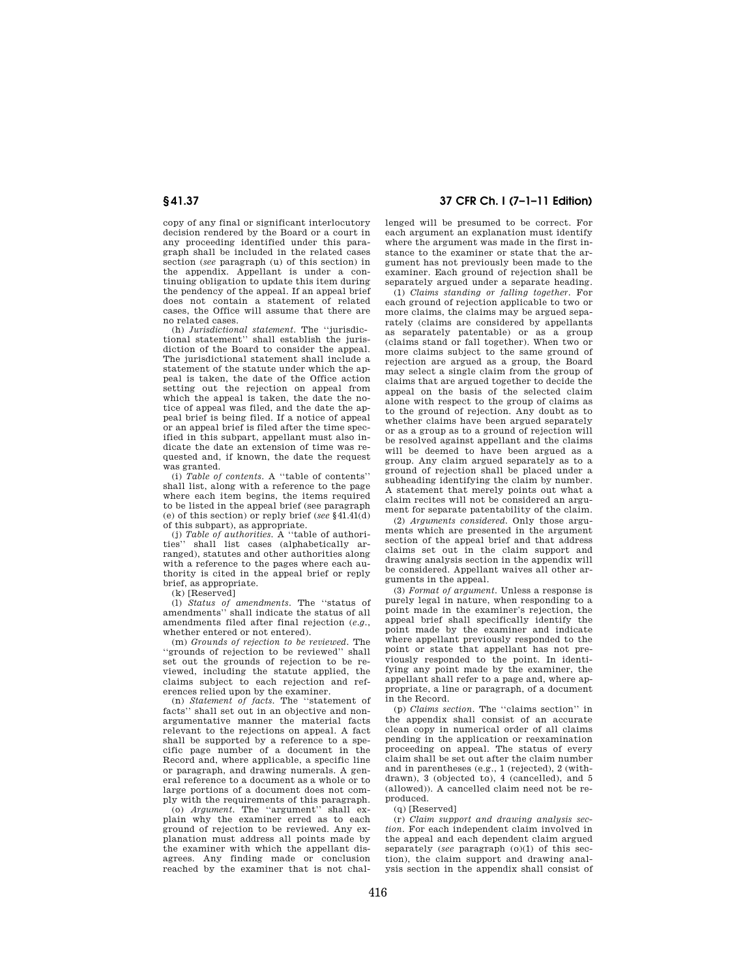copy of any final or significant interlocutory decision rendered by the Board or a court in any proceeding identified under this paragraph shall be included in the related cases section (*see* paragraph (u) of this section) in the appendix. Appellant is under a continuing obligation to update this item during the pendency of the appeal. If an appeal brief does not contain a statement of related cases, the Office will assume that there are no related cases.

(h) *Jurisdictional statement.* The ''jurisdictional statement'' shall establish the jurisdiction of the Board to consider the appeal. The jurisdictional statement shall include a statement of the statute under which the appeal is taken, the date of the Office action setting out the rejection on appeal from which the appeal is taken, the date the notice of appeal was filed, and the date the appeal brief is being filed. If a notice of appeal or an appeal brief is filed after the time specified in this subpart, appellant must also indicate the date an extension of time was requested and, if known, the date the request was granted.

(i) *Table of contents.* A ''table of contents'' shall list, along with a reference to the page where each item begins, the items required to be listed in the appeal brief (see paragraph (e) of this section) or reply brief (*see* §41.41(d) of this subpart), as appropriate.

(j) *Table of authorities.* A ''table of authorities'' shall list cases (alphabetically arranged), statutes and other authorities along with a reference to the pages where each authority is cited in the appeal brief or reply brief, as appropriate.

(k) [Reserved]

(l) *Status of amendments.* The ''status of amendments'' shall indicate the status of all amendments filed after final rejection (*e.g.*, whether entered or not entered).

(m) *Grounds of rejection to be reviewed.* The ''grounds of rejection to be reviewed'' shall set out the grounds of rejection to be reviewed, including the statute applied, the claims subject to each rejection and references relied upon by the examiner.

(n) *Statement of facts.* The ''statement of facts'' shall set out in an objective and nonargumentative manner the material facts relevant to the rejections on appeal. A fact shall be supported by a reference to a specific page number of a document in the Record and, where applicable, a specific line or paragraph, and drawing numerals. A general reference to a document as a whole or to large portions of a document does not comply with the requirements of this paragraph.

(o) *Argument.* The ''argument'' shall explain why the examiner erred as to each ground of rejection to be reviewed. Any explanation must address all points made by the examiner with which the appellant disagrees. Any finding made or conclusion reached by the examiner that is not chal-

## **§ 41.37 37 CFR Ch. I (7–1–11 Edition)**

lenged will be presumed to be correct. For each argument an explanation must identify where the argument was made in the first instance to the examiner or state that the argument has not previously been made to the examiner. Each ground of rejection shall be separately argued under a separate heading.

(1) *Claims standing or falling together.* For each ground of rejection applicable to two or more claims, the claims may be argued separately (claims are considered by appellants as separately patentable) or as a group (claims stand or fall together). When two or more claims subject to the same ground of rejection are argued as a group, the Board may select a single claim from the group of claims that are argued together to decide the appeal on the basis of the selected claim alone with respect to the group of claims as to the ground of rejection. Any doubt as to whether claims have been argued separately or as a group as to a ground of rejection will be resolved against appellant and the claims will be deemed to have been argued as a group. Any claim argued separately as to a ground of rejection shall be placed under a subheading identifying the claim by number. A statement that merely points out what a claim recites will not be considered an argument for separate patentability of the claim.

(2) *Arguments considered.* Only those arguments which are presented in the argument section of the appeal brief and that address claims set out in the claim support and drawing analysis section in the appendix will be considered. Appellant waives all other arguments in the appeal.

(3) *Format of argument.* Unless a response is purely legal in nature, when responding to a point made in the examiner's rejection, the appeal brief shall specifically identify the point made by the examiner and indicate where appellant previously responded to the point or state that appellant has not previously responded to the point. In identifying any point made by the examiner, the appellant shall refer to a page and, where appropriate, a line or paragraph, of a document in the Record.

(p) *Claims section.* The ''claims section'' in the appendix shall consist of an accurate clean copy in numerical order of all claims pending in the application or reexamination proceeding on appeal. The status of every claim shall be set out after the claim number and in parentheses (e.g., 1 (rejected), 2 (withdrawn), 3 (objected to), 4 (cancelled), and 5 (allowed)). A cancelled claim need not be reproduced.

(q) [Reserved]

(r) *Claim support and drawing analysis section.* For each independent claim involved in the appeal and each dependent claim argued separately (*see* paragraph (o)(1) of this section), the claim support and drawing analysis section in the appendix shall consist of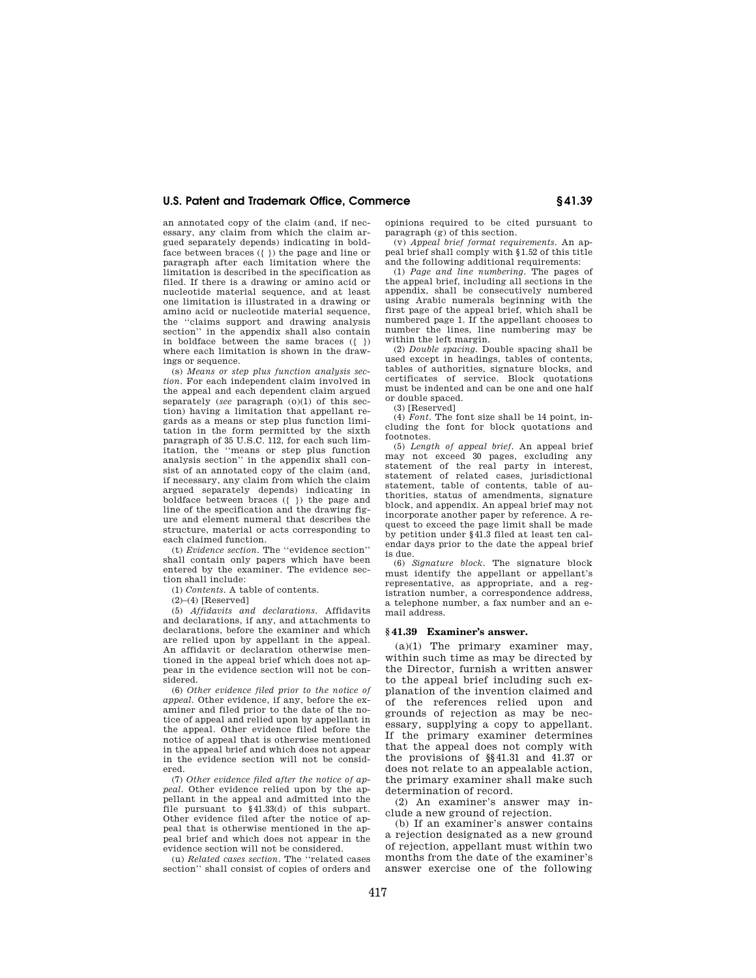an annotated copy of the claim (and, if necessary, any claim from which the claim argued separately depends) indicating in boldface between braces ({ }) the page and line or paragraph after each limitation where the limitation is described in the specification as filed. If there is a drawing or amino acid or nucleotide material sequence, and at least one limitation is illustrated in a drawing or amino acid or nucleotide material sequence, the ''claims support and drawing analysis section'' in the appendix shall also contain in boldface between the same braces ({ }) where each limitation is shown in the drawings or sequence.

(s) *Means or step plus function analysis section.* For each independent claim involved in the appeal and each dependent claim argued separately (*see* paragraph (o)(1) of this section) having a limitation that appellant regards as a means or step plus function limitation in the form permitted by the sixth paragraph of 35 U.S.C. 112, for each such limitation, the ''means or step plus function analysis section'' in the appendix shall consist of an annotated copy of the claim (and, if necessary, any claim from which the claim argued separately depends) indicating in boldface between braces ({ }) the page and line of the specification and the drawing figure and element numeral that describes the structure, material or acts corresponding to each claimed function.

(t) *Evidence section.* The ''evidence section'' shall contain only papers which have been entered by the examiner. The evidence section shall include:

(1) *Contents.* A table of contents.

 $(2)$ – $(4)$  [Reserved]

(5) *Affidavits and declarations.* Affidavits and declarations, if any, and attachments to declarations, before the examiner and which are relied upon by appellant in the appeal. An affidavit or declaration otherwise mentioned in the appeal brief which does not appear in the evidence section will not be considered.

(6) *Other evidence filed prior to the notice of appeal.* Other evidence, if any, before the examiner and filed prior to the date of the notice of appeal and relied upon by appellant in the appeal. Other evidence filed before the notice of appeal that is otherwise mentioned in the appeal brief and which does not appear in the evidence section will not be considered.

(7) *Other evidence filed after the notice of appeal.* Other evidence relied upon by the appellant in the appeal and admitted into the file pursuant to §41.33(d) of this subpart. Other evidence filed after the notice of appeal that is otherwise mentioned in the appeal brief and which does not appear in the evidence section will not be considered.

(u) *Related cases section.* The ''related cases section'' shall consist of copies of orders and opinions required to be cited pursuant to paragraph (g) of this section.

(v) *Appeal brief format requirements.* An appeal brief shall comply with §1.52 of this title and the following additional requirements:

(1) *Page and line numbering.* The pages of the appeal brief, including all sections in the appendix, shall be consecutively numbered using Arabic numerals beginning with the first page of the appeal brief, which shall be numbered page 1. If the appellant chooses to number the lines, line numbering may be within the left margin.

(2) *Double spacing.* Double spacing shall be used except in headings, tables of contents, tables of authorities, signature blocks, and certificates of service. Block quotations must be indented and can be one and one half or double spaced.

(3) [Reserved]

(4) *Font.* The font size shall be 14 point, including the font for block quotations and footnotes.

(5) *Length of appeal brief.* An appeal brief may not exceed 30 pages, excluding any statement of the real party in interest, statement of related cases, jurisdictional statement, table of contents, table of authorities, status of amendments, signature block, and appendix. An appeal brief may not incorporate another paper by reference. A request to exceed the page limit shall be made by petition under §41.3 filed at least ten calendar days prior to the date the appeal brief is due.

(6) *Signature block.* The signature block must identify the appellant or appellant's representative, as appropriate, and a registration number, a correspondence address, a telephone number, a fax number and an email address.

#### **§ 41.39 Examiner's answer.**

(a)(1) The primary examiner may, within such time as may be directed by the Director, furnish a written answer to the appeal brief including such explanation of the invention claimed and of the references relied upon and grounds of rejection as may be necessary, supplying a copy to appellant. If the primary examiner determines that the appeal does not comply with the provisions of §§41.31 and 41.37 or does not relate to an appealable action, the primary examiner shall make such determination of record.

(2) An examiner's answer may include a new ground of rejection.

(b) If an examiner's answer contains a rejection designated as a new ground of rejection, appellant must within two months from the date of the examiner's answer exercise one of the following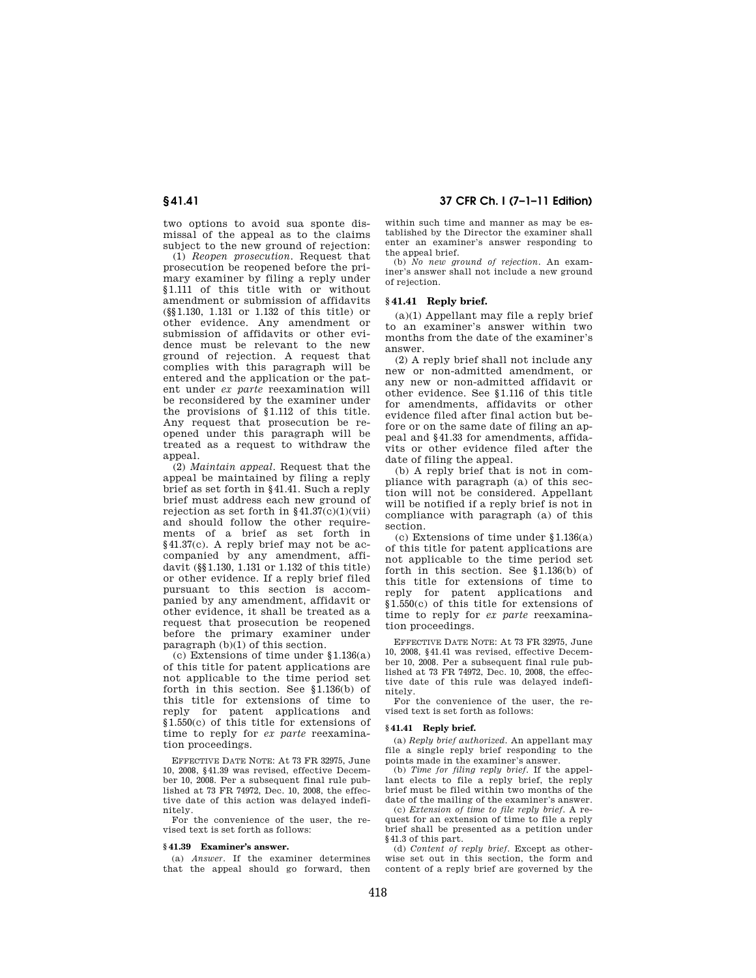two options to avoid sua sponte dismissal of the appeal as to the claims subject to the new ground of rejection:

(1) *Reopen prosecution*. Request that prosecution be reopened before the primary examiner by filing a reply under §1.111 of this title with or without amendment or submission of affidavits (§§1.130, 1.131 or 1.132 of this title) or other evidence. Any amendment or submission of affidavits or other evidence must be relevant to the new ground of rejection. A request that complies with this paragraph will be entered and the application or the patent under *ex parte* reexamination will be reconsidered by the examiner under the provisions of §1.112 of this title. Any request that prosecution be reopened under this paragraph will be treated as a request to withdraw the appeal.

(2) *Maintain appeal*. Request that the appeal be maintained by filing a reply brief as set forth in §41.41. Such a reply brief must address each new ground of rejection as set forth in  $§41.37(c)(1)(vii)$ and should follow the other requirements of a brief as set forth in §41.37(c). A reply brief may not be accompanied by any amendment, affidavit (§§1.130, 1.131 or 1.132 of this title) or other evidence. If a reply brief filed pursuant to this section is accompanied by any amendment, affidavit or other evidence, it shall be treated as a request that prosecution be reopened before the primary examiner under paragraph (b)(1) of this section.

(c) Extensions of time under §1.136(a) of this title for patent applications are not applicable to the time period set forth in this section. See §1.136(b) of this title for extensions of time to reply for patent applications and §1.550(c) of this title for extensions of time to reply for *ex parte* reexamination proceedings.

EFFECTIVE DATE NOTE: At 73 FR 32975, June 10, 2008, §41.39 was revised, effective December 10, 2008. Per a subsequent final rule published at 73 FR 74972, Dec. 10, 2008, the effective date of this action was delayed indefinitely.

For the convenience of the user, the revised text is set forth as follows:

#### **§ 41.39 Examiner's answer.**

(a) *Answer*. If the examiner determines that the appeal should go forward, then

**§ 41.41 37 CFR Ch. I (7–1–11 Edition)** 

within such time and manner as may be established by the Director the examiner shall enter an examiner's answer responding to the appeal brief.

(b) *No new ground of rejection*. An examiner's answer shall not include a new ground of rejection.

#### **§ 41.41 Reply brief.**

(a)(1) Appellant may file a reply brief to an examiner's answer within two months from the date of the examiner's answer.

(2) A reply brief shall not include any new or non-admitted amendment, or any new or non-admitted affidavit or other evidence. See §1.116 of this title for amendments, affidavits or other evidence filed after final action but before or on the same date of filing an appeal and §41.33 for amendments, affidavits or other evidence filed after the date of filing the appeal.

(b) A reply brief that is not in compliance with paragraph (a) of this section will not be considered. Appellant will be notified if a reply brief is not in compliance with paragraph (a) of this section.

(c) Extensions of time under §1.136(a) of this title for patent applications are not applicable to the time period set forth in this section. See §1.136(b) of this title for extensions of time to reply for patent applications and §1.550(c) of this title for extensions of time to reply for *ex parte* reexamination proceedings.

EFFECTIVE DATE NOTE: At 73 FR 32975, June 10, 2008, §41.41 was revised, effective December 10, 2008. Per a subsequent final rule published at 73 FR 74972, Dec. 10, 2008, the effective date of this rule was delayed indefinitely.

For the convenience of the user, the revised text is set forth as follows:

#### **§ 41.41 Reply brief.**

(a) *Reply brief authorized*. An appellant may file a single reply brief responding to the points made in the examiner's answer.

(b) *Time for filing reply brief*. If the appellant elects to file a reply brief, the reply brief must be filed within two months of the date of the mailing of the examiner's answer.

(c) *Extension of time to file reply brief*. A request for an extension of time to file a reply brief shall be presented as a petition under §41.3 of this part.

(d) *Content of reply brief*. Except as otherwise set out in this section, the form and content of a reply brief are governed by the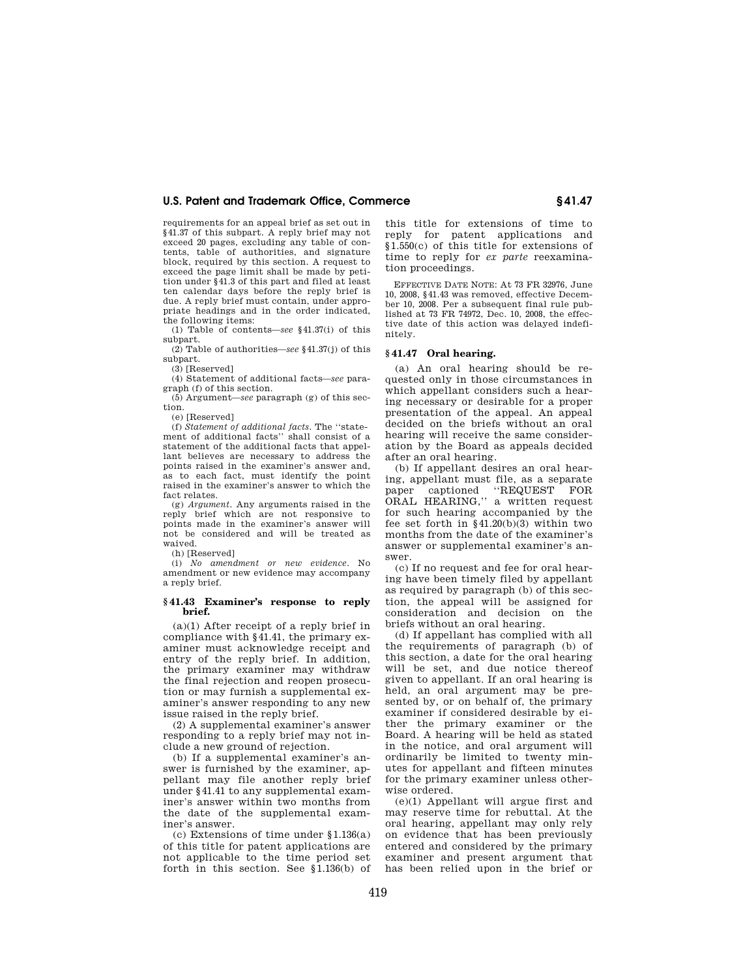requirements for an appeal brief as set out in §41.37 of this subpart. A reply brief may not exceed 20 pages, excluding any table of contents, table of authorities, and signature block, required by this section. A request to exceed the page limit shall be made by petition under §41.3 of this part and filed at least ten calendar days before the reply brief is due. A reply brief must contain, under appropriate headings and in the order indicated, the following items:

(1) Table of contents—*see* §41.37(i) of this subpart.

(2) Table of authorities—*see* §41.37(j) of this subpart.

(3) [Reserved]

(4) Statement of additional facts—*see* paragraph (f) of this section.

(5) Argument—*see* paragraph (g) of this section.

(e) [Reserved]

(f) *Statement of additional facts*. The ''statement of additional facts'' shall consist of a statement of the additional facts that appellant believes are necessary to address the points raised in the examiner's answer and, as to each fact, must identify the point raised in the examiner's answer to which the fact relates.

(g) *Argument*. Any arguments raised in the reply brief which are not responsive to points made in the examiner's answer will not be considered and will be treated as waived.

(h) [Reserved]

(i) *No amendment or new evidence*. No amendment or new evidence may accompany a reply brief.

#### **§ 41.43 Examiner's response to reply brief.**

(a)(1) After receipt of a reply brief in compliance with §41.41, the primary examiner must acknowledge receipt and entry of the reply brief. In addition, the primary examiner may withdraw the final rejection and reopen prosecution or may furnish a supplemental examiner's answer responding to any new issue raised in the reply brief.

(2) A supplemental examiner's answer responding to a reply brief may not include a new ground of rejection.

(b) If a supplemental examiner's answer is furnished by the examiner, appellant may file another reply brief under §41.41 to any supplemental examiner's answer within two months from the date of the supplemental examiner's answer.

(c) Extensions of time under §1.136(a) of this title for patent applications are not applicable to the time period set forth in this section. See  $\tilde{1.136(b)}$  of this title for extensions of time to reply for patent applications and §1.550(c) of this title for extensions of time to reply for *ex parte* reexamination proceedings.

EFFECTIVE DATE NOTE: At 73 FR 32976, June 10, 2008, §41.43 was removed, effective December 10, 2008. Per a subsequent final rule published at 73 FR 74972, Dec. 10, 2008, the effective date of this action was delayed indefinitely.

#### **§ 41.47 Oral hearing.**

(a) An oral hearing should be requested only in those circumstances in which appellant considers such a hearing necessary or desirable for a proper presentation of the appeal. An appeal decided on the briefs without an oral hearing will receive the same consideration by the Board as appeals decided after an oral hearing.

(b) If appellant desires an oral hearing, appellant must file, as a separate paper captioned ''REQUEST FOR ORAL HEARING,'' a written request for such hearing accompanied by the fee set forth in  $§41.20(b)(3)$  within two months from the date of the examiner's answer or supplemental examiner's answer.

(c) If no request and fee for oral hearing have been timely filed by appellant as required by paragraph (b) of this section, the appeal will be assigned for consideration and decision on the briefs without an oral hearing.

(d) If appellant has complied with all the requirements of paragraph (b) of this section, a date for the oral hearing will be set, and due notice thereof given to appellant. If an oral hearing is held, an oral argument may be presented by, or on behalf of, the primary examiner if considered desirable by either the primary examiner or the Board. A hearing will be held as stated in the notice, and oral argument will ordinarily be limited to twenty minutes for appellant and fifteen minutes for the primary examiner unless otherwise ordered.

(e)(1) Appellant will argue first and may reserve time for rebuttal. At the oral hearing, appellant may only rely on evidence that has been previously entered and considered by the primary examiner and present argument that has been relied upon in the brief or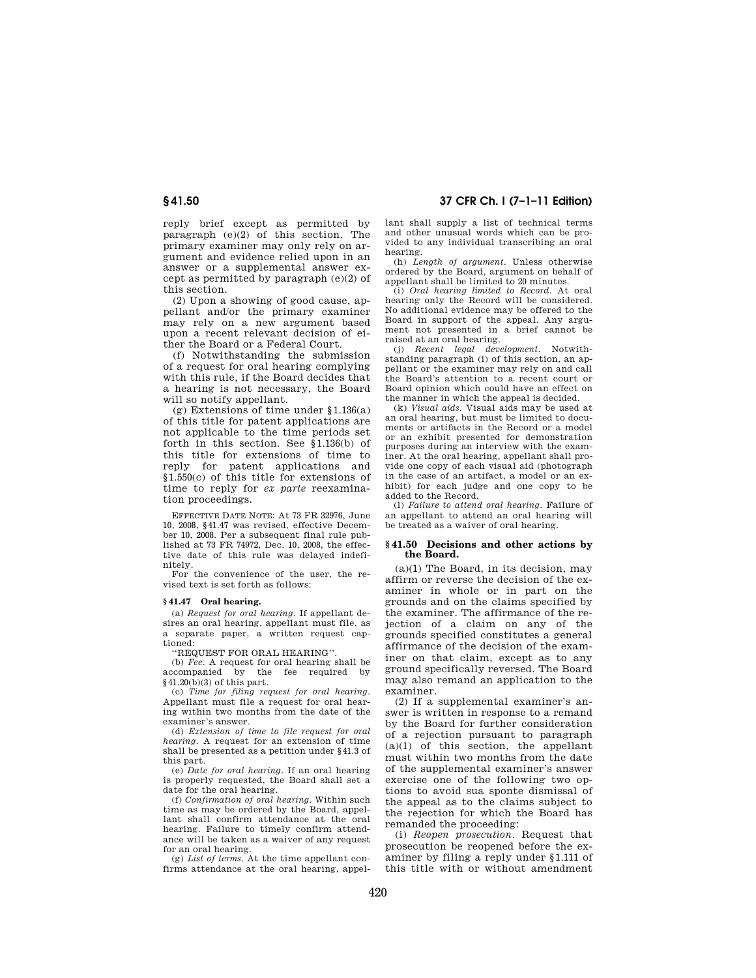reply brief except as permitted by paragraph (e)(2) of this section. The primary examiner may only rely on argument and evidence relied upon in an answer or a supplemental answer except as permitted by paragraph (e)(2) of this section.

(2) Upon a showing of good cause, appellant and/or the primary examiner may rely on a new argument based upon a recent relevant decision of either the Board or a Federal Court.

(f) Notwithstanding the submission of a request for oral hearing complying with this rule, if the Board decides that a hearing is not necessary, the Board will so notify appellant.

(g) Extensions of time under §1.136(a) of this title for patent applications are not applicable to the time periods set forth in this section. See §1.136(b) of this title for extensions of time to reply for patent applications and §1.550(c) of this title for extensions of time to reply for *ex parte* reexamination proceedings.

EFFECTIVE DATE NOTE: At 73 FR 32976, June 10, 2008, §41.47 was revised, effective December 10, 2008. Per a subsequent final rule published at 73 FR 74972, Dec. 10, 2008, the effective date of this rule was delayed indefinitely.

For the convenience of the user, the revised text is set forth as follows:

#### **§ 41.47 Oral hearing.**

(a) *Request for oral hearing*. If appellant desires an oral hearing, appellant must file, as a separate paper, a written request captioned:

#### ''REQUEST FOR ORAL HEARING''.

(b) *Fee*. A request for oral hearing shall be accompanied by the  $§41.20(b)(3)$  of this part.

(c) *Time for filing request for oral hearing*. Appellant must file a request for oral hearing within two months from the date of the examiner's answer.

(d) *Extension of time to file request for oral hearing*. A request for an extension of time shall be presented as a petition under §41.3 of this part.

(e) *Date for oral hearing*. If an oral hearing is properly requested, the Board shall set a

date for the oral hearing. (f) *Confirmation of oral hearing*. Within such time as may be ordered by the Board, appellant shall confirm attendance at the oral hearing. Failure to timely confirm attendance will be taken as a waiver of any request for an oral hearing.

(g) *List of terms*. At the time appellant confirms attendance at the oral hearing, appel-

**§ 41.50 37 CFR Ch. I (7–1–11 Edition)** 

lant shall supply a list of technical terms and other unusual words which can be provided to any individual transcribing an oral hearing.

(h) *Length of argument*. Unless otherwise ordered by the Board, argument on behalf of appellant shall be limited to 20 minutes.

(i) *Oral hearing limited to Record*. At oral hearing only the Record will be considered. No additional evidence may be offered to the Board in support of the appeal. Any argument not presented in a brief cannot be raised at an oral hearing.

(j) *Recent legal development*. Notwithstanding paragraph (i) of this section, an appellant or the examiner may rely on and call the Board's attention to a recent court or Board opinion which could have an effect on the manner in which the appeal is decided.

(k) *Visual aids*. Visual aids may be used at an oral hearing, but must be limited to documents or artifacts in the Record or a model or an exhibit presented for demonstration purposes during an interview with the examiner. At the oral hearing, appellant shall provide one copy of each visual aid (photograph in the case of an artifact, a model or an exhibit) for each judge and one copy to be added to the Record.

(l) *Failure to attend oral hearing*. Failure of an appellant to attend an oral hearing will be treated as a waiver of oral hearing.

#### **§ 41.50 Decisions and other actions by the Board.**

(a)(1) The Board, in its decision, may affirm or reverse the decision of the examiner in whole or in part on the grounds and on the claims specified by the examiner. The affirmance of the rejection of a claim on any of the grounds specified constitutes a general affirmance of the decision of the examiner on that claim, except as to any ground specifically reversed. The Board may also remand an application to the examiner.

(2) If a supplemental examiner's answer is written in response to a remand by the Board for further consideration of a rejection pursuant to paragraph  $(a)(1)$  of this section, the appellant must within two months from the date of the supplemental examiner's answer exercise one of the following two options to avoid sua sponte dismissal of the appeal as to the claims subject to the rejection for which the Board has remanded the proceeding:

(i) *Reopen prosecution*. Request that prosecution be reopened before the examiner by filing a reply under §1.111 of this title with or without amendment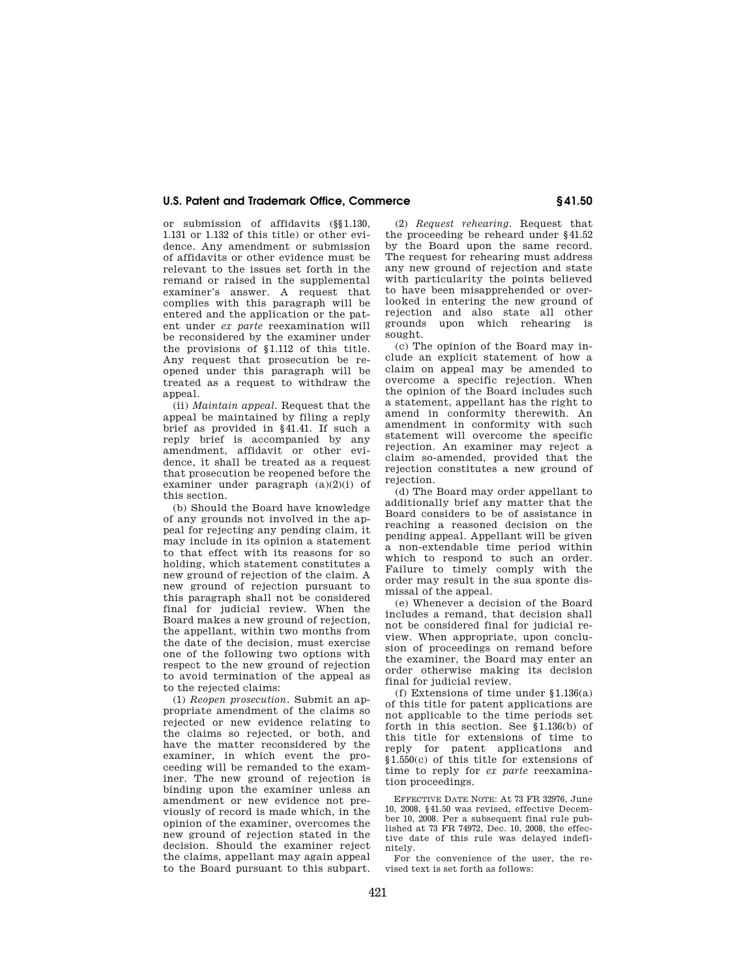or submission of affidavits (§§1.130, 1.131 or 1.132 of this title) or other evidence. Any amendment or submission of affidavits or other evidence must be relevant to the issues set forth in the remand or raised in the supplemental examiner's answer. A request that complies with this paragraph will be entered and the application or the patent under *ex parte* reexamination will be reconsidered by the examiner under the provisions of §1.112 of this title. Any request that prosecution be reopened under this paragraph will be treated as a request to withdraw the appeal.

(ii) *Maintain appeal*. Request that the appeal be maintained by filing a reply brief as provided in §41.41. If such a reply brief is accompanied by any amendment, affidavit or other evidence, it shall be treated as a request that prosecution be reopened before the examiner under paragraph  $(a)(2)(i)$  of this section.

(b) Should the Board have knowledge of any grounds not involved in the appeal for rejecting any pending claim, it may include in its opinion a statement to that effect with its reasons for so holding, which statement constitutes a new ground of rejection of the claim. A new ground of rejection pursuant to this paragraph shall not be considered final for judicial review. When the Board makes a new ground of rejection, the appellant, within two months from the date of the decision, must exercise one of the following two options with respect to the new ground of rejection to avoid termination of the appeal as to the rejected claims:

(1) *Reopen prosecution*. Submit an appropriate amendment of the claims so rejected or new evidence relating to the claims so rejected, or both, and have the matter reconsidered by the examiner, in which event the proceeding will be remanded to the examiner. The new ground of rejection is binding upon the examiner unless an amendment or new evidence not previously of record is made which, in the opinion of the examiner, overcomes the new ground of rejection stated in the decision. Should the examiner reject the claims, appellant may again appeal to the Board pursuant to this subpart.

(2) *Request rehearing*. Request that the proceeding be reheard under §41.52 by the Board upon the same record. The request for rehearing must address any new ground of rejection and state with particularity the points believed to have been misapprehended or overlooked in entering the new ground of rejection and also state all other grounds upon which rehearing is sought.

(c) The opinion of the Board may include an explicit statement of how a claim on appeal may be amended to overcome a specific rejection. When the opinion of the Board includes such a statement, appellant has the right to amend in conformity therewith. An amendment in conformity with such statement will overcome the specific rejection. An examiner may reject a claim so-amended, provided that the rejection constitutes a new ground of rejection.

(d) The Board may order appellant to additionally brief any matter that the Board considers to be of assistance in reaching a reasoned decision on the pending appeal. Appellant will be given a non-extendable time period within which to respond to such an order. Failure to timely comply with the order may result in the sua sponte dismissal of the appeal.

(e) Whenever a decision of the Board includes a remand, that decision shall not be considered final for judicial review. When appropriate, upon conclusion of proceedings on remand before the examiner, the Board may enter an order otherwise making its decision final for judicial review.

(f) Extensions of time under §1.136(a) of this title for patent applications are not applicable to the time periods set forth in this section. See §1.136(b) of this title for extensions of time to reply for patent applications and §1.550(c) of this title for extensions of time to reply for *ex parte* reexamination proceedings.

EFFECTIVE DATE NOTE: At 73 FR 32976, June 10, 2008, §41.50 was revised, effective December 10, 2008. Per a subsequent final rule published at 73 FR 74972, Dec. 10, 2008, the effective date of this rule was delayed indefinitely.

For the convenience of the user, the revised text is set forth as follows: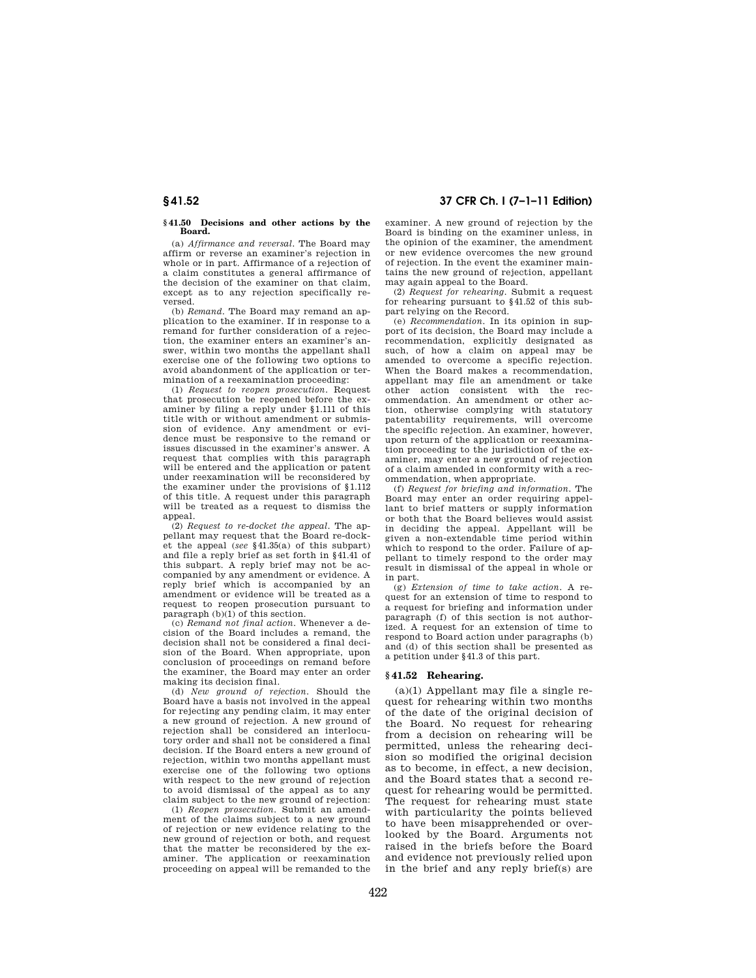# **§ 41.52 37 CFR Ch. I (7–1–11 Edition)**

**§ 41.50 Decisions and other actions by the Board.** 

(a) *Affirmance and reversal*. The Board may affirm or reverse an examiner's rejection in whole or in part. Affirmance of a rejection of a claim constitutes a general affirmance of the decision of the examiner on that claim, except as to any rejection specifically reversed.

(b) *Remand*. The Board may remand an application to the examiner. If in response to a remand for further consideration of a rejection, the examiner enters an examiner's answer, within two months the appellant shall exercise one of the following two options to avoid abandonment of the application or termination of a reexamination proceeding:

(1) *Request to reopen prosecution*. Request that prosecution be reopened before the examiner by filing a reply under §1.111 of this title with or without amendment or submission of evidence. Any amendment or evidence must be responsive to the remand or issues discussed in the examiner's answer. A request that complies with this paragraph will be entered and the application or patent under reexamination will be reconsidered by the examiner under the provisions of §1.112 of this title. A request under this paragraph will be treated as a request to dismiss the appeal.

(2) *Request to re-docket the appeal*. The appellant may request that the Board re-docket the appeal (*see* §41.35(a) of this subpart) and file a reply brief as set forth in §41.41 of this subpart. A reply brief may not be accompanied by any amendment or evidence. A reply brief which is accompanied by an amendment or evidence will be treated as a request to reopen prosecution pursuant to paragraph  $(b)(1)$  of this section.

(c) *Remand not final action*. Whenever a decision of the Board includes a remand, the decision shall not be considered a final decision of the Board. When appropriate, upon conclusion of proceedings on remand before the examiner, the Board may enter an order making its decision final.

(d) *New ground of rejection*. Should the Board have a basis not involved in the appeal for rejecting any pending claim, it may enter a new ground of rejection. A new ground of rejection shall be considered an interlocutory order and shall not be considered a final decision. If the Board enters a new ground of rejection, within two months appellant must exercise one of the following two options with respect to the new ground of rejection to avoid dismissal of the appeal as to any claim subject to the new ground of rejection:

(1) *Reopen prosecution*. Submit an amendment of the claims subject to a new ground of rejection or new evidence relating to the new ground of rejection or both, and request that the matter be reconsidered by the examiner. The application or reexamination proceeding on appeal will be remanded to the examiner. A new ground of rejection by the Board is binding on the examiner unless, in the opinion of the examiner, the amendment or new evidence overcomes the new ground of rejection. In the event the examiner maintains the new ground of rejection, appellant may again appeal to the Board.

(2) *Request for rehearing*. Submit a request for rehearing pursuant to §41.52 of this subpart relying on the Record.

(e) *Recommendation*. In its opinion in support of its decision, the Board may include a recommendation, explicitly designated as such, of how a claim on appeal may be amended to overcome a specific rejection. When the Board makes a recommendation, appellant may file an amendment or take other action consistent with the recommendation. An amendment or other action, otherwise complying with statutory patentability requirements, will overcome the specific rejection. An examiner, however, upon return of the application or reexamination proceeding to the jurisdiction of the examiner, may enter a new ground of rejection of a claim amended in conformity with a recommendation, when appropriate.

(f) *Request for briefing and information*. The Board may enter an order requiring appellant to brief matters or supply information or both that the Board believes would assist in deciding the appeal. Appellant will be given a non-extendable time period within which to respond to the order. Failure of appellant to timely respond to the order may result in dismissal of the appeal in whole or in part.

(g) *Extension of time to take action*. A request for an extension of time to respond to a request for briefing and information under paragraph (f) of this section is not authorized. A request for an extension of time to respond to Board action under paragraphs (b) and (d) of this section shall be presented as a petition under §41.3 of this part.

#### **§ 41.52 Rehearing.**

 $(a)(1)$  Appellant may file a single request for rehearing within two months of the date of the original decision of the Board. No request for rehearing from a decision on rehearing will be permitted, unless the rehearing decision so modified the original decision as to become, in effect, a new decision, and the Board states that a second request for rehearing would be permitted. The request for rehearing must state with particularity the points believed to have been misapprehended or overlooked by the Board. Arguments not raised in the briefs before the Board and evidence not previously relied upon in the brief and any reply brief(s) are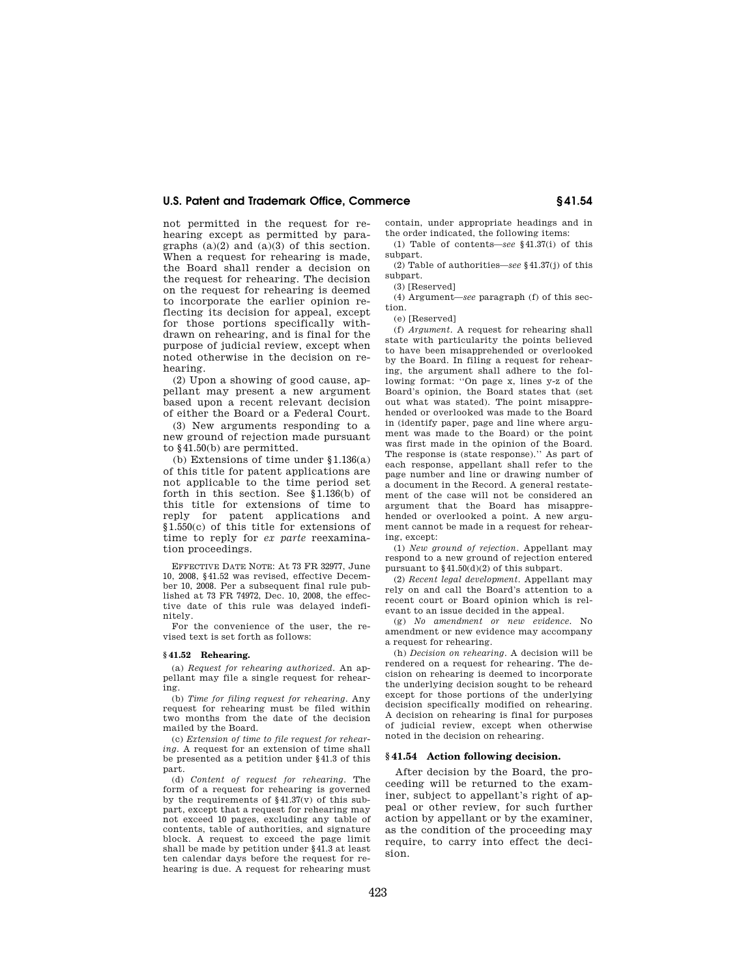not permitted in the request for rehearing except as permitted by paragraphs  $(a)(2)$  and  $(a)(3)$  of this section. When a request for rehearing is made, the Board shall render a decision on the request for rehearing. The decision on the request for rehearing is deemed to incorporate the earlier opinion reflecting its decision for appeal, except for those portions specifically withdrawn on rehearing, and is final for the purpose of judicial review, except when noted otherwise in the decision on rehearing.

(2) Upon a showing of good cause, appellant may present a new argument based upon a recent relevant decision of either the Board or a Federal Court.

(3) New arguments responding to a new ground of rejection made pursuant to §41.50(b) are permitted.

(b) Extensions of time under §1.136(a) of this title for patent applications are not applicable to the time period set forth in this section. See §1.136(b) of this title for extensions of time to reply for patent applications and §1.550(c) of this title for extensions of time to reply for *ex parte* reexamination proceedings.

EFFECTIVE DATE NOTE: At 73 FR 32977, June 10, 2008, §41.52 was revised, effective December 10, 2008. Per a subsequent final rule published at 73 FR 74972, Dec. 10, 2008, the effective date of this rule was delayed indefinitely.

For the convenience of the user, the revised text is set forth as follows:

#### **§ 41.52 Rehearing.**

(a) *Request for rehearing authorized*. An appellant may file a single request for rehearing.

(b) *Time for filing request for rehearing*. Any request for rehearing must be filed within two months from the date of the decision mailed by the Board.

(c) *Extension of time to file request for rehearing*. A request for an extension of time shall be presented as a petition under §41.3 of this part.

(d) *Content of request for rehearing*. The form of a request for rehearing is governed by the requirements of  $$41.37(v)$  of this subpart, except that a request for rehearing may not exceed 10 pages, excluding any table of contents, table of authorities, and signature block. A request to exceed the page limit shall be made by petition under §41.3 at least ten calendar days before the request for rehearing is due. A request for rehearing must

contain, under appropriate headings and in the order indicated, the following items:

(1) Table of contents—*see* §41.37(i) of this subpart.

(2) Table of authorities—*see* §41.37(j) of this subpart.

(3) [Reserved]

(4) Argument—*see* paragraph (f) of this section.

(e) [Reserved]

(f) *Argument*. A request for rehearing shall state with particularity the points believed to have been misapprehended or overlooked by the Board. In filing a request for rehearing, the argument shall adhere to the following format: ''On page x, lines y-z of the Board's opinion, the Board states that (set out what was stated). The point misapprehended or overlooked was made to the Board in (identify paper, page and line where argument was made to the Board) or the point was first made in the opinion of the Board. The response is (state response).'' As part of each response, appellant shall refer to the page number and line or drawing number of a document in the Record. A general restatement of the case will not be considered an argument that the Board has misapprehended or overlooked a point. A new argument cannot be made in a request for rehearing, except:

(1) *New ground of rejection*. Appellant may respond to a new ground of rejection entered pursuant to §41.50(d)(2) of this subpart.

(2) *Recent legal development*. Appellant may rely on and call the Board's attention to a recent court or Board opinion which is relevant to an issue decided in the appeal.

(g) *No amendment or new evidence*. No amendment or new evidence may accompany a request for rehearing.

(h) *Decision on rehearing*. A decision will be rendered on a request for rehearing. The decision on rehearing is deemed to incorporate the underlying decision sought to be reheard except for those portions of the underlying decision specifically modified on rehearing. A decision on rehearing is final for purposes of judicial review, except when otherwise noted in the decision on rehearing.

#### **§ 41.54 Action following decision.**

After decision by the Board, the proceeding will be returned to the examiner, subject to appellant's right of appeal or other review, for such further action by appellant or by the examiner, as the condition of the proceeding may require, to carry into effect the decision.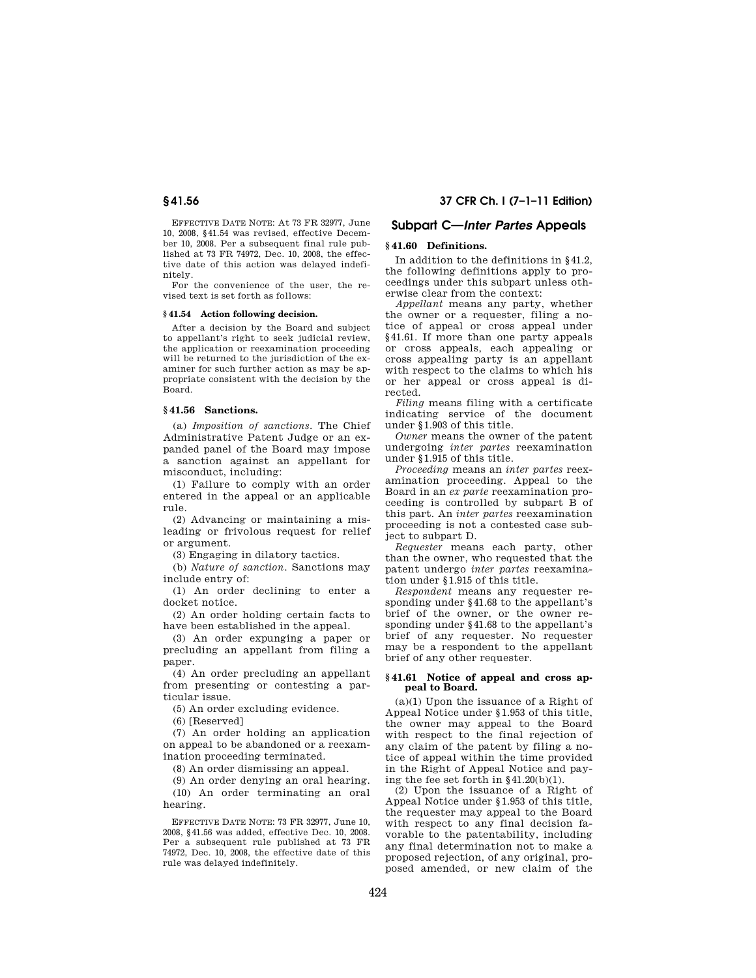EFFECTIVE DATE NOTE: At 73 FR 32977, June 10, 2008, §41.54 was revised, effective December 10, 2008. Per a subsequent final rule published at 73 FR 74972, Dec. 10, 2008, the effective date of this action was delayed indefinitely.

For the convenience of the user, the revised text is set forth as follows:

#### **§ 41.54 Action following decision.**

After a decision by the Board and subject to appellant's right to seek judicial review, the application or reexamination proceeding will be returned to the jurisdiction of the examiner for such further action as may be appropriate consistent with the decision by the Board.

#### **§ 41.56 Sanctions.**

(a) *Imposition of sanctions*. The Chief Administrative Patent Judge or an expanded panel of the Board may impose a sanction against an appellant for misconduct, including:

(1) Failure to comply with an order entered in the appeal or an applicable rule.

(2) Advancing or maintaining a misleading or frivolous request for relief or argument.

(3) Engaging in dilatory tactics.

(b) *Nature of sanction*. Sanctions may include entry of:

(1) An order declining to enter a docket notice.

(2) An order holding certain facts to have been established in the appeal.

(3) An order expunging a paper or precluding an appellant from filing a paper.

(4) An order precluding an appellant from presenting or contesting a particular issue.

(5) An order excluding evidence.

(6) [Reserved]

(7) An order holding an application on appeal to be abandoned or a reexamination proceeding terminated.

(8) An order dismissing an appeal.

(9) An order denying an oral hearing.

(10) An order terminating an oral hearing.

EFFECTIVE DATE NOTE: 73 FR 32977, June 10, 2008, §41.56 was added, effective Dec. 10, 2008. Per a subsequent rule published at 73 FR 74972, Dec. 10, 2008, the effective date of this rule was delayed indefinitely.

#### **§ 41.56 37 CFR Ch. I (7–1–11 Edition)**

## **Subpart C—***Inter Partes* **Appeals**

### **§ 41.60 Definitions.**

In addition to the definitions in §41.2, the following definitions apply to proceedings under this subpart unless otherwise clear from the context:

*Appellant* means any party, whether the owner or a requester, filing a notice of appeal or cross appeal under §41.61. If more than one party appeals or cross appeals, each appealing or cross appealing party is an appellant with respect to the claims to which his or her appeal or cross appeal is directed.

*Filing* means filing with a certificate indicating service of the document under §1.903 of this title.

*Owner* means the owner of the patent undergoing *inter partes* reexamination under §1.915 of this title.

*Proceeding* means an *inter partes* reexamination proceeding. Appeal to the Board in an *ex parte* reexamination proceeding is controlled by subpart B of this part. An *inter partes* reexamination proceeding is not a contested case subject to subpart D.

*Requester* means each party, other than the owner, who requested that the patent undergo *inter partes* reexamination under §1.915 of this title.

*Respondent* means any requester responding under §41.68 to the appellant's brief of the owner, or the owner responding under §41.68 to the appellant's brief of any requester. No requester may be a respondent to the appellant brief of any other requester.

#### **§ 41.61 Notice of appeal and cross appeal to Board.**

(a)(1) Upon the issuance of a Right of Appeal Notice under §1.953 of this title, the owner may appeal to the Board with respect to the final rejection of any claim of the patent by filing a notice of appeal within the time provided in the Right of Appeal Notice and paying the fee set forth in §41.20(b)(1).

(2) Upon the issuance of a Right of Appeal Notice under §1.953 of this title, the requester may appeal to the Board with respect to any final decision favorable to the patentability, including any final determination not to make a proposed rejection, of any original, proposed amended, or new claim of the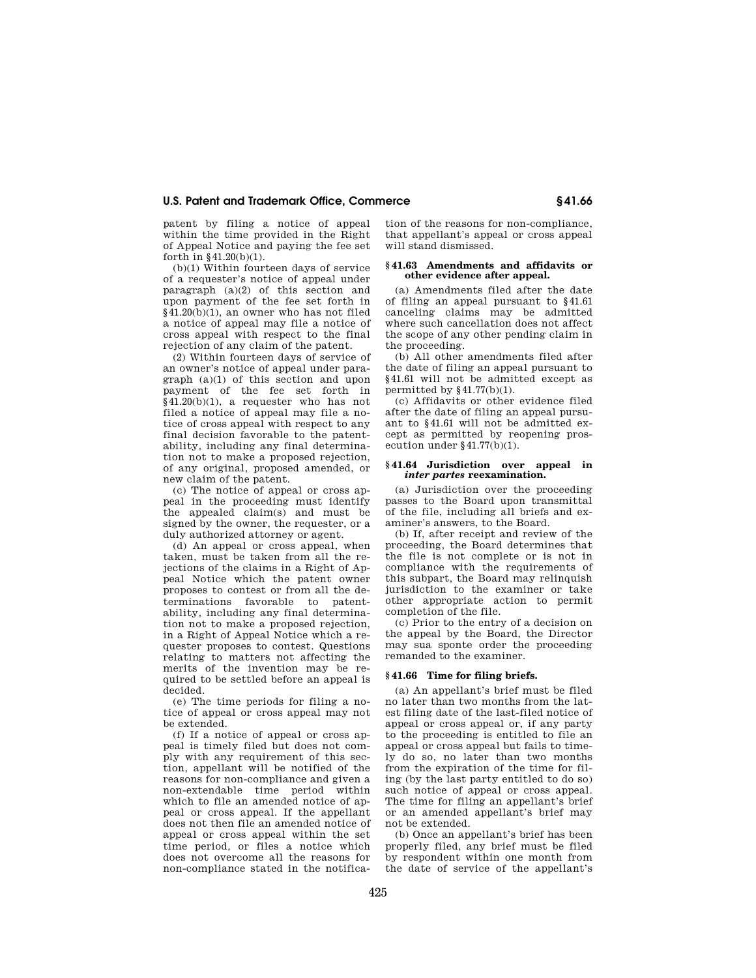patent by filing a notice of appeal within the time provided in the Right of Appeal Notice and paying the fee set forth in §41.20(b)(1).

(b)(1) Within fourteen days of service of a requester's notice of appeal under paragraph  $(a)(2)$  of this section and upon payment of the fee set forth in §41.20(b)(1), an owner who has not filed a notice of appeal may file a notice of cross appeal with respect to the final rejection of any claim of the patent.

(2) Within fourteen days of service of an owner's notice of appeal under paragraph (a)(1) of this section and upon payment of the fee set forth in  $\frac{1}{8}41.20(b)(1)$ , a requester who has not filed a notice of appeal may file a notice of cross appeal with respect to any final decision favorable to the patentability, including any final determination not to make a proposed rejection, of any original, proposed amended, or new claim of the patent.

(c) The notice of appeal or cross appeal in the proceeding must identify the appealed claim(s) and must be signed by the owner, the requester, or a duly authorized attorney or agent.

(d) An appeal or cross appeal, when taken, must be taken from all the rejections of the claims in a Right of Appeal Notice which the patent owner proposes to contest or from all the determinations favorable to patentability, including any final determination not to make a proposed rejection, in a Right of Appeal Notice which a requester proposes to contest. Questions relating to matters not affecting the merits of the invention may be required to be settled before an appeal is decided.

(e) The time periods for filing a notice of appeal or cross appeal may not be extended.

(f) If a notice of appeal or cross appeal is timely filed but does not comply with any requirement of this section, appellant will be notified of the reasons for non-compliance and given a non-extendable time period within which to file an amended notice of appeal or cross appeal. If the appellant does not then file an amended notice of appeal or cross appeal within the set time period, or files a notice which does not overcome all the reasons for non-compliance stated in the notification of the reasons for non-compliance, that appellant's appeal or cross appeal will stand dismissed.

#### **§ 41.63 Amendments and affidavits or other evidence after appeal.**

(a) Amendments filed after the date of filing an appeal pursuant to §41.61 canceling claims may be admitted where such cancellation does not affect the scope of any other pending claim in the proceeding.

(b) All other amendments filed after the date of filing an appeal pursuant to §41.61 will not be admitted except as permitted by  $§41.77(b)(1)$ .

(c) Affidavits or other evidence filed after the date of filing an appeal pursuant to §41.61 will not be admitted except as permitted by reopening prosecution under §41.77(b)(1).

#### **§ 41.64 Jurisdiction over appeal in**  *inter partes* **reexamination.**

(a) Jurisdiction over the proceeding passes to the Board upon transmittal of the file, including all briefs and examiner's answers, to the Board.

(b) If, after receipt and review of the proceeding, the Board determines that the file is not complete or is not in compliance with the requirements of this subpart, the Board may relinquish jurisdiction to the examiner or take other appropriate action to permit completion of the file.

(c) Prior to the entry of a decision on the appeal by the Board, the Director may sua sponte order the proceeding remanded to the examiner.

#### **§ 41.66 Time for filing briefs.**

(a) An appellant's brief must be filed no later than two months from the latest filing date of the last-filed notice of appeal or cross appeal or, if any party to the proceeding is entitled to file an appeal or cross appeal but fails to timely do so, no later than two months from the expiration of the time for filing (by the last party entitled to do so) such notice of appeal or cross appeal. The time for filing an appellant's brief or an amended appellant's brief may not be extended.

(b) Once an appellant's brief has been properly filed, any brief must be filed by respondent within one month from the date of service of the appellant's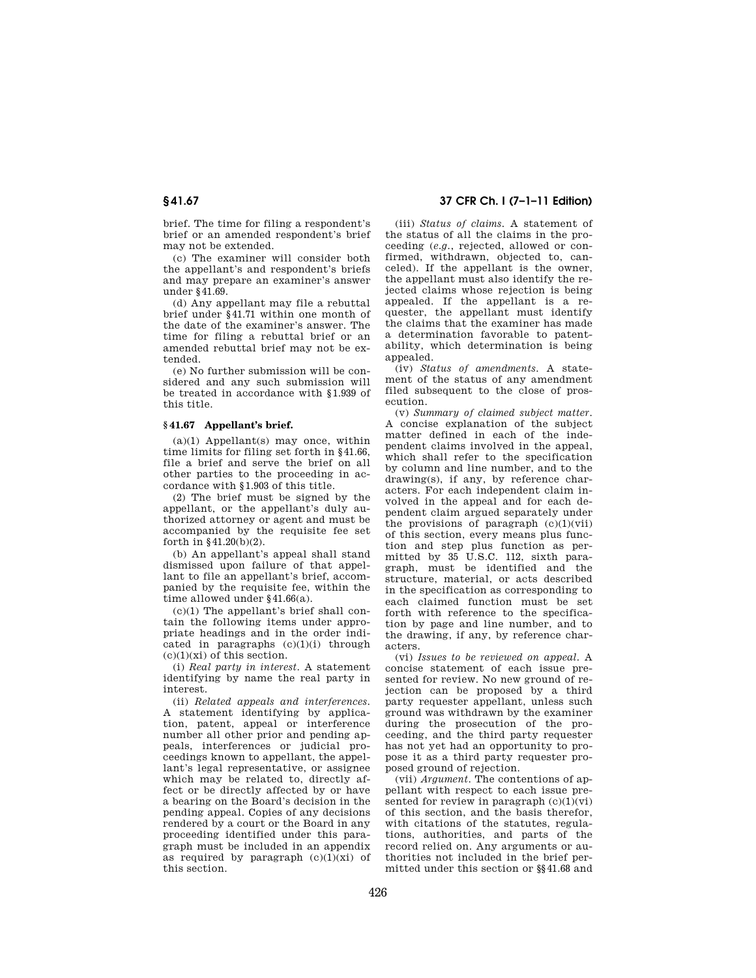brief. The time for filing a respondent's brief or an amended respondent's brief may not be extended.

(c) The examiner will consider both the appellant's and respondent's briefs and may prepare an examiner's answer under §41.69.

(d) Any appellant may file a rebuttal brief under §41.71 within one month of the date of the examiner's answer. The time for filing a rebuttal brief or an amended rebuttal brief may not be extended.

(e) No further submission will be considered and any such submission will be treated in accordance with §1.939 of this title.

#### **§ 41.67 Appellant's brief.**

 $(a)(1)$  Appellant(s) may once, within time limits for filing set forth in §41.66, file a brief and serve the brief on all other parties to the proceeding in accordance with §1.903 of this title.

(2) The brief must be signed by the appellant, or the appellant's duly authorized attorney or agent and must be accompanied by the requisite fee set forth in  $$41.20(b)(2)$ .

(b) An appellant's appeal shall stand dismissed upon failure of that appellant to file an appellant's brief, accompanied by the requisite fee, within the time allowed under §41.66(a).

 $(c)(1)$  The appellant's brief shall contain the following items under appropriate headings and in the order indicated in paragraphs (c)(1)(i) through  $(c)(1)(xi)$  of this section.

(i) *Real party in interest*. A statement identifying by name the real party in interest.

(ii) *Related appeals and interferences*. A statement identifying by application, patent, appeal or interference number all other prior and pending appeals, interferences or judicial proceedings known to appellant, the appellant's legal representative, or assignee which may be related to, directly affect or be directly affected by or have a bearing on the Board's decision in the pending appeal. Copies of any decisions rendered by a court or the Board in any proceeding identified under this paragraph must be included in an appendix as required by paragraph  $(c)(1)(xi)$  of this section.

## **§ 41.67 37 CFR Ch. I (7–1–11 Edition)**

(iii) *Status of claims*. A statement of the status of all the claims in the proceeding (*e.g.*, rejected, allowed or confirmed, withdrawn, objected to, canceled). If the appellant is the owner, the appellant must also identify the rejected claims whose rejection is being appealed. If the appellant is a requester, the appellant must identify the claims that the examiner has made a determination favorable to patentability, which determination is being appealed.

(iv) *Status of amendments*. A statement of the status of any amendment filed subsequent to the close of prosecution.

(v) *Summary of claimed subject matter*. A concise explanation of the subject matter defined in each of the independent claims involved in the appeal, which shall refer to the specification by column and line number, and to the drawing(s), if any, by reference characters. For each independent claim involved in the appeal and for each dependent claim argued separately under the provisions of paragraph  $(c)(1)(vii)$ of this section, every means plus function and step plus function as permitted by 35 U.S.C. 112, sixth paragraph, must be identified and the structure, material, or acts described in the specification as corresponding to each claimed function must be set forth with reference to the specification by page and line number, and to the drawing, if any, by reference characters.

(vi) *Issues to be reviewed on appeal*. A concise statement of each issue presented for review. No new ground of rejection can be proposed by a third party requester appellant, unless such ground was withdrawn by the examiner during the prosecution of the proceeding, and the third party requester has not yet had an opportunity to propose it as a third party requester proposed ground of rejection.

(vii) *Argument*. The contentions of appellant with respect to each issue presented for review in paragraph  $(c)(1)(vi)$ of this section, and the basis therefor, with citations of the statutes, regulations, authorities, and parts of the record relied on. Any arguments or authorities not included in the brief permitted under this section or §§41.68 and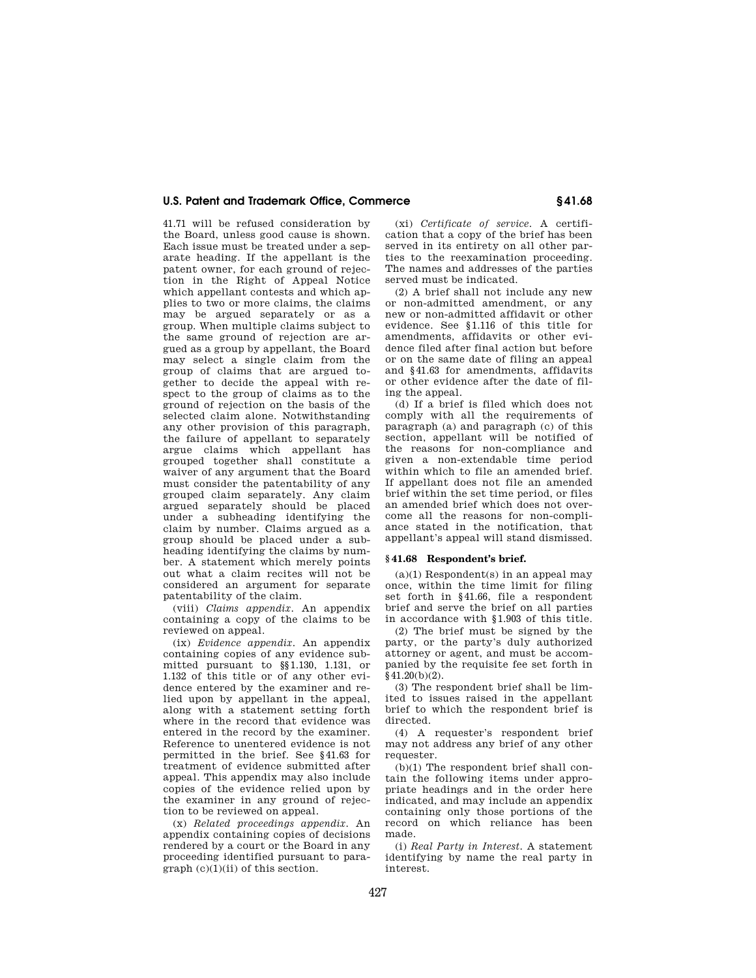41.71 will be refused consideration by the Board, unless good cause is shown. Each issue must be treated under a separate heading. If the appellant is the patent owner, for each ground of rejection in the Right of Appeal Notice which appellant contests and which applies to two or more claims, the claims may be argued separately or as a group. When multiple claims subject to the same ground of rejection are argued as a group by appellant, the Board may select a single claim from the group of claims that are argued together to decide the appeal with respect to the group of claims as to the ground of rejection on the basis of the selected claim alone. Notwithstanding any other provision of this paragraph, the failure of appellant to separately argue claims which appellant has grouped together shall constitute a waiver of any argument that the Board must consider the patentability of any grouped claim separately. Any claim argued separately should be placed under a subheading identifying the claim by number. Claims argued as a group should be placed under a subheading identifying the claims by number. A statement which merely points out what a claim recites will not be considered an argument for separate patentability of the claim.

(viii) *Claims appendix*. An appendix containing a copy of the claims to be reviewed on appeal.

(ix) *Evidence appendix*. An appendix containing copies of any evidence submitted pursuant to §§1.130, 1.131, or 1.132 of this title or of any other evidence entered by the examiner and relied upon by appellant in the appeal, along with a statement setting forth where in the record that evidence was entered in the record by the examiner. Reference to unentered evidence is not permitted in the brief. See §41.63 for treatment of evidence submitted after appeal. This appendix may also include copies of the evidence relied upon by the examiner in any ground of rejection to be reviewed on appeal.

(x) *Related proceedings appendix*. An appendix containing copies of decisions rendered by a court or the Board in any proceeding identified pursuant to paragraph (c)(1)(ii) of this section.

(xi) *Certificate of service*. A certification that a copy of the brief has been served in its entirety on all other parties to the reexamination proceeding. The names and addresses of the parties served must be indicated.

(2) A brief shall not include any new or non-admitted amendment, or any new or non-admitted affidavit or other evidence. See §1.116 of this title for amendments, affidavits or other evidence filed after final action but before or on the same date of filing an appeal and §41.63 for amendments, affidavits or other evidence after the date of filing the appeal.

(d) If a brief is filed which does not comply with all the requirements of paragraph (a) and paragraph (c) of this section, appellant will be notified of the reasons for non-compliance and given a non-extendable time period within which to file an amended brief. If appellant does not file an amended brief within the set time period, or files an amended brief which does not overcome all the reasons for non-compliance stated in the notification, that appellant's appeal will stand dismissed.

#### **§ 41.68 Respondent's brief.**

 $(a)(1)$  Respondent(s) in an appeal may once, within the time limit for filing set forth in §41.66, file a respondent brief and serve the brief on all parties in accordance with §1.903 of this title.

(2) The brief must be signed by the party, or the party's duly authorized attorney or agent, and must be accompanied by the requisite fee set forth in §41.20(b)(2).

(3) The respondent brief shall be limited to issues raised in the appellant brief to which the respondent brief is directed.

(4) A requester's respondent brief may not address any brief of any other requester.

(b)(1) The respondent brief shall contain the following items under appropriate headings and in the order here indicated, and may include an appendix containing only those portions of the record on which reliance has been made.

(i) *Real Party in Interest*. A statement identifying by name the real party in interest.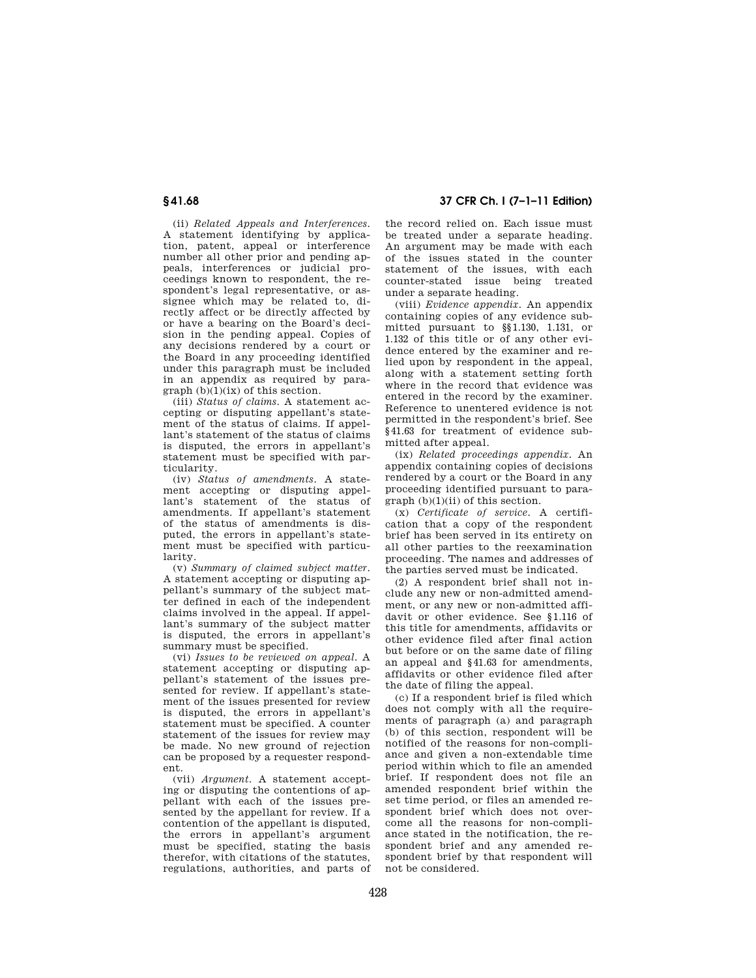**§ 41.68 37 CFR Ch. I (7–1–11 Edition)** 

(ii) *Related Appeals and Interferences*. A statement identifying by application, patent, appeal or interference number all other prior and pending appeals, interferences or judicial proceedings known to respondent, the respondent's legal representative, or assignee which may be related to, directly affect or be directly affected by or have a bearing on the Board's decision in the pending appeal. Copies of any decisions rendered by a court or the Board in any proceeding identified under this paragraph must be included in an appendix as required by para $graph (b)(1)(ix)$  of this section.

(iii) *Status of claims*. A statement accepting or disputing appellant's statement of the status of claims. If appellant's statement of the status of claims is disputed, the errors in appellant's statement must be specified with particularity.

(iv) *Status of amendments*. A statement accepting or disputing appellant's statement of the status of amendments. If appellant's statement of the status of amendments is disputed, the errors in appellant's statement must be specified with particularity.

(v) *Summary of claimed subject matter*. A statement accepting or disputing appellant's summary of the subject matter defined in each of the independent claims involved in the appeal. If appellant's summary of the subject matter is disputed, the errors in appellant's summary must be specified.

(vi) *Issues to be reviewed on appeal*. A statement accepting or disputing appellant's statement of the issues presented for review. If appellant's statement of the issues presented for review is disputed, the errors in appellant's statement must be specified. A counter statement of the issues for review may be made. No new ground of rejection can be proposed by a requester respondent.

(vii) *Argument*. A statement accepting or disputing the contentions of appellant with each of the issues presented by the appellant for review. If a contention of the appellant is disputed, the errors in appellant's argument must be specified, stating the basis therefor, with citations of the statutes, regulations, authorities, and parts of

the record relied on. Each issue must be treated under a separate heading. An argument may be made with each of the issues stated in the counter statement of the issues, with each counter-stated issue being treated under a separate heading.

(viii) *Evidence appendix*. An appendix containing copies of any evidence submitted pursuant to §§1.130, 1.131, or 1.132 of this title or of any other evidence entered by the examiner and relied upon by respondent in the appeal, along with a statement setting forth where in the record that evidence was entered in the record by the examiner. Reference to unentered evidence is not permitted in the respondent's brief. See §41.63 for treatment of evidence submitted after appeal.

(ix) *Related proceedings appendix*. An appendix containing copies of decisions rendered by a court or the Board in any proceeding identified pursuant to paragraph (b)(1)(ii) of this section.

(x) *Certificate of service*. A certification that a copy of the respondent brief has been served in its entirety on all other parties to the reexamination proceeding. The names and addresses of the parties served must be indicated.

(2) A respondent brief shall not include any new or non-admitted amendment, or any new or non-admitted affidavit or other evidence. See §1.116 of this title for amendments, affidavits or other evidence filed after final action but before or on the same date of filing an appeal and §41.63 for amendments, affidavits or other evidence filed after the date of filing the appeal.

(c) If a respondent brief is filed which does not comply with all the requirements of paragraph (a) and paragraph (b) of this section, respondent will be notified of the reasons for non-compliance and given a non-extendable time period within which to file an amended brief. If respondent does not file an amended respondent brief within the set time period, or files an amended respondent brief which does not overcome all the reasons for non-compliance stated in the notification, the respondent brief and any amended respondent brief by that respondent will not be considered.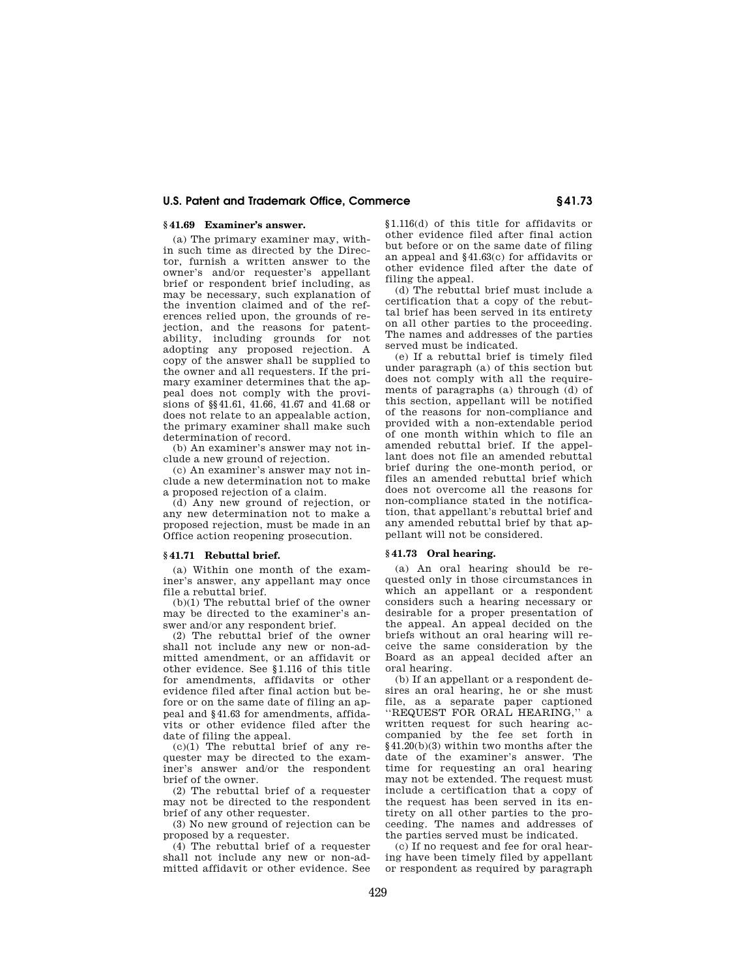#### **§ 41.69 Examiner's answer.**

(a) The primary examiner may, within such time as directed by the Director, furnish a written answer to the owner's and/or requester's appellant brief or respondent brief including, as may be necessary, such explanation of the invention claimed and of the references relied upon, the grounds of rejection, and the reasons for patentability, including grounds for not adopting any proposed rejection. A copy of the answer shall be supplied to the owner and all requesters. If the primary examiner determines that the appeal does not comply with the provisions of §§41.61, 41.66, 41.67 and 41.68 or does not relate to an appealable action, the primary examiner shall make such determination of record.

(b) An examiner's answer may not include a new ground of rejection.

(c) An examiner's answer may not include a new determination not to make a proposed rejection of a claim.

(d) Any new ground of rejection, or any new determination not to make a proposed rejection, must be made in an Office action reopening prosecution.

#### **§ 41.71 Rebuttal brief.**

(a) Within one month of the examiner's answer, any appellant may once file a rebuttal brief.

(b)(1) The rebuttal brief of the owner may be directed to the examiner's answer and/or any respondent brief.

(2) The rebuttal brief of the owner shall not include any new or non-admitted amendment, or an affidavit or other evidence. See §1.116 of this title for amendments, affidavits or other evidence filed after final action but before or on the same date of filing an appeal and §41.63 for amendments, affidavits or other evidence filed after the date of filing the appeal.

 $(c)(1)$  The rebuttal brief of any requester may be directed to the examiner's answer and/or the respondent brief of the owner.

(2) The rebuttal brief of a requester may not be directed to the respondent brief of any other requester.

(3) No new ground of rejection can be proposed by a requester.

 $(4)$  The rebuttal brief of a requester shall not include any new or non-admitted affidavit or other evidence. See §1.116(d) of this title for affidavits or other evidence filed after final action but before or on the same date of filing an appeal and §41.63(c) for affidavits or other evidence filed after the date of filing the appeal.

(d) The rebuttal brief must include a certification that a copy of the rebuttal brief has been served in its entirety on all other parties to the proceeding. The names and addresses of the parties served must be indicated.

(e) If a rebuttal brief is timely filed under paragraph (a) of this section but does not comply with all the requirements of paragraphs (a) through (d) of this section, appellant will be notified of the reasons for non-compliance and provided with a non-extendable period of one month within which to file an amended rebuttal brief. If the appellant does not file an amended rebuttal brief during the one-month period, or files an amended rebuttal brief which does not overcome all the reasons for non-compliance stated in the notification, that appellant's rebuttal brief and any amended rebuttal brief by that appellant will not be considered.

#### **§ 41.73 Oral hearing.**

(a) An oral hearing should be requested only in those circumstances in which an appellant or a respondent considers such a hearing necessary or desirable for a proper presentation of the appeal. An appeal decided on the briefs without an oral hearing will receive the same consideration by the Board as an appeal decided after an oral hearing.

(b) If an appellant or a respondent desires an oral hearing, he or she must file, as a separate paper captioned ''REQUEST FOR ORAL HEARING,'' a written request for such hearing accompanied by the fee set forth in §41.20(b)(3) within two months after the date of the examiner's answer. The time for requesting an oral hearing may not be extended. The request must include a certification that a copy of the request has been served in its entirety on all other parties to the proceeding. The names and addresses of the parties served must be indicated.

(c) If no request and fee for oral hearing have been timely filed by appellant or respondent as required by paragraph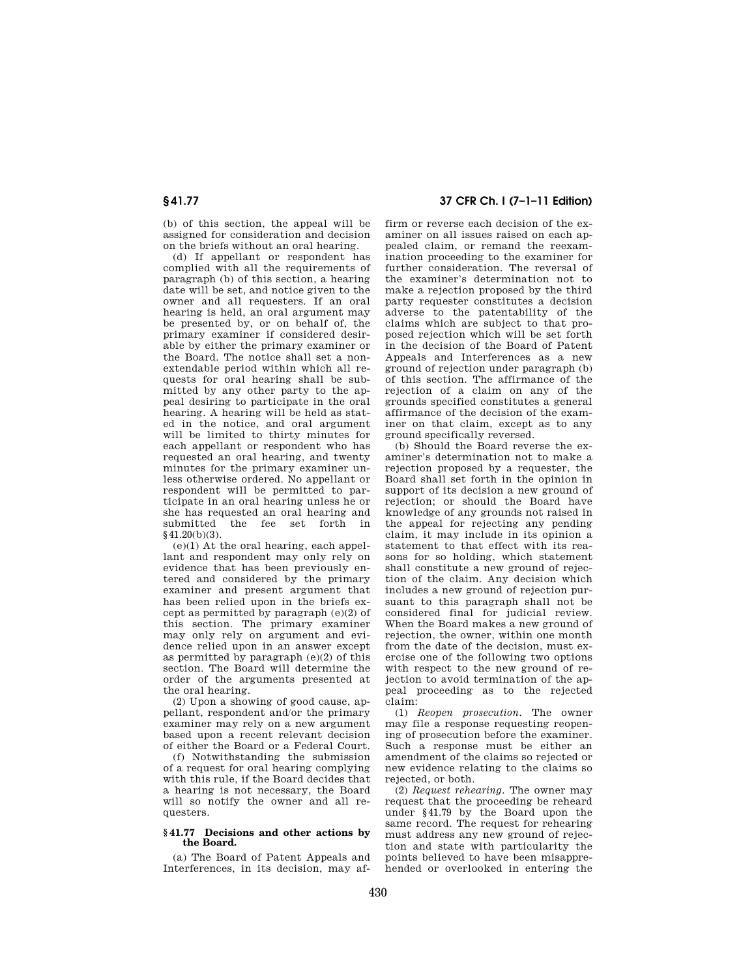(b) of this section, the appeal will be assigned for consideration and decision on the briefs without an oral hearing.

(d) If appellant or respondent has complied with all the requirements of paragraph (b) of this section, a hearing date will be set, and notice given to the owner and all requesters. If an oral hearing is held, an oral argument may be presented by, or on behalf of, the primary examiner if considered desirable by either the primary examiner or the Board. The notice shall set a nonextendable period within which all requests for oral hearing shall be submitted by any other party to the appeal desiring to participate in the oral hearing. A hearing will be held as stated in the notice, and oral argument will be limited to thirty minutes for each appellant or respondent who has requested an oral hearing, and twenty minutes for the primary examiner unless otherwise ordered. No appellant or respondent will be permitted to participate in an oral hearing unless he or she has requested an oral hearing and submitted the fee set forth in §41.20(b)(3).

 $(e)(1)$  At the oral hearing, each appellant and respondent may only rely on evidence that has been previously entered and considered by the primary examiner and present argument that has been relied upon in the briefs except as permitted by paragraph (e)(2) of this section. The primary examiner may only rely on argument and evidence relied upon in an answer except as permitted by paragraph (e)(2) of this section. The Board will determine the order of the arguments presented at the oral hearing.

(2) Upon a showing of good cause, appellant, respondent and/or the primary examiner may rely on a new argument based upon a recent relevant decision of either the Board or a Federal Court.

(f) Notwithstanding the submission of a request for oral hearing complying with this rule, if the Board decides that a hearing is not necessary, the Board will so notify the owner and all requesters.

#### **§ 41.77 Decisions and other actions by the Board.**

(a) The Board of Patent Appeals and Interferences, in its decision, may af-

# **§ 41.77 37 CFR Ch. I (7–1–11 Edition)**

firm or reverse each decision of the examiner on all issues raised on each appealed claim, or remand the reexamination proceeding to the examiner for further consideration. The reversal of the examiner's determination not to make a rejection proposed by the third party requester constitutes a decision adverse to the patentability of the claims which are subject to that proposed rejection which will be set forth in the decision of the Board of Patent Appeals and Interferences as a new ground of rejection under paragraph (b) of this section. The affirmance of the rejection of a claim on any of the grounds specified constitutes a general affirmance of the decision of the examiner on that claim, except as to any ground specifically reversed.

(b) Should the Board reverse the examiner's determination not to make a rejection proposed by a requester, the Board shall set forth in the opinion in support of its decision a new ground of rejection; or should the Board have knowledge of any grounds not raised in the appeal for rejecting any pending claim, it may include in its opinion a statement to that effect with its reasons for so holding, which statement shall constitute a new ground of rejection of the claim. Any decision which includes a new ground of rejection pursuant to this paragraph shall not be considered final for judicial review. When the Board makes a new ground of rejection, the owner, within one month from the date of the decision, must exercise one of the following two options with respect to the new ground of rejection to avoid termination of the appeal proceeding as to the rejected claim:

(1) *Reopen prosecution.* The owner may file a response requesting reopening of prosecution before the examiner. Such a response must be either an amendment of the claims so rejected or new evidence relating to the claims so rejected, or both.

(2) *Request rehearing.* The owner may request that the proceeding be reheard under §41.79 by the Board upon the same record. The request for rehearing must address any new ground of rejection and state with particularity the points believed to have been misapprehended or overlooked in entering the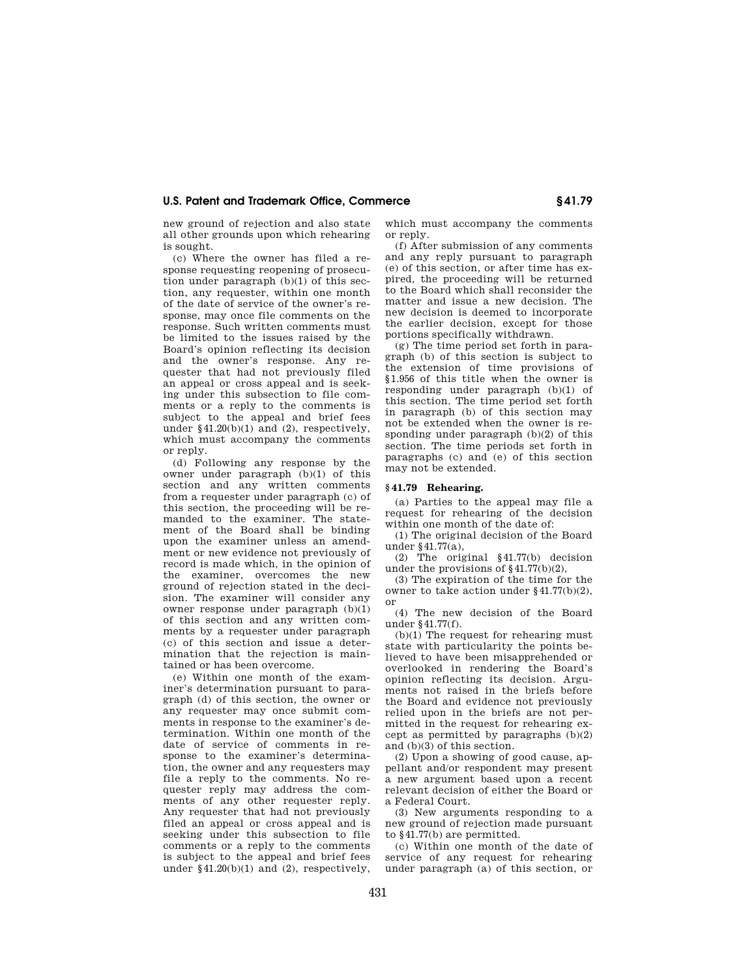new ground of rejection and also state all other grounds upon which rehearing is sought.

(c) Where the owner has filed a response requesting reopening of prosecution under paragraph (b)(1) of this section, any requester, within one month of the date of service of the owner's response, may once file comments on the response. Such written comments must be limited to the issues raised by the Board's opinion reflecting its decision and the owner's response. Any requester that had not previously filed an appeal or cross appeal and is seeking under this subsection to file comments or a reply to the comments is subject to the appeal and brief fees under  $§41.20(b)(1)$  and  $(2)$ , respectively, which must accompany the comments or reply.

(d) Following any response by the owner under paragraph (b)(1) of this section and any written comments from a requester under paragraph (c) of this section, the proceeding will be remanded to the examiner. The statement of the Board shall be binding upon the examiner unless an amendment or new evidence not previously of record is made which, in the opinion of the examiner, overcomes the new ground of rejection stated in the decision. The examiner will consider any owner response under paragraph (b)(1) of this section and any written comments by a requester under paragraph (c) of this section and issue a determination that the rejection is maintained or has been overcome.

(e) Within one month of the examiner's determination pursuant to paragraph (d) of this section, the owner or any requester may once submit comments in response to the examiner's determination. Within one month of the date of service of comments in response to the examiner's determination, the owner and any requesters may file a reply to the comments. No requester reply may address the comments of any other requester reply. Any requester that had not previously filed an appeal or cross appeal and is seeking under this subsection to file comments or a reply to the comments is subject to the appeal and brief fees under  $§41.20(b)(1)$  and  $(2)$ , respectively, which must accompany the comments or reply.

(f) After submission of any comments and any reply pursuant to paragraph (e) of this section, or after time has expired, the proceeding will be returned to the Board which shall reconsider the matter and issue a new decision. The new decision is deemed to incorporate the earlier decision, except for those portions specifically withdrawn.

(g) The time period set forth in paragraph (b) of this section is subject to the extension of time provisions of §1.956 of this title when the owner is responding under paragraph (b)(1) of this section. The time period set forth in paragraph (b) of this section may not be extended when the owner is responding under paragraph (b)(2) of this section. The time periods set forth in paragraphs (c) and (e) of this section may not be extended.

#### **§ 41.79 Rehearing.**

(a) Parties to the appeal may file a request for rehearing of the decision within one month of the date of:

(1) The original decision of the Board under §41.77(a),

(2) The original §41.77(b) decision under the provisions of §41.77(b)(2),

(3) The expiration of the time for the owner to take action under §41.77(b)(2), or

(4) The new decision of the Board under §41.77(f).

(b)(1) The request for rehearing must state with particularity the points believed to have been misapprehended or overlooked in rendering the Board's opinion reflecting its decision. Arguments not raised in the briefs before the Board and evidence not previously relied upon in the briefs are not permitted in the request for rehearing except as permitted by paragraphs (b)(2) and (b)(3) of this section.

(2) Upon a showing of good cause, appellant and/or respondent may present a new argument based upon a recent relevant decision of either the Board or a Federal Court.

(3) New arguments responding to a new ground of rejection made pursuant to §41.77(b) are permitted.

(c) Within one month of the date of service of any request for rehearing under paragraph (a) of this section, or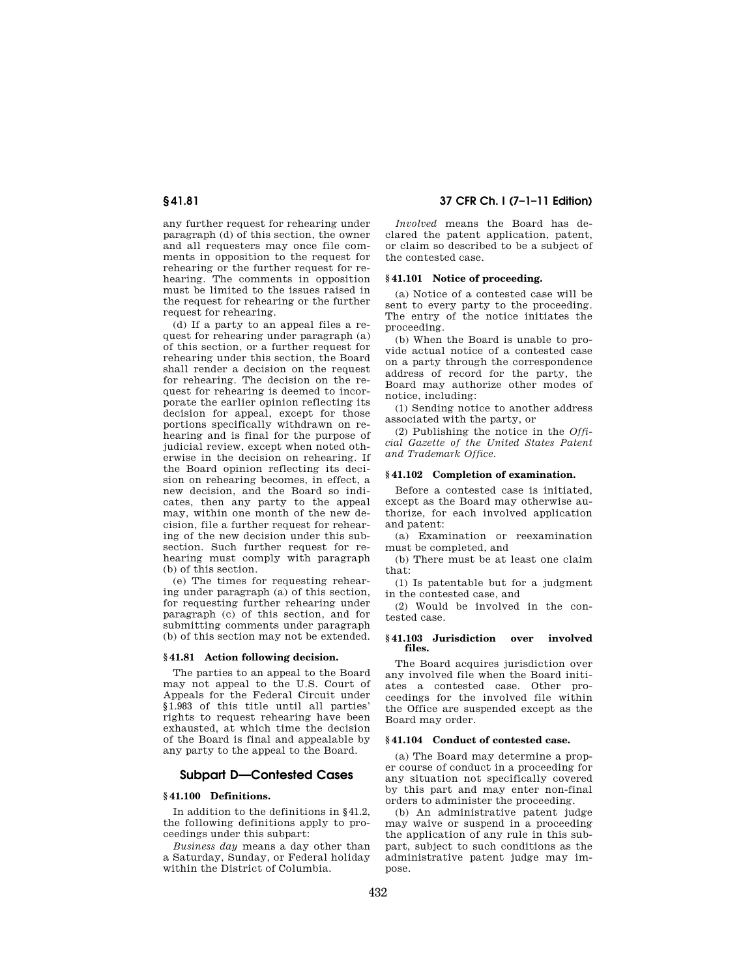any further request for rehearing under paragraph (d) of this section, the owner and all requesters may once file comments in opposition to the request for rehearing or the further request for rehearing. The comments in opposition must be limited to the issues raised in the request for rehearing or the further request for rehearing.

(d) If a party to an appeal files a request for rehearing under paragraph (a) of this section, or a further request for rehearing under this section, the Board shall render a decision on the request for rehearing. The decision on the request for rehearing is deemed to incorporate the earlier opinion reflecting its decision for appeal, except for those portions specifically withdrawn on rehearing and is final for the purpose of judicial review, except when noted otherwise in the decision on rehearing. If the Board opinion reflecting its decision on rehearing becomes, in effect, a new decision, and the Board so indicates, then any party to the appeal may, within one month of the new decision, file a further request for rehearing of the new decision under this subsection. Such further request for rehearing must comply with paragraph (b) of this section.

(e) The times for requesting rehearing under paragraph (a) of this section, for requesting further rehearing under paragraph (c) of this section, and for submitting comments under paragraph (b) of this section may not be extended.

#### **§ 41.81 Action following decision.**

The parties to an appeal to the Board may not appeal to the U.S. Court of Appeals for the Federal Circuit under §1.983 of this title until all parties' rights to request rehearing have been exhausted, at which time the decision of the Board is final and appealable by any party to the appeal to the Board.

#### **Subpart D—Contested Cases**

#### **§ 41.100 Definitions.**

In addition to the definitions in §41.2, the following definitions apply to proceedings under this subpart:

*Business day* means a day other than a Saturday, Sunday, or Federal holiday within the District of Columbia.

**§ 41.81 37 CFR Ch. I (7–1–11 Edition)** 

*Involved* means the Board has declared the patent application, patent, or claim so described to be a subject of the contested case.

#### **§ 41.101 Notice of proceeding.**

(a) Notice of a contested case will be sent to every party to the proceeding. The entry of the notice initiates the proceeding.

(b) When the Board is unable to provide actual notice of a contested case on a party through the correspondence address of record for the party, the Board may authorize other modes of notice, including:

(1) Sending notice to another address associated with the party, or

(2) Publishing the notice in the *Official Gazette of the United States Patent and Trademark Office.* 

#### **§ 41.102 Completion of examination.**

Before a contested case is initiated, except as the Board may otherwise authorize, for each involved application and patent:

(a) Examination or reexamination must be completed, and

(b) There must be at least one claim that:

(1) Is patentable but for a judgment in the contested case, and

(2) Would be involved in the contested case.

#### **§ 41.103 Jurisdiction over involved files.**

The Board acquires jurisdiction over any involved file when the Board initiates a contested case. Other proceedings for the involved file within the Office are suspended except as the Board may order.

#### **§ 41.104 Conduct of contested case.**

(a) The Board may determine a proper course of conduct in a proceeding for any situation not specifically covered by this part and may enter non-final orders to administer the proceeding.

(b) An administrative patent judge may waive or suspend in a proceeding the application of any rule in this subpart, subject to such conditions as the administrative patent judge may impose.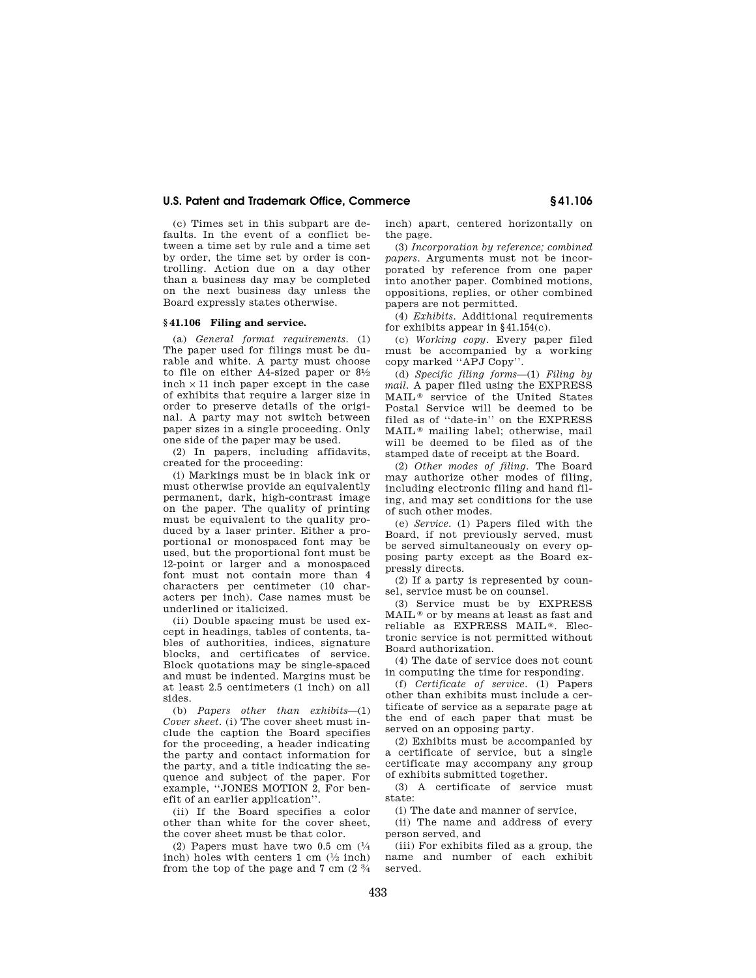(c) Times set in this subpart are defaults. In the event of a conflict between a time set by rule and a time set by order, the time set by order is controlling. Action due on a day other than a business day may be completed on the next business day unless the Board expressly states otherwise.

#### **§ 41.106 Filing and service.**

(a) *General format requirements.* (1) The paper used for filings must be durable and white. A party must choose to file on either A4-sized paper or  $8\frac{1}{2}$ inch  $\times$  11 inch paper except in the case of exhibits that require a larger size in order to preserve details of the original. A party may not switch between paper sizes in a single proceeding. Only one side of the paper may be used.

(2) In papers, including affidavits, created for the proceeding:

(i) Markings must be in black ink or must otherwise provide an equivalently permanent, dark, high-contrast image on the paper. The quality of printing must be equivalent to the quality produced by a laser printer. Either a proportional or monospaced font may be used, but the proportional font must be 12-point or larger and a monospaced font must not contain more than 4 characters per centimeter (10 characters per inch). Case names must be underlined or italicized.

(ii) Double spacing must be used except in headings, tables of contents, tables of authorities, indices, signature blocks, and certificates of service. Block quotations may be single-spaced and must be indented. Margins must be at least 2.5 centimeters (1 inch) on all sides.

(b) *Papers other than exhibits*—(1) *Cover sheet.* (i) The cover sheet must include the caption the Board specifies for the proceeding, a header indicating the party and contact information for the party, and a title indicating the sequence and subject of the paper. For example, ''JONES MOTION 2, For benefit of an earlier application''.

(ii) If the Board specifies a color other than white for the cover sheet, the cover sheet must be that color.

(2) Papers must have two 0.5 cm  $(1/4)$ inch) holes with centers  $1 \text{ cm } (1/2 \text{ inch})$ from the top of the page and  $7 \text{ cm}$  ( $2 \frac{3}{4}$ ) inch) apart, centered horizontally on the page.

(3) *Incorporation by reference; combined papers.* Arguments must not be incorporated by reference from one paper into another paper. Combined motions, oppositions, replies, or other combined papers are not permitted.

(4) *Exhibits.* Additional requirements for exhibits appear in §41.154(c).

(c) *Working copy.* Every paper filed must be accompanied by a working copy marked ''APJ Copy''.

(d) *Specific filing forms*—(1) *Filing by mail.* A paper filed using the EXPRESS MAIL ® service of the United States Postal Service will be deemed to be filed as of ''date-in'' on the EXPRESS MAIL ® mailing label; otherwise, mail will be deemed to be filed as of the stamped date of receipt at the Board.

(2) *Other modes of filing.* The Board may authorize other modes of filing, including electronic filing and hand filing, and may set conditions for the use of such other modes.

(e) *Service.* (1) Papers filed with the Board, if not previously served, must be served simultaneously on every opposing party except as the Board expressly directs.

(2) If a party is represented by counsel, service must be on counsel.

(3) Service must be by EXPRESS MAIL ® or by means at least as fast and reliable as EXPRESS MAIL ®. Electronic service is not permitted without Board authorization.

(4) The date of service does not count in computing the time for responding.

(f) *Certificate of service.* (1) Papers other than exhibits must include a certificate of service as a separate page at the end of each paper that must be served on an opposing party.

(2) Exhibits must be accompanied by a certificate of service, but a single certificate may accompany any group of exhibits submitted together.

(3) A certificate of service must state:

(i) The date and manner of service,

(ii) The name and address of every person served, and

(iii) For exhibits filed as a group, the name and number of each exhibit served.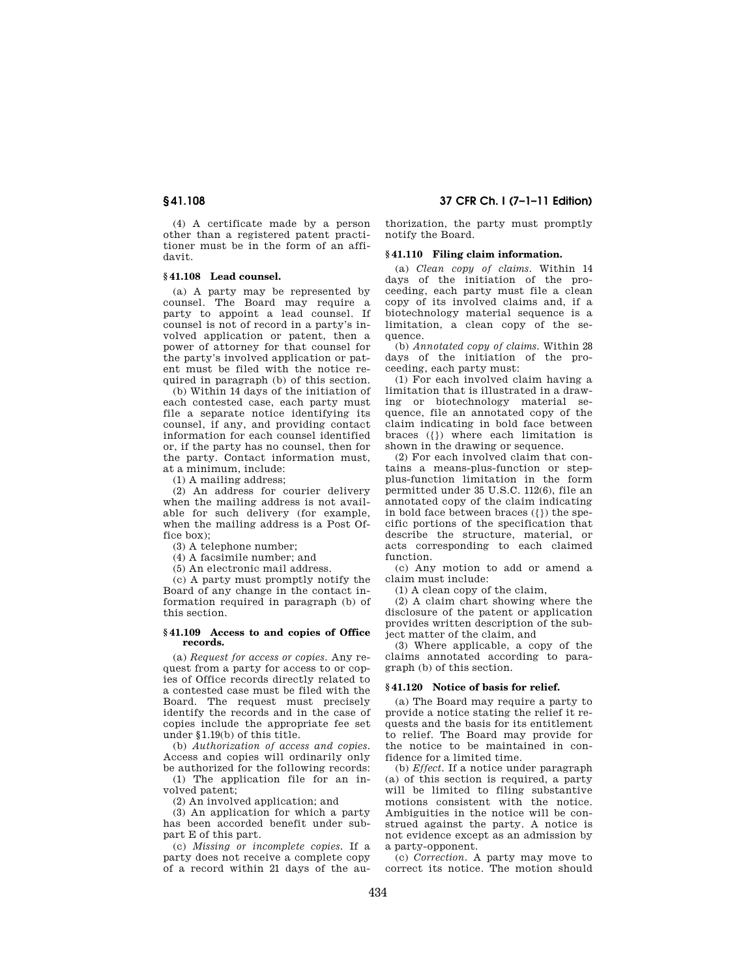(4) A certificate made by a person other than a registered patent practitioner must be in the form of an affidavit.

### **§ 41.108 Lead counsel.**

(a) A party may be represented by counsel. The Board may require a party to appoint a lead counsel. If counsel is not of record in a party's involved application or patent, then a power of attorney for that counsel for the party's involved application or patent must be filed with the notice required in paragraph (b) of this section.

(b) Within 14 days of the initiation of each contested case, each party must file a separate notice identifying its counsel, if any, and providing contact information for each counsel identified or, if the party has no counsel, then for the party. Contact information must, at a minimum, include:

(1) A mailing address;

(2) An address for courier delivery when the mailing address is not available for such delivery (for example, when the mailing address is a Post Office box);

(3) A telephone number;

(4) A facsimile number; and

(5) An electronic mail address.

(c) A party must promptly notify the Board of any change in the contact information required in paragraph (b) of this section.

#### **§ 41.109 Access to and copies of Office records.**

(a) *Request for access or copies.* Any request from a party for access to or copies of Office records directly related to a contested case must be filed with the Board. The request must precisely identify the records and in the case of copies include the appropriate fee set under §1.19(b) of this title.

(b) *Authorization of access and copies.*  Access and copies will ordinarily only be authorized for the following records:

(1) The application file for an involved patent;

(2) An involved application; and

(3) An application for which a party has been accorded benefit under subpart E of this part.

(c) *Missing or incomplete copies.* If a party does not receive a complete copy of a record within 21 days of the au-

**§ 41.108 37 CFR Ch. I (7–1–11 Edition)** 

thorization, the party must promptly notify the Board.

#### **§ 41.110 Filing claim information.**

(a) *Clean copy of claims.* Within 14 days of the initiation of the proceeding, each party must file a clean copy of its involved claims and, if a biotechnology material sequence is a limitation, a clean copy of the sequence.

(b) *Annotated copy of claims.* Within 28 days of the initiation of the proceeding, each party must:

(1) For each involved claim having a limitation that is illustrated in a drawing or biotechnology material sequence, file an annotated copy of the claim indicating in bold face between braces ({}) where each limitation is shown in the drawing or sequence.

(2) For each involved claim that contains a means-plus-function or stepplus-function limitation in the form permitted under 35 U.S.C. 112(6), file an annotated copy of the claim indicating in bold face between braces ({}) the specific portions of the specification that describe the structure, material, or acts corresponding to each claimed function.

(c) Any motion to add or amend a claim must include:

(1) A clean copy of the claim,

(2) A claim chart showing where the disclosure of the patent or application provides written description of the subject matter of the claim, and

(3) Where applicable, a copy of the claims annotated according to paragraph (b) of this section.

#### **§ 41.120 Notice of basis for relief.**

(a) The Board may require a party to provide a notice stating the relief it requests and the basis for its entitlement to relief. The Board may provide for the notice to be maintained in confidence for a limited time.

(b) *Effect.* If a notice under paragraph (a) of this section is required, a party will be limited to filing substantive motions consistent with the notice. Ambiguities in the notice will be construed against the party. A notice is not evidence except as an admission by a party-opponent.

(c) *Correction.* A party may move to correct its notice. The motion should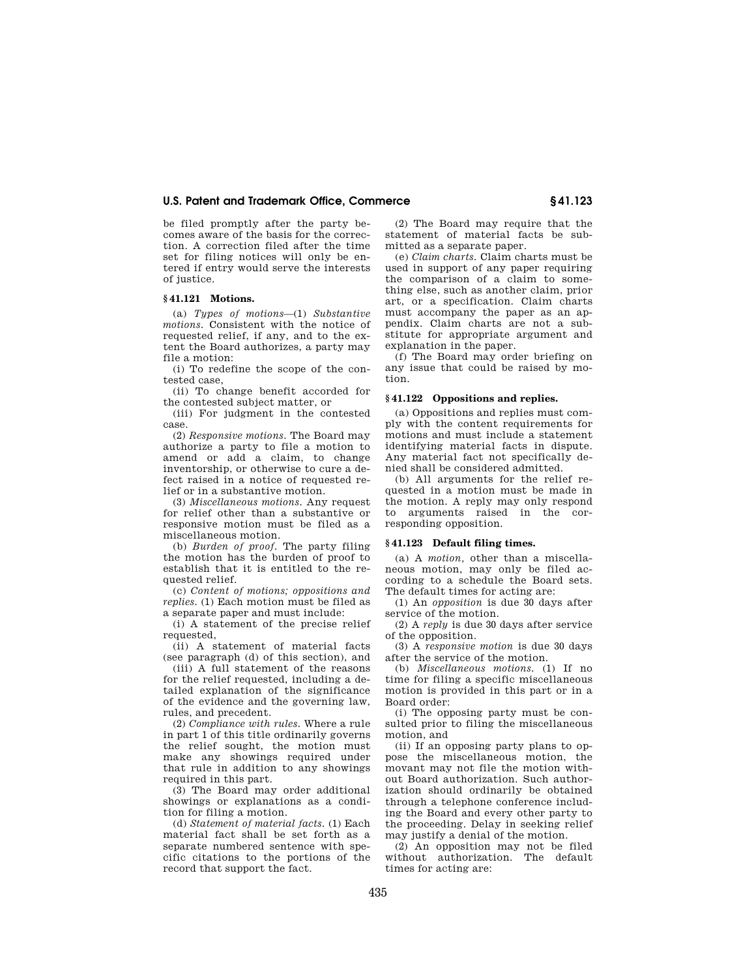be filed promptly after the party becomes aware of the basis for the correction. A correction filed after the time set for filing notices will only be entered if entry would serve the interests of justice.

#### **§ 41.121 Motions.**

(a) *Types of motions*—(1) *Substantive motions.* Consistent with the notice of requested relief, if any, and to the extent the Board authorizes, a party may file a motion:

(i) To redefine the scope of the contested case,

(ii) To change benefit accorded for the contested subject matter, or

(iii) For judgment in the contested case.

(2) *Responsive motions.* The Board may authorize a party to file a motion to amend or add a claim, to change inventorship, or otherwise to cure a defect raised in a notice of requested relief or in a substantive motion.

(3) *Miscellaneous motions.* Any request for relief other than a substantive or responsive motion must be filed as a miscellaneous motion.

(b) *Burden of proof.* The party filing the motion has the burden of proof to establish that it is entitled to the requested relief.

(c) *Content of motions; oppositions and replies.* (1) Each motion must be filed as a separate paper and must include:

(i) A statement of the precise relief requested,

(ii) A statement of material facts (see paragraph (d) of this section), and

(iii) A full statement of the reasons for the relief requested, including a detailed explanation of the significance of the evidence and the governing law, rules, and precedent.

(2) *Compliance with rules.* Where a rule in part 1 of this title ordinarily governs the relief sought, the motion must make any showings required under that rule in addition to any showings required in this part.

(3) The Board may order additional showings or explanations as a condition for filing a motion.

(d) *Statement of material facts.* (1) Each material fact shall be set forth as a separate numbered sentence with specific citations to the portions of the record that support the fact.

(2) The Board may require that the statement of material facts be submitted as a separate paper.

(e) *Claim charts.* Claim charts must be used in support of any paper requiring the comparison of a claim to something else, such as another claim, prior art, or a specification. Claim charts must accompany the paper as an appendix. Claim charts are not a substitute for appropriate argument and explanation in the paper.

(f) The Board may order briefing on any issue that could be raised by motion.

#### **§ 41.122 Oppositions and replies.**

(a) Oppositions and replies must comply with the content requirements for motions and must include a statement identifying material facts in dispute. Any material fact not specifically denied shall be considered admitted.

(b) All arguments for the relief requested in a motion must be made in the motion. A reply may only respond to arguments raised in the corresponding opposition.

### **§ 41.123 Default filing times.**

(a) A *motion,* other than a miscellaneous motion, may only be filed according to a schedule the Board sets. The default times for acting are:

(1) An *opposition* is due 30 days after service of the motion.

(2) A *reply* is due 30 days after service of the opposition.

(3) A *responsive motion* is due 30 days after the service of the motion.

(b) *Miscellaneous motions.* (1) If no time for filing a specific miscellaneous motion is provided in this part or in a Board order:

(i) The opposing party must be consulted prior to filing the miscellaneous motion, and

(ii) If an opposing party plans to oppose the miscellaneous motion, the movant may not file the motion without Board authorization. Such authorization should ordinarily be obtained through a telephone conference including the Board and every other party to the proceeding. Delay in seeking relief may justify a denial of the motion.

(2) An opposition may not be filed without authorization. The default times for acting are: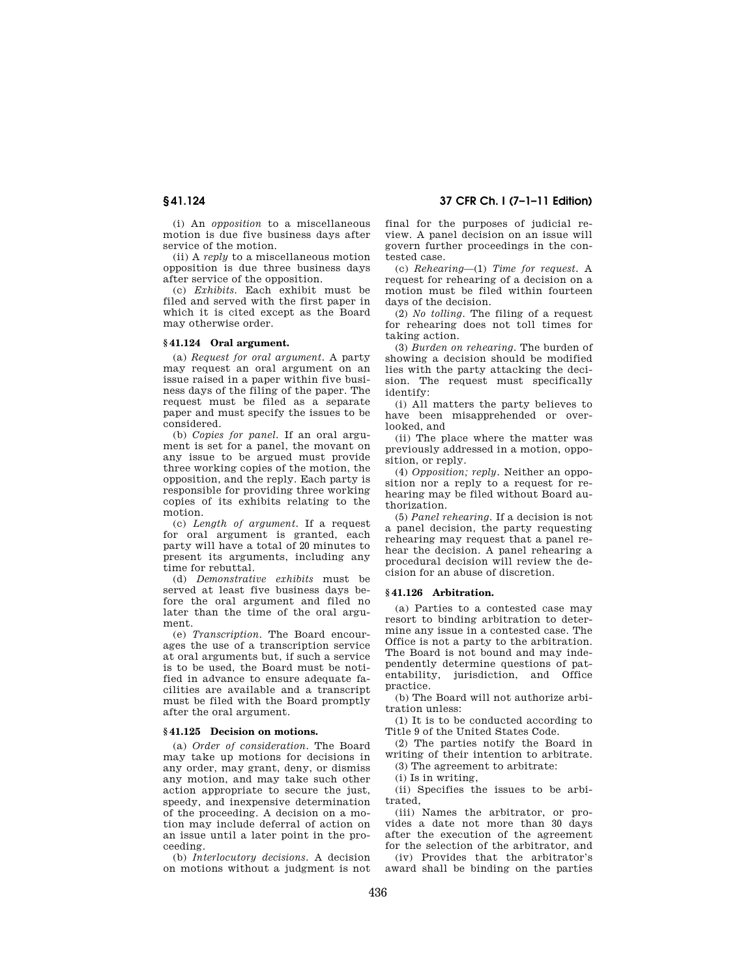(i) An *opposition* to a miscellaneous motion is due five business days after service of the motion.

(ii) A *reply* to a miscellaneous motion opposition is due three business days after service of the opposition.

(c) *Exhibits.* Each exhibit must be filed and served with the first paper in which it is cited except as the Board may otherwise order.

#### **§ 41.124 Oral argument.**

(a) *Request for oral argument.* A party may request an oral argument on an issue raised in a paper within five business days of the filing of the paper. The request must be filed as a separate paper and must specify the issues to be considered.

(b) *Copies for panel.* If an oral argument is set for a panel, the movant on any issue to be argued must provide three working copies of the motion, the opposition, and the reply. Each party is responsible for providing three working copies of its exhibits relating to the motion.

(c) *Length of argument.* If a request for oral argument is granted, each party will have a total of 20 minutes to present its arguments, including any time for rebuttal.

(d) *Demonstrative exhibits* must be served at least five business days before the oral argument and filed no later than the time of the oral argument.

(e) *Transcription.* The Board encourages the use of a transcription service at oral arguments but, if such a service is to be used, the Board must be notified in advance to ensure adequate facilities are available and a transcript must be filed with the Board promptly after the oral argument.

#### **§ 41.125 Decision on motions.**

(a) *Order of consideration.* The Board may take up motions for decisions in any order, may grant, deny, or dismiss any motion, and may take such other action appropriate to secure the just, speedy, and inexpensive determination of the proceeding. A decision on a motion may include deferral of action on an issue until a later point in the proceeding.

(b) *Interlocutory decisions.* A decision on motions without a judgment is not

**§ 41.124 37 CFR Ch. I (7–1–11 Edition)** 

final for the purposes of judicial review. A panel decision on an issue will govern further proceedings in the contested case.

(c) *Rehearing*—(1) *Time for request.* A request for rehearing of a decision on a motion must be filed within fourteen days of the decision.

(2) *No tolling.* The filing of a request for rehearing does not toll times for taking action.

(3) *Burden on rehearing.* The burden of showing a decision should be modified lies with the party attacking the decision. The request must specifically identify:

(i) All matters the party believes to have been misapprehended or overlooked, and

(ii) The place where the matter was previously addressed in a motion, opposition, or reply.

(4) *Opposition; reply.* Neither an opposition nor a reply to a request for rehearing may be filed without Board authorization.

(5) *Panel rehearing.* If a decision is not a panel decision, the party requesting rehearing may request that a panel rehear the decision. A panel rehearing a procedural decision will review the decision for an abuse of discretion.

#### **§ 41.126 Arbitration.**

(a) Parties to a contested case may resort to binding arbitration to determine any issue in a contested case. The Office is not a party to the arbitration. The Board is not bound and may independently determine questions of patentability, jurisdiction, and Office practice.

(b) The Board will not authorize arbitration unless:

(1) It is to be conducted according to Title 9 of the United States Code.

(2) The parties notify the Board in writing of their intention to arbitrate. (3) The agreement to arbitrate:

(i) Is in writing,

(ii) Specifies the issues to be arbitrated,

(iii) Names the arbitrator, or provides a date not more than 30 days after the execution of the agreement for the selection of the arbitrator, and

(iv) Provides that the arbitrator's award shall be binding on the parties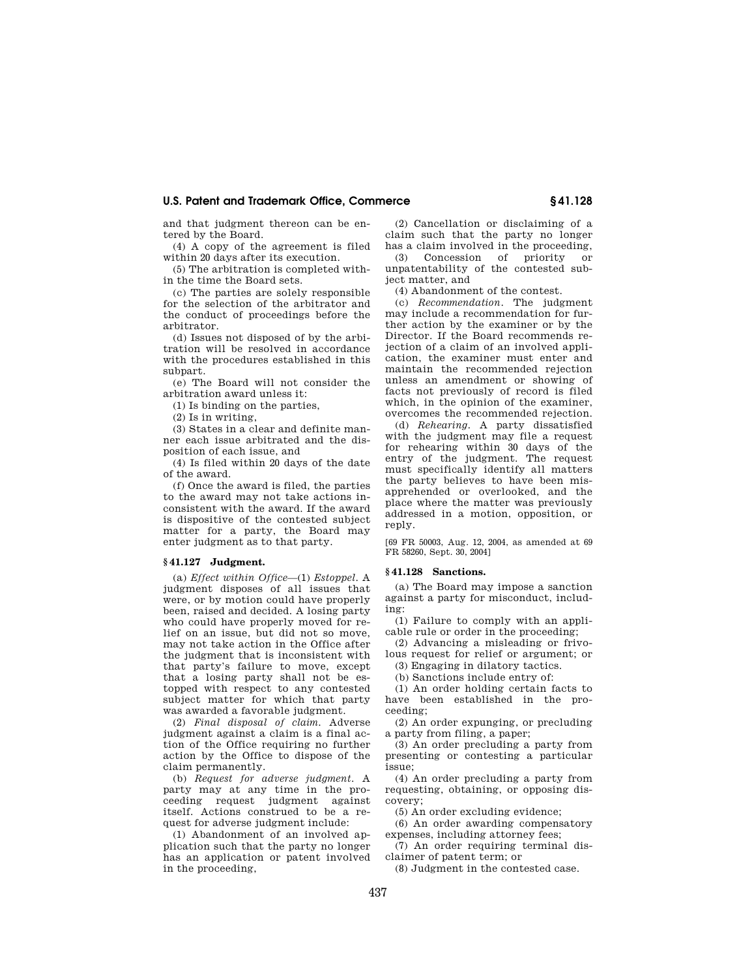and that judgment thereon can be entered by the Board.

(4) A copy of the agreement is filed within 20 days after its execution.

(5) The arbitration is completed within the time the Board sets.

(c) The parties are solely responsible for the selection of the arbitrator and the conduct of proceedings before the arbitrator.

(d) Issues not disposed of by the arbitration will be resolved in accordance with the procedures established in this subpart.

(e) The Board will not consider the arbitration award unless it:

(1) Is binding on the parties,

(2) Is in writing,

(3) States in a clear and definite manner each issue arbitrated and the disposition of each issue, and

(4) Is filed within 20 days of the date of the award.

(f) Once the award is filed, the parties to the award may not take actions inconsistent with the award. If the award is dispositive of the contested subject matter for a party, the Board may enter judgment as to that party.

#### **§ 41.127 Judgment.**

(a) *Effect within Office*—(1) *Estoppel*. A judgment disposes of all issues that were, or by motion could have properly been, raised and decided. A losing party who could have properly moved for relief on an issue, but did not so move, may not take action in the Office after the judgment that is inconsistent with that party's failure to move, except that a losing party shall not be estopped with respect to any contested subject matter for which that party was awarded a favorable judgment.

(2) *Final disposal of claim*. Adverse judgment against a claim is a final action of the Office requiring no further action by the Office to dispose of the claim permanently.

(b) *Request for adverse judgment*. A party may at any time in the proceeding request judgment against itself. Actions construed to be a request for adverse judgment include:

(1) Abandonment of an involved application such that the party no longer has an application or patent involved in the proceeding,

(2) Cancellation or disclaiming of a claim such that the party no longer has a claim involved in the proceeding,

(3) Concession of priority or unpatentability of the contested subject matter, and

(4) Abandonment of the contest.

(c) *Recommendation*. The judgment may include a recommendation for further action by the examiner or by the Director. If the Board recommends rejection of a claim of an involved application, the examiner must enter and maintain the recommended rejection unless an amendment or showing of facts not previously of record is filed which, in the opinion of the examiner, overcomes the recommended rejection.

(d) *Rehearing.* A party dissatisfied with the judgment may file a request for rehearing within 30 days of the entry of the judgment. The request must specifically identify all matters the party believes to have been misapprehended or overlooked, and the place where the matter was previously addressed in a motion, opposition, or reply.

[69 FR 50003, Aug. 12, 2004, as amended at 69 FR 58260, Sept. 30, 2004]

### **§ 41.128 Sanctions.**

(a) The Board may impose a sanction against a party for misconduct, including:

(1) Failure to comply with an applicable rule or order in the proceeding;

(2) Advancing a misleading or frivolous request for relief or argument; or

(3) Engaging in dilatory tactics.

(b) Sanctions include entry of:

(1) An order holding certain facts to have been established in the proceeding;

(2) An order expunging, or precluding a party from filing, a paper;

(3) An order precluding a party from presenting or contesting a particular issue;

(4) An order precluding a party from requesting, obtaining, or opposing discovery;

(5) An order excluding evidence;

(6) An order awarding compensatory expenses, including attorney fees;

(7) An order requiring terminal disclaimer of patent term; or

(8) Judgment in the contested case.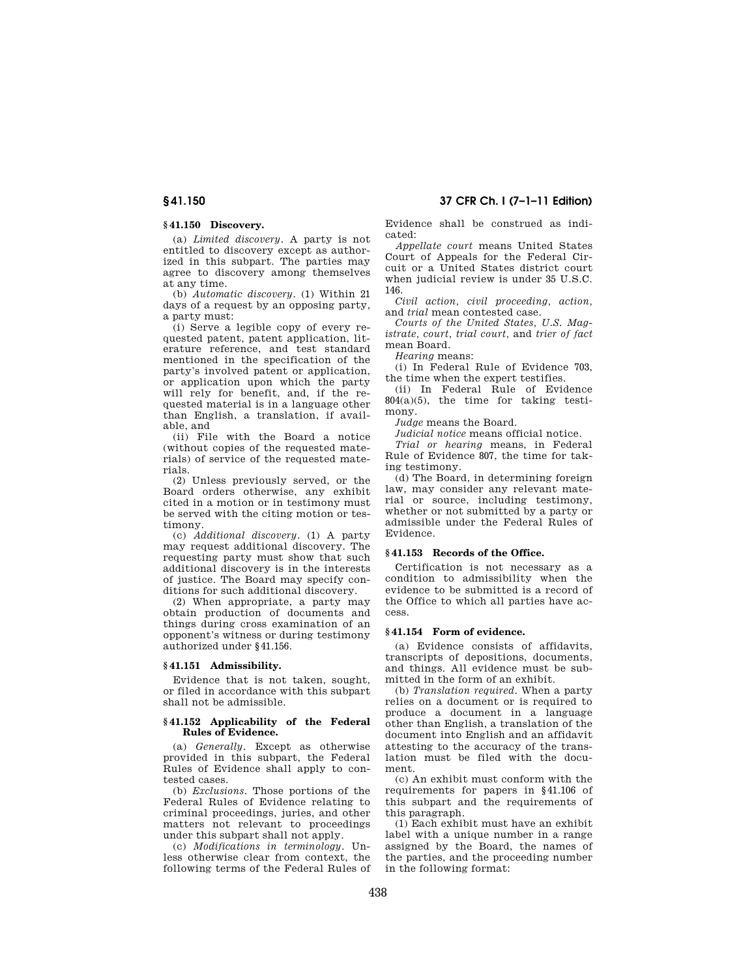### **§ 41.150 Discovery.**

(a) *Limited discovery*. A party is not entitled to discovery except as authorized in this subpart. The parties may agree to discovery among themselves at any time.

(b) *Automatic discovery*. (1) Within 21 days of a request by an opposing party, a party must:

(i) Serve a legible copy of every requested patent, patent application, literature reference, and test standard mentioned in the specification of the party's involved patent or application, or application upon which the party will rely for benefit, and, if the requested material is in a language other than English, a translation, if available, and

(ii) File with the Board a notice (without copies of the requested materials) of service of the requested materials.

(2) Unless previously served, or the Board orders otherwise, any exhibit cited in a motion or in testimony must be served with the citing motion or testimony.

(c) *Additional discovery*. (1) A party may request additional discovery. The requesting party must show that such additional discovery is in the interests of justice. The Board may specify conditions for such additional discovery.

(2) When appropriate, a party may obtain production of documents and things during cross examination of an opponent's witness or during testimony authorized under §41.156.

#### **§ 41.151 Admissibility.**

Evidence that is not taken, sought, or filed in accordance with this subpart shall not be admissible.

#### **§ 41.152 Applicability of the Federal Rules of Evidence.**

(a) *Generally*. Except as otherwise provided in this subpart, the Federal Rules of Evidence shall apply to contested cases.

(b) *Exclusions*. Those portions of the Federal Rules of Evidence relating to criminal proceedings, juries, and other matters not relevant to proceedings under this subpart shall not apply.

(c) *Modifications in terminology*. Unless otherwise clear from context, the following terms of the Federal Rules of Evidence shall be construed as indicated:

*Appellate court* means United States Court of Appeals for the Federal Circuit or a United States district court when judicial review is under 35 U.S.C. 146.

*Civil action, civil proceeding, action,*  and *trial* mean contested case.

*Courts of the United States, U.S. Magistrate, court, trial court,* and *trier of fact*  mean Board.

*Hearing* means:

(i) In Federal Rule of Evidence 703, the time when the expert testifies.

(ii) In Federal Rule of Evidence 804(a)(5), the time for taking testimony.

*Judge* means the Board.

*Judicial notice* means official notice.

*Trial or hearing* means, in Federal Rule of Evidence 807, the time for taking testimony.

(d) The Board, in determining foreign law, may consider any relevant material or source, including testimony, whether or not submitted by a party or admissible under the Federal Rules of Evidence.

#### **§ 41.153 Records of the Office.**

Certification is not necessary as a condition to admissibility when the evidence to be submitted is a record of the Office to which all parties have access.

#### **§ 41.154 Form of evidence.**

(a) Evidence consists of affidavits, transcripts of depositions, documents, and things. All evidence must be submitted in the form of an exhibit.

(b) *Translation required*. When a party relies on a document or is required to produce a document in a language other than English, a translation of the document into English and an affidavit attesting to the accuracy of the translation must be filed with the document.

(c) An exhibit must conform with the requirements for papers in §41.106 of this subpart and the requirements of this paragraph.

(1) Each exhibit must have an exhibit label with a unique number in a range assigned by the Board, the names of the parties, and the proceeding number in the following format: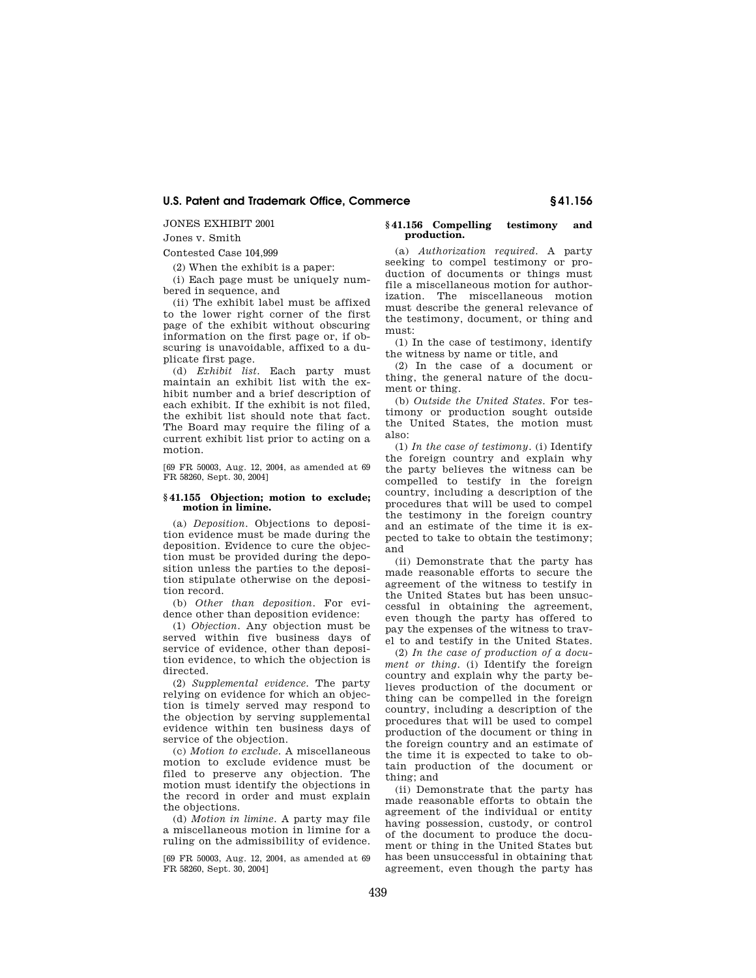JONES EXHIBIT 2001

Jones v. Smith

Contested Case 104,999

(2) When the exhibit is a paper:

(i) Each page must be uniquely numbered in sequence, and

(ii) The exhibit label must be affixed to the lower right corner of the first page of the exhibit without obscuring information on the first page or, if obscuring is unavoidable, affixed to a duplicate first page.

(d) *Exhibit list*. Each party must maintain an exhibit list with the exhibit number and a brief description of each exhibit. If the exhibit is not filed, the exhibit list should note that fact. The Board may require the filing of a current exhibit list prior to acting on a motion.

[69 FR 50003, Aug. 12, 2004, as amended at 69 FR 58260, Sept. 30, 2004]

#### **§ 41.155 Objection; motion to exclude; motion in limine.**

(a) *Deposition*. Objections to deposition evidence must be made during the deposition. Evidence to cure the objection must be provided during the deposition unless the parties to the deposition stipulate otherwise on the deposition record.

(b) *Other than deposition.* For evidence other than deposition evidence:

(1) *Objection.* Any objection must be served within five business days of service of evidence, other than deposition evidence, to which the objection is directed.

(2) *Supplemental evidence.* The party relying on evidence for which an objection is timely served may respond to the objection by serving supplemental evidence within ten business days of service of the objection.

(c) *Motion to exclude*. A miscellaneous motion to exclude evidence must be filed to preserve any objection. The motion must identify the objections in the record in order and must explain the objections.

(d) *Motion in limine*. A party may file a miscellaneous motion in limine for a ruling on the admissibility of evidence.

[69 FR 50003, Aug. 12, 2004, as amended at 69 FR 58260, Sept. 30, 2004]

#### **§ 41.156 Compelling testimony and production.**

(a) *Authorization required*. A party seeking to compel testimony or production of documents or things must file a miscellaneous motion for authorization. The miscellaneous motion must describe the general relevance of the testimony, document, or thing and must:

(1) In the case of testimony, identify the witness by name or title, and

(2) In the case of a document or thing, the general nature of the document or thing.

(b) *Outside the United States*. For testimony or production sought outside the United States, the motion must also:

(1) *In the case of testimony*. (i) Identify the foreign country and explain why the party believes the witness can be compelled to testify in the foreign country, including a description of the procedures that will be used to compel the testimony in the foreign country and an estimate of the time it is expected to take to obtain the testimony; and

(ii) Demonstrate that the party has made reasonable efforts to secure the agreement of the witness to testify in the United States but has been unsuccessful in obtaining the agreement, even though the party has offered to pay the expenses of the witness to travel to and testify in the United States.

(2) *In the case of production of a document or thing*. (i) Identify the foreign country and explain why the party believes production of the document or thing can be compelled in the foreign country, including a description of the procedures that will be used to compel production of the document or thing in the foreign country and an estimate of the time it is expected to take to obtain production of the document or thing; and

(ii) Demonstrate that the party has made reasonable efforts to obtain the agreement of the individual or entity having possession, custody, or control of the document to produce the document or thing in the United States but has been unsuccessful in obtaining that agreement, even though the party has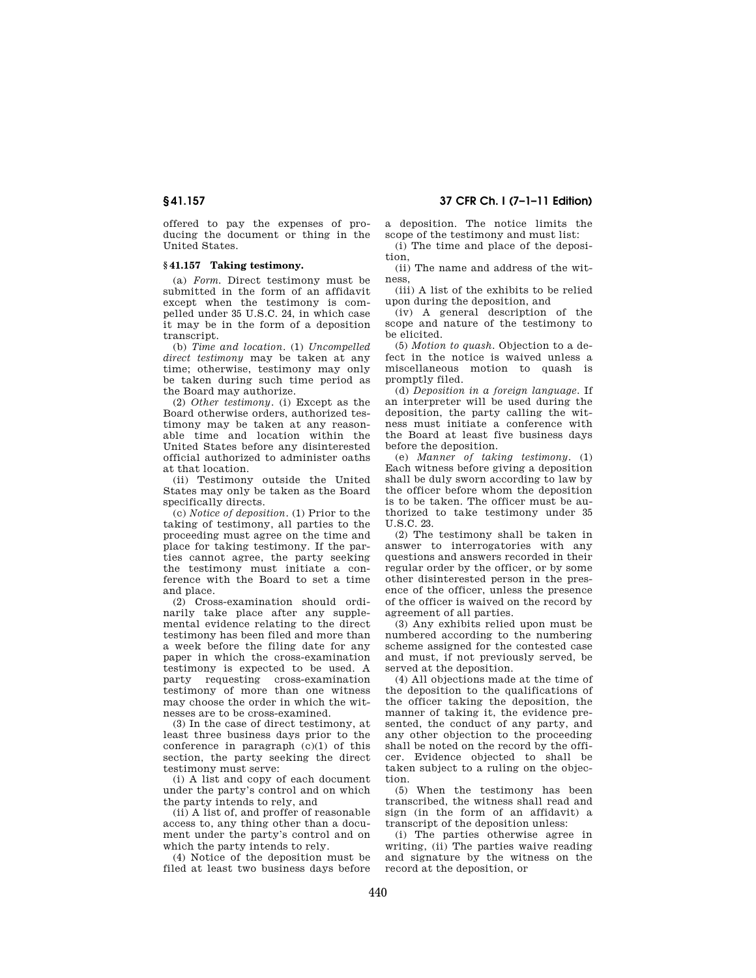offered to pay the expenses of producing the document or thing in the United States.

#### **§ 41.157 Taking testimony.**

(a) *Form*. Direct testimony must be submitted in the form of an affidavit except when the testimony is compelled under 35 U.S.C. 24, in which case it may be in the form of a deposition transcript.

(b) *Time and location*. (1) *Uncompelled direct testimony* may be taken at any time; otherwise, testimony may only be taken during such time period as the Board may authorize.

(2) *Other testimony*. (i) Except as the Board otherwise orders, authorized testimony may be taken at any reasonable time and location within the United States before any disinterested official authorized to administer oaths at that location.

(ii) Testimony outside the United States may only be taken as the Board specifically directs.

(c) *Notice of deposition*. (1) Prior to the taking of testimony, all parties to the proceeding must agree on the time and place for taking testimony. If the parties cannot agree, the party seeking the testimony must initiate a conference with the Board to set a time and place.

(2) Cross-examination should ordinarily take place after any supplemental evidence relating to the direct testimony has been filed and more than a week before the filing date for any paper in which the cross-examination testimony is expected to be used. A party requesting cross-examination testimony of more than one witness may choose the order in which the witnesses are to be cross-examined.

(3) In the case of direct testimony, at least three business days prior to the conference in paragraph (c)(1) of this section, the party seeking the direct testimony must serve:

(i) A list and copy of each document under the party's control and on which the party intends to rely, and

(ii) A list of, and proffer of reasonable access to, any thing other than a document under the party's control and on which the party intends to rely.

(4) Notice of the deposition must be filed at least two business days before a deposition. The notice limits the scope of the testimony and must list:

(i) The time and place of the deposition,

(ii) The name and address of the witness,

(iii) A list of the exhibits to be relied upon during the deposition, and

(iv) A general description of the scope and nature of the testimony to be elicited.

(5) *Motion to quash.* Objection to a defect in the notice is waived unless a miscellaneous motion to quash is promptly filed.

(d) *Deposition in a foreign language.* If an interpreter will be used during the deposition, the party calling the witness must initiate a conference with the Board at least five business days before the deposition.

(e) *Manner of taking testimony.* (1) Each witness before giving a deposition shall be duly sworn according to law by the officer before whom the deposition is to be taken. The officer must be authorized to take testimony under 35 U.S.C. 23.

(2) The testimony shall be taken in answer to interrogatories with any questions and answers recorded in their regular order by the officer, or by some other disinterested person in the presence of the officer, unless the presence of the officer is waived on the record by agreement of all parties.

(3) Any exhibits relied upon must be numbered according to the numbering scheme assigned for the contested case and must, if not previously served, be served at the deposition.

(4) All objections made at the time of the deposition to the qualifications of the officer taking the deposition, the manner of taking it, the evidence presented, the conduct of any party, and any other objection to the proceeding shall be noted on the record by the officer. Evidence objected to shall be taken subject to a ruling on the objection.

(5) When the testimony has been transcribed, the witness shall read and sign (in the form of an affidavit) a transcript of the deposition unless:

(i) The parties otherwise agree in writing, (ii) The parties waive reading and signature by the witness on the record at the deposition, or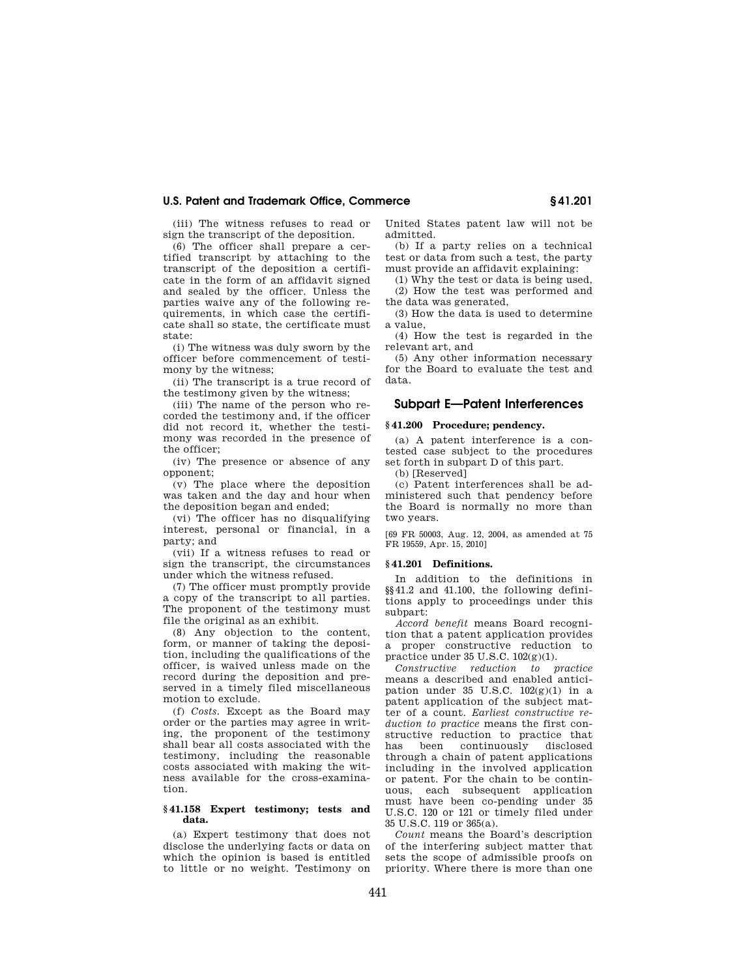(iii) The witness refuses to read or sign the transcript of the deposition.

(6) The officer shall prepare a certified transcript by attaching to the transcript of the deposition a certificate in the form of an affidavit signed and sealed by the officer. Unless the parties waive any of the following requirements, in which case the certificate shall so state, the certificate must state:

(i) The witness was duly sworn by the officer before commencement of testimony by the witness;

(ii) The transcript is a true record of the testimony given by the witness;

(iii) The name of the person who recorded the testimony and, if the officer did not record it, whether the testimony was recorded in the presence of the officer;

(iv) The presence or absence of any opponent;

(v) The place where the deposition was taken and the day and hour when the deposition began and ended;

(vi) The officer has no disqualifying interest, personal or financial, in a party; and

(vii) If a witness refuses to read or sign the transcript, the circumstances under which the witness refused.

(7) The officer must promptly provide a copy of the transcript to all parties. The proponent of the testimony must file the original as an exhibit.

(8) Any objection to the content, form, or manner of taking the deposition, including the qualifications of the officer, is waived unless made on the record during the deposition and preserved in a timely filed miscellaneous motion to exclude.

(f) *Costs.* Except as the Board may order or the parties may agree in writing, the proponent of the testimony shall bear all costs associated with the testimony, including the reasonable costs associated with making the witness available for the cross-examination.

#### **§ 41.158 Expert testimony; tests and data.**

(a) Expert testimony that does not disclose the underlying facts or data on which the opinion is based is entitled to little or no weight. Testimony on United States patent law will not be admitted.

(b) If a party relies on a technical test or data from such a test, the party must provide an affidavit explaining:

(1) Why the test or data is being used, (2) How the test was performed and the data was generated,

(3) How the data is used to determine a value,

(4) How the test is regarded in the relevant art, and

(5) Any other information necessary for the Board to evaluate the test and data.

## **Subpart E—Patent Interferences**

#### **§ 41.200 Procedure; pendency.**

(a) A patent interference is a contested case subject to the procedures set forth in subpart D of this part.

(b) [Reserved]

(c) Patent interferences shall be administered such that pendency before the Board is normally no more than two years.

[69 FR 50003, Aug. 12, 2004, as amended at 75 FR 19559, Apr. 15, 2010]

#### **§ 41.201 Definitions.**

In addition to the definitions in §§41.2 and 41.100, the following definitions apply to proceedings under this subpart:

*Accord benefit* means Board recognition that a patent application provides a proper constructive reduction to practice under 35 U.S.C. 102(g)(1).

*Constructive reduction to practice*  means a described and enabled anticipation under 35 U.S.C.  $102(g)(1)$  in a patent application of the subject matter of a count. *Earliest constructive reduction to practice* means the first constructive reduction to practice that has been continuously through a chain of patent applications including in the involved application or patent. For the chain to be continuous, each subsequent application must have been co-pending under 35 U.S.C. 120 or 121 or timely filed under 35 U.S.C. 119 or 365(a).

*Count* means the Board's description of the interfering subject matter that sets the scope of admissible proofs on priority. Where there is more than one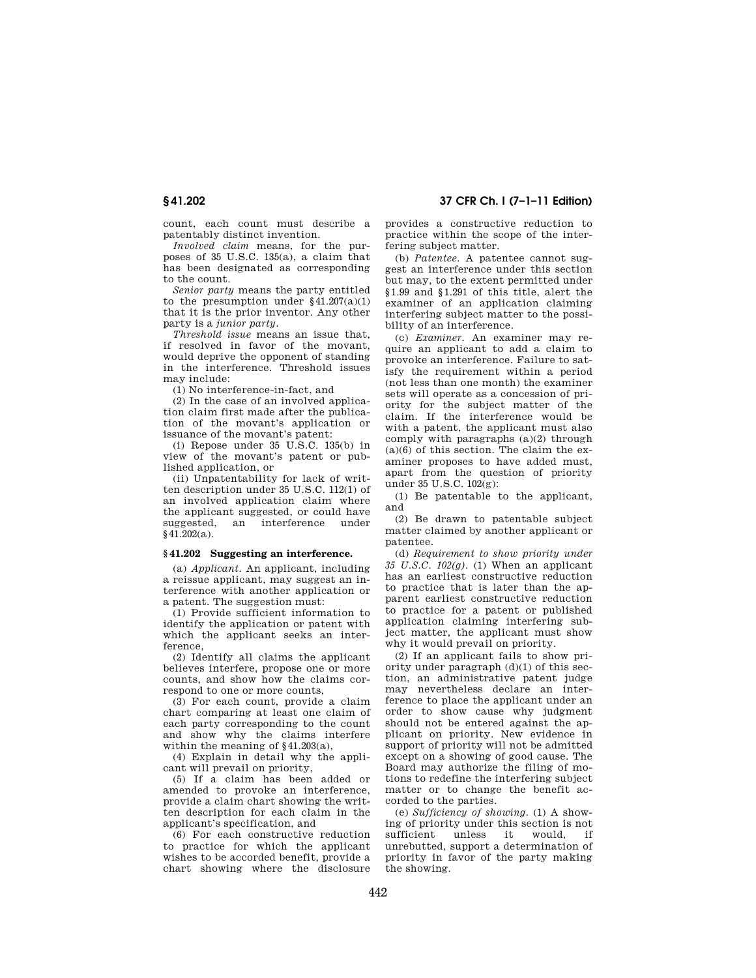**§ 41.202 37 CFR Ch. I (7–1–11 Edition)** 

count, each count must describe a patentably distinct invention.

*Involved claim* means, for the purposes of 35 U.S.C. 135(a), a claim that has been designated as corresponding to the count.

*Senior party* means the party entitled to the presumption under  $§41.207(a)(1)$ that it is the prior inventor. Any other party is a *junior party.* 

*Threshold issue* means an issue that, if resolved in favor of the movant, would deprive the opponent of standing in the interference. Threshold issues may include:

(1) No interference-in-fact, and

(2) In the case of an involved application claim first made after the publication of the movant's application or issuance of the movant's patent:

(i) Repose under 35 U.S.C. 135(b) in view of the movant's patent or published application, or

(ii) Unpatentability for lack of written description under 35 U.S.C. 112(1) of an involved application claim where the applicant suggested, or could have suggested, an §41.202(a).

### **§ 41.202 Suggesting an interference.**

(a) *Applicant.* An applicant, including a reissue applicant, may suggest an interference with another application or a patent. The suggestion must:

(1) Provide sufficient information to identify the application or patent with which the applicant seeks an interference,

(2) Identify all claims the applicant believes interfere, propose one or more counts, and show how the claims correspond to one or more counts,

(3) For each count, provide a claim chart comparing at least one claim of each party corresponding to the count and show why the claims interfere within the meaning of §41.203(a),

(4) Explain in detail why the applicant will prevail on priority,

(5) If a claim has been added or amended to provoke an interference, provide a claim chart showing the written description for each claim in the applicant's specification, and

(6) For each constructive reduction to practice for which the applicant wishes to be accorded benefit, provide a chart showing where the disclosure

provides a constructive reduction to practice within the scope of the interfering subject matter.

(b) *Patentee.* A patentee cannot suggest an interference under this section but may, to the extent permitted under §1.99 and §1.291 of this title, alert the examiner of an application claiming interfering subject matter to the possibility of an interference.

(c) *Examiner.* An examiner may require an applicant to add a claim to provoke an interference. Failure to satisfy the requirement within a period (not less than one month) the examiner sets will operate as a concession of priority for the subject matter of the claim. If the interference would be with a patent, the applicant must also comply with paragraphs (a)(2) through  $(a)(6)$  of this section. The claim the examiner proposes to have added must, apart from the question of priority under 35 U.S.C. 102(g):

(1) Be patentable to the applicant, and

(2) Be drawn to patentable subject matter claimed by another applicant or patentee.

(d) *Requirement to show priority under 35 U.S.C. 102(g).* (1) When an applicant has an earliest constructive reduction to practice that is later than the apparent earliest constructive reduction to practice for a patent or published application claiming interfering subject matter, the applicant must show why it would prevail on priority.

(2) If an applicant fails to show priority under paragraph (d)(1) of this section, an administrative patent judge may nevertheless declare an interference to place the applicant under an order to show cause why judgment should not be entered against the applicant on priority. New evidence in support of priority will not be admitted except on a showing of good cause. The Board may authorize the filing of motions to redefine the interfering subject matter or to change the benefit accorded to the parties.

(e) *Sufficiency of showing.* (1) A showing of priority under this section is not unless it would, if unrebutted, support a determination of priority in favor of the party making the showing.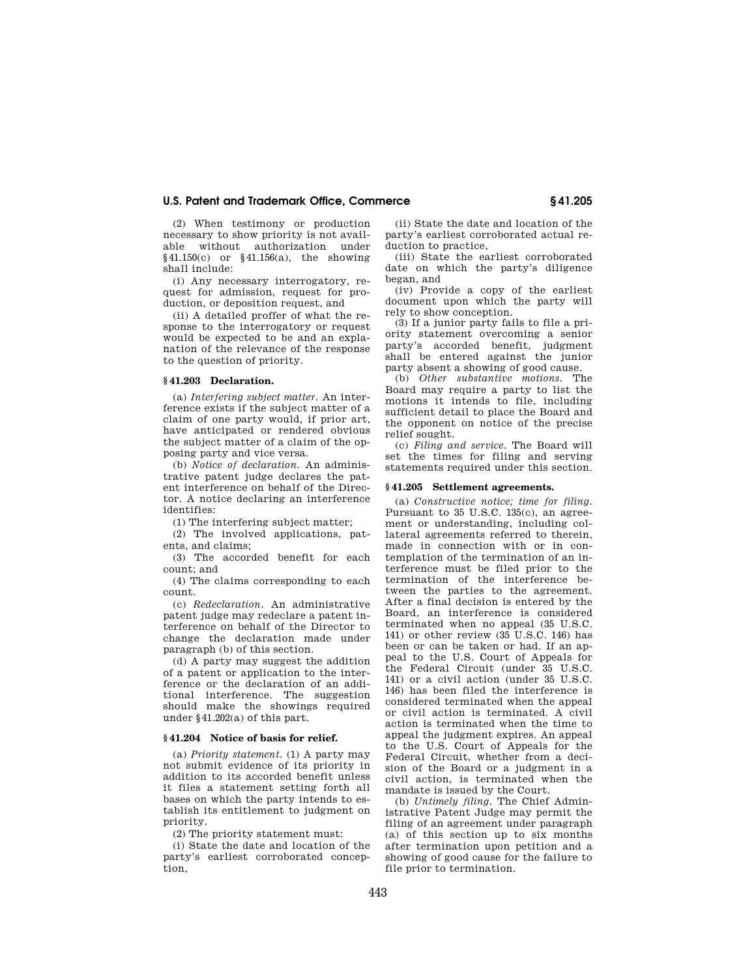(2) When testimony or production necessary to show priority is not available without authorization under §41.150(c) or §41.156(a), the showing shall include:

(i) Any necessary interrogatory, request for admission, request for production, or deposition request, and

(ii) A detailed proffer of what the response to the interrogatory or request would be expected to be and an explanation of the relevance of the response to the question of priority.

#### **§ 41.203 Declaration.**

(a) *Interfering subject matter.* An interference exists if the subject matter of a claim of one party would, if prior art, have anticipated or rendered obvious the subject matter of a claim of the opposing party and vice versa.

(b) *Notice of declaration.* An administrative patent judge declares the patent interference on behalf of the Director. A notice declaring an interference identifies:

(1) The interfering subject matter;

(2) The involved applications, patents, and claims;

(3) The accorded benefit for each count; and

(4) The claims corresponding to each count.

(c) *Redeclaration.* An administrative patent judge may redeclare a patent interference on behalf of the Director to change the declaration made under paragraph (b) of this section.

(d) A party may suggest the addition of a patent or application to the interference or the declaration of an additional interference. The suggestion should make the showings required under §41.202(a) of this part.

#### **§ 41.204 Notice of basis for relief.**

(a) *Priority statement.* (1) A party may not submit evidence of its priority in addition to its accorded benefit unless it files a statement setting forth all bases on which the party intends to establish its entitlement to judgment on priority.

(2) The priority statement must:

(i) State the date and location of the party's earliest corroborated conception,

(ii) State the date and location of the party's earliest corroborated actual reduction to practice,

(iii) State the earliest corroborated date on which the party's diligence began, and

(iv) Provide a copy of the earliest document upon which the party will rely to show conception.

(3) If a junior party fails to file a priority statement overcoming a senior party's accorded benefit, judgment shall be entered against the junior party absent a showing of good cause.

(b) *Other substantive motions.* The Board may require a party to list the motions it intends to file, including sufficient detail to place the Board and the opponent on notice of the precise relief sought.

(c) *Filing and service.* The Board will set the times for filing and serving statements required under this section.

#### **§ 41.205 Settlement agreements.**

(a) *Constructive notice; time for filing.*  Pursuant to 35 U.S.C. 135(c), an agreement or understanding, including collateral agreements referred to therein, made in connection with or in contemplation of the termination of an interference must be filed prior to the termination of the interference between the parties to the agreement. After a final decision is entered by the Board, an interference is considered terminated when no appeal (35 U.S.C. 141) or other review (35 U.S.C. 146) has been or can be taken or had. If an appeal to the U.S. Court of Appeals for the Federal Circuit (under 35 U.S.C. 141) or a civil action (under 35 U.S.C. 146) has been filed the interference is considered terminated when the appeal or civil action is terminated. A civil action is terminated when the time to appeal the judgment expires. An appeal to the U.S. Court of Appeals for the Federal Circuit, whether from a decision of the Board or a judgment in a civil action, is terminated when the mandate is issued by the Court.

(b) *Untimely filing.* The Chief Administrative Patent Judge may permit the filing of an agreement under paragraph (a) of this section up to six months after termination upon petition and a showing of good cause for the failure to file prior to termination.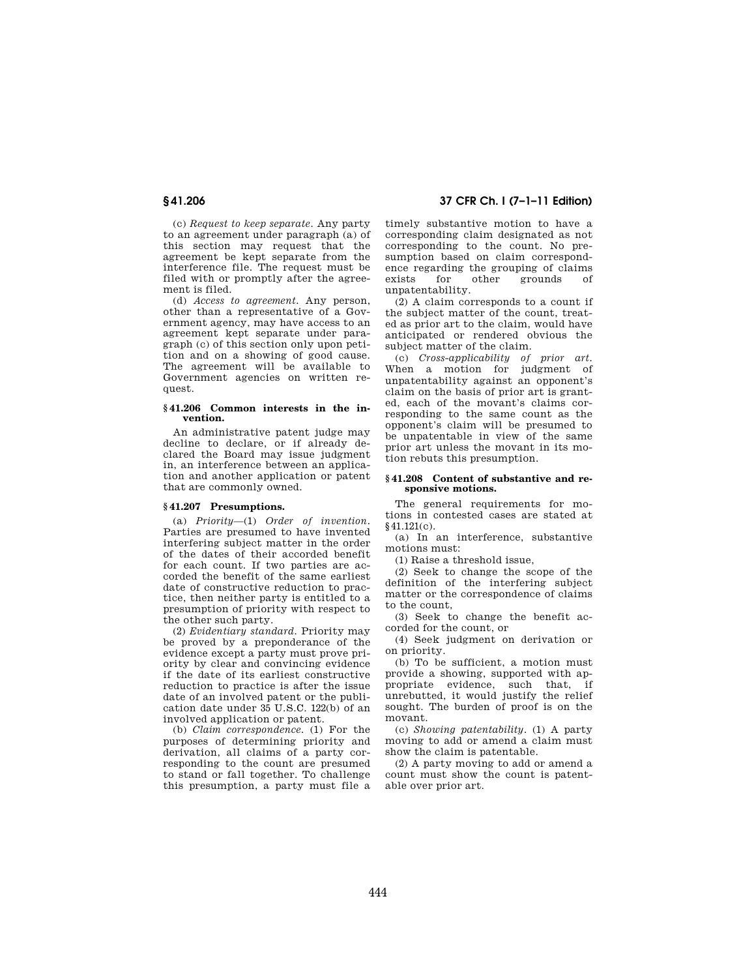(c) *Request to keep separate.* Any party to an agreement under paragraph (a) of this section may request that the agreement be kept separate from the interference file. The request must be filed with or promptly after the agreement is filed.

(d) *Access to agreement.* Any person, other than a representative of a Government agency, may have access to an agreement kept separate under paragraph (c) of this section only upon petition and on a showing of good cause. The agreement will be available to Government agencies on written request.

#### **§ 41.206 Common interests in the invention.**

An administrative patent judge may decline to declare, or if already declared the Board may issue judgment in, an interference between an application and another application or patent that are commonly owned.

#### **§ 41.207 Presumptions.**

(a) *Priority*—(1) *Order of invention.*  Parties are presumed to have invented interfering subject matter in the order of the dates of their accorded benefit for each count. If two parties are accorded the benefit of the same earliest date of constructive reduction to practice, then neither party is entitled to a presumption of priority with respect to the other such party.

(2) *Evidentiary standard.* Priority may be proved by a preponderance of the evidence except a party must prove priority by clear and convincing evidence if the date of its earliest constructive reduction to practice is after the issue date of an involved patent or the publication date under 35 U.S.C. 122(b) of an involved application or patent.

(b) *Claim correspondence.* (1) For the purposes of determining priority and derivation, all claims of a party corresponding to the count are presumed to stand or fall together. To challenge this presumption, a party must file a

## **§ 41.206 37 CFR Ch. I (7–1–11 Edition)**

timely substantive motion to have a corresponding claim designated as not corresponding to the count. No presumption based on claim correspondence regarding the grouping of claims<br>exists for other grounds of exists for other grounds unpatentability.

(2) A claim corresponds to a count if the subject matter of the count, treated as prior art to the claim, would have anticipated or rendered obvious the subject matter of the claim.

(c) *Cross-applicability of prior art.*  When a motion for judgment of unpatentability against an opponent's claim on the basis of prior art is granted, each of the movant's claims corresponding to the same count as the opponent's claim will be presumed to be unpatentable in view of the same prior art unless the movant in its motion rebuts this presumption.

#### **§ 41.208 Content of substantive and responsive motions.**

The general requirements for motions in contested cases are stated at §41.121(c).

(a) In an interference, substantive motions must:

(1) Raise a threshold issue,

(2) Seek to change the scope of the definition of the interfering subject matter or the correspondence of claims to the count,

(3) Seek to change the benefit accorded for the count, or

(4) Seek judgment on derivation or on priority.

(b) To be sufficient, a motion must provide a showing, supported with appropriate evidence, such that, if unrebutted, it would justify the relief sought. The burden of proof is on the movant.

(c) *Showing patentability.* (1) A party moving to add or amend a claim must show the claim is patentable.

(2) A party moving to add or amend a count must show the count is patentable over prior art.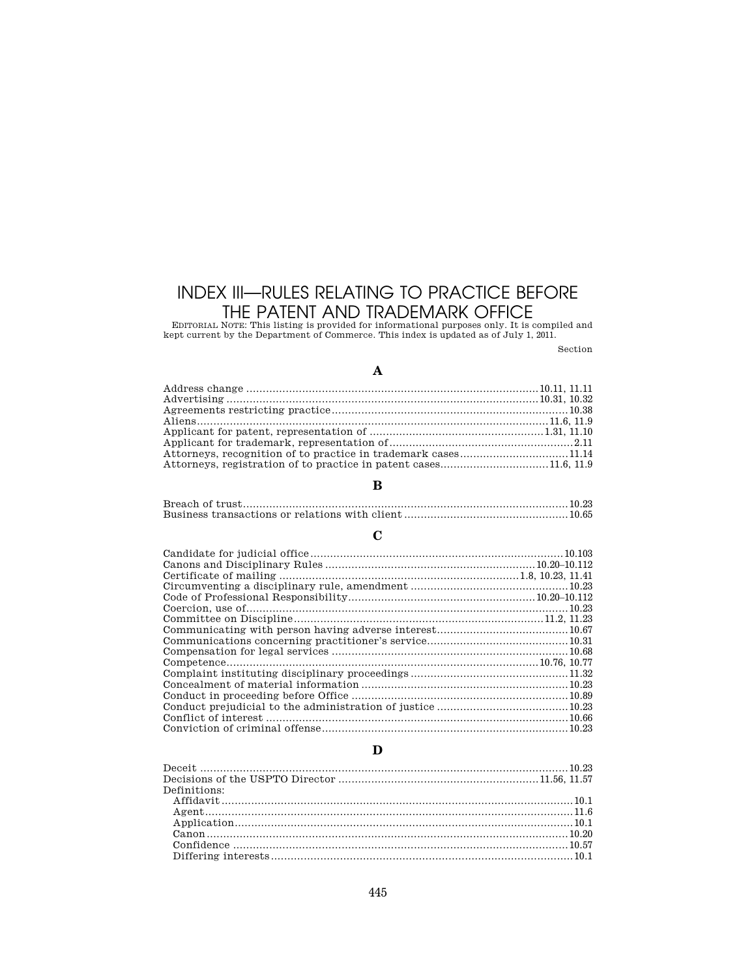# INDEX III—RULES RELATING TO PRACTICE BEFORE THE PATENT AND TRADEMARK OFFICE EDITORIAL NOTE: This listing is provided for informational purposes only. It is compiled and

kept current by the Department of Commerce. This index is updated as of July 1, 2011.

Section

# **A**

# **B**

# **C**

# **D**

| Definitions: |  |
|--------------|--|
|              |  |
|              |  |
|              |  |
|              |  |
|              |  |
|              |  |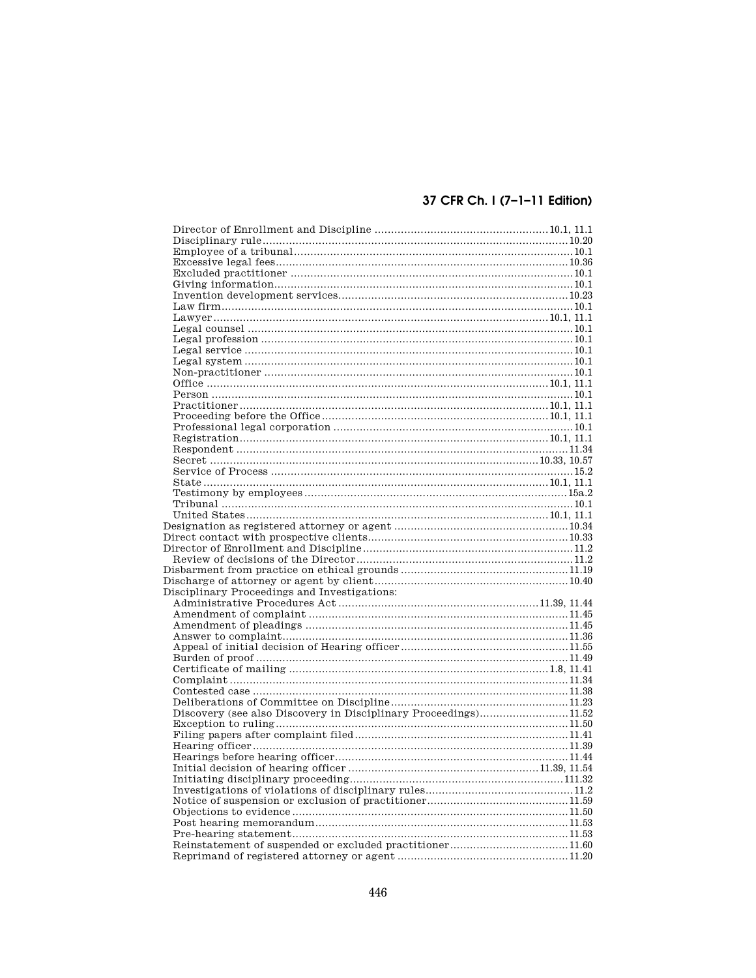# 37 CFR Ch. I (7-1-11 Edition)

| Disciplinary Proceedings and Investigations:                    |  |
|-----------------------------------------------------------------|--|
|                                                                 |  |
|                                                                 |  |
|                                                                 |  |
|                                                                 |  |
|                                                                 |  |
|                                                                 |  |
|                                                                 |  |
|                                                                 |  |
|                                                                 |  |
| Discovery (see also Discovery in Disciplinary Proceedings)11.52 |  |
|                                                                 |  |
|                                                                 |  |
|                                                                 |  |
|                                                                 |  |
|                                                                 |  |
|                                                                 |  |
|                                                                 |  |
|                                                                 |  |
|                                                                 |  |
|                                                                 |  |
|                                                                 |  |
| Reinstatement of suspended or excluded practitioner11.60        |  |
|                                                                 |  |
|                                                                 |  |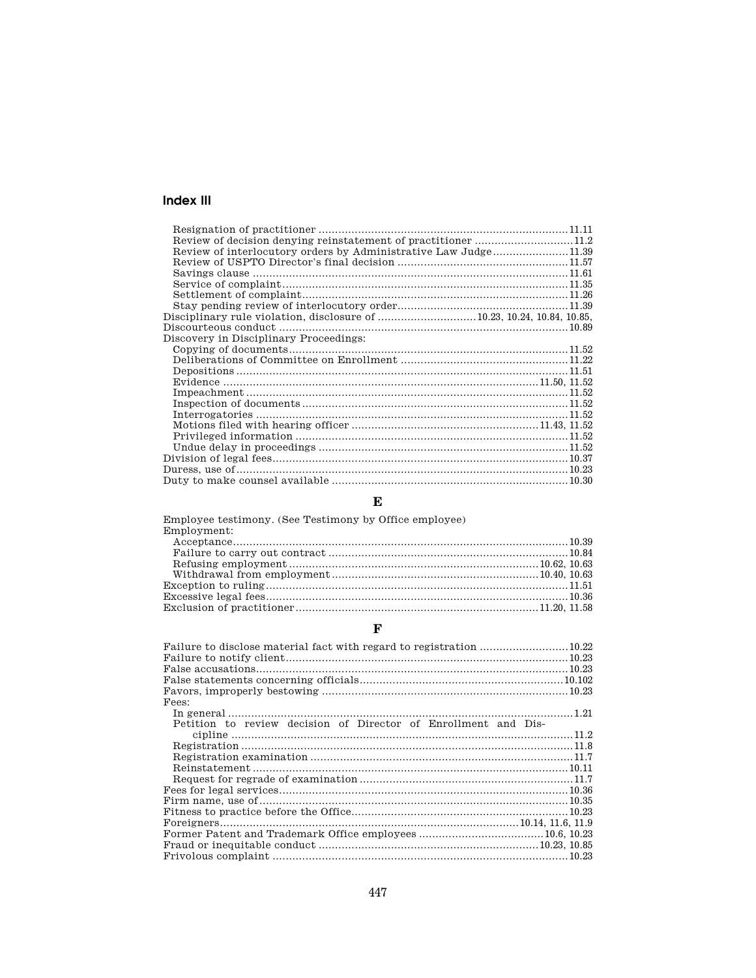# Index III

| Review of interlocutory orders by Administrative Law Judge11.39        |  |
|------------------------------------------------------------------------|--|
|                                                                        |  |
|                                                                        |  |
|                                                                        |  |
|                                                                        |  |
|                                                                        |  |
| Disciplinary rule violation, disclosure of 10.23, 10.24, 10.84, 10.85, |  |
|                                                                        |  |
| Discovery in Disciplinary Proceedings:                                 |  |
|                                                                        |  |
|                                                                        |  |
|                                                                        |  |
|                                                                        |  |
|                                                                        |  |
|                                                                        |  |
|                                                                        |  |
|                                                                        |  |
|                                                                        |  |
|                                                                        |  |
|                                                                        |  |
|                                                                        |  |
|                                                                        |  |

# $\mathbf{E}$

| Employee testimony. (See Testimony by Office employee)<br>Employment: |  |
|-----------------------------------------------------------------------|--|
|                                                                       |  |
|                                                                       |  |
|                                                                       |  |
|                                                                       |  |
|                                                                       |  |
|                                                                       |  |
|                                                                       |  |

# $\mathbf{F}$

| Fees:                                                          |
|----------------------------------------------------------------|
|                                                                |
| Petition to review decision of Director of Enrollment and Dis- |
|                                                                |
|                                                                |
|                                                                |
|                                                                |
|                                                                |
|                                                                |
|                                                                |
|                                                                |
|                                                                |
|                                                                |
|                                                                |
|                                                                |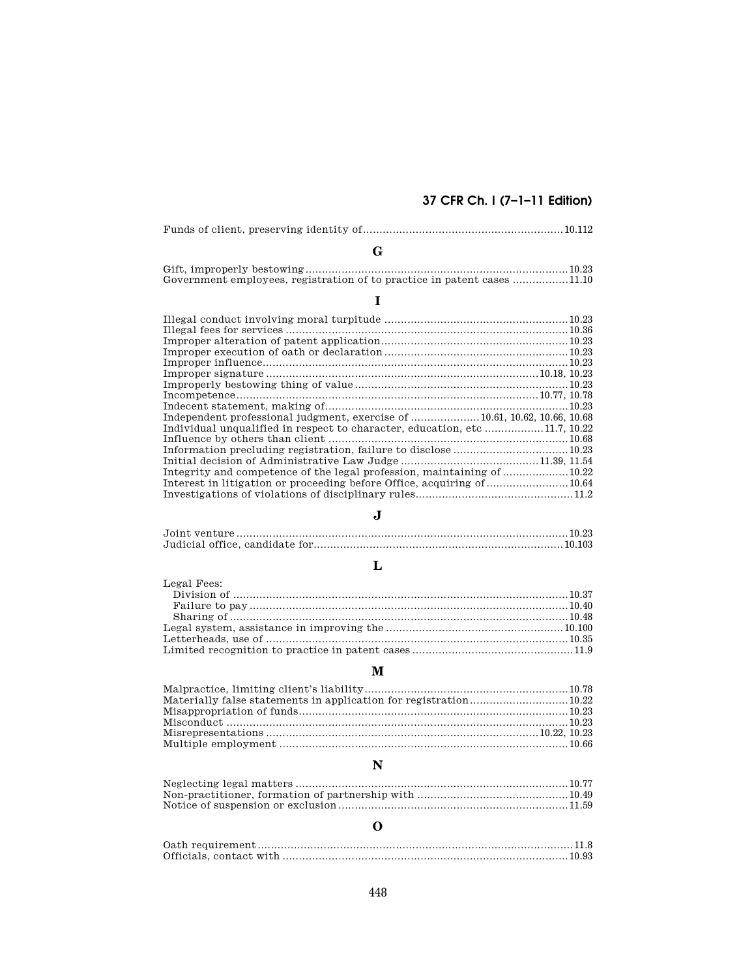# **37 CFR Ch. I (7–1–11 Edition)**

| Government employees, registration of to practice in patent cases 11.10 |  |
|-------------------------------------------------------------------------|--|
|                                                                         |  |

#### Illegal conduct involving moral turpitude ........................................................10.23 Illegal fees for services ......................................................................................10.36 Improper alteration of patent application.........................................................10.23 Improper execution of oath or declaration ........................................................10.23 Improper influence.............................................................................................10.23 Improper signature ...................................................................................10.18, 10.23 Improperly bestowing thing of value.................................................................10.23 Incompetence............................................................................................10.77, 10.78 Indecent statement, making of..........................................................................10.23 Independent professional judgment, exercise of .....................10.61, 10.62, 10.66, 10.68 Individual unqualified in respect to character, education, etc ..................11.7, 10.22 Influence by others than client .........................................................................10.68 Information precluding registration, failure to disclose ...................................10.23 Initial decision of Administrative Law Judge ..........................................11.39, 11.54 Integrity and competence of the legal profession, maintaining of ....................10.22 Interest in litigation or proceeding before Office, acquiring of.........................10.64 Investigations of violations of disciplinary rules................................................11.2

# $\mathbf{J}$

### Joint venture.....................................................................................................10.23 Judicial office, candidate for............................................................................10.103

# **L**

#### Legal Fees: Division of ......................................................................................................10.37 Failure to pay.................................................................................................10.40 Sharing of .......................................................................................................10.48 Legal system, assistance in improving the ......................................................10.100 Letterheads, use of ............................................................................................10.35 Limited recognition to practice in patent cases .................................................11.9

### **M**

# **N**

#### Neglecting legal matters ...................................................................................10.77 Non-practitioner, formation of partnership with ..............................................10.49 Notice of suspension or exclusion......................................................................11.59

# **O**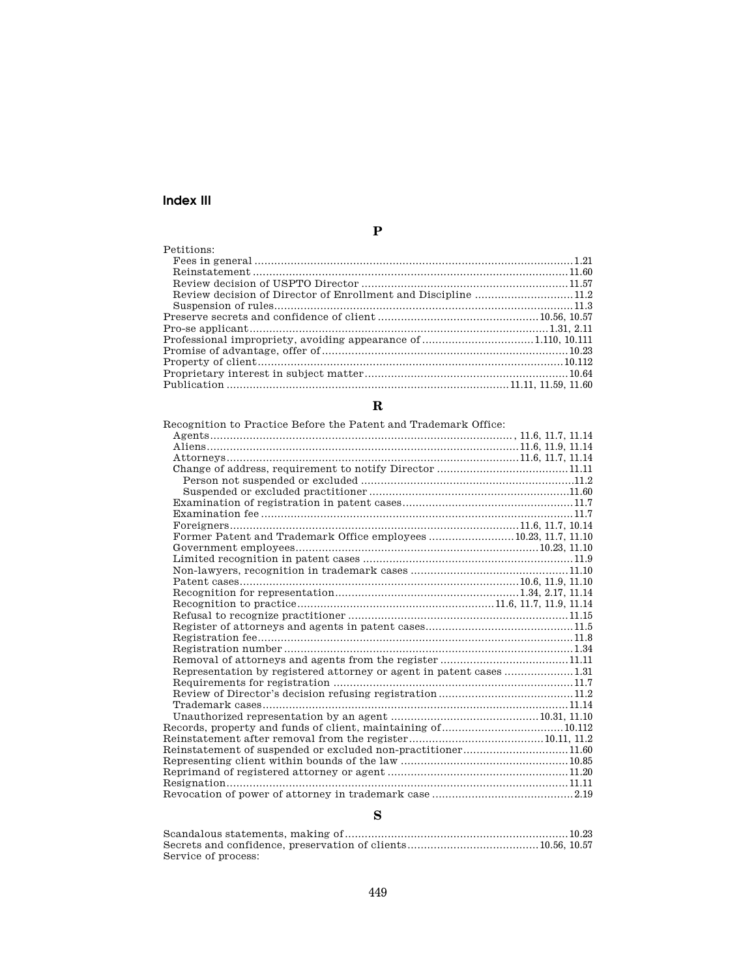# **Index III**

| ۰             |
|---------------|
| ٠             |
| ۰.<br>۰,<br>٠ |
|               |
|               |
|               |

| Petitions: |  |
|------------|--|
|            |  |
|            |  |
|            |  |
|            |  |
|            |  |
|            |  |
|            |  |
|            |  |
|            |  |
|            |  |
|            |  |
|            |  |

# **R**

| Recognition to Practice Before the Patent and Trademark Office: |  |
|-----------------------------------------------------------------|--|
|                                                                 |  |
|                                                                 |  |
|                                                                 |  |
|                                                                 |  |
|                                                                 |  |
|                                                                 |  |
|                                                                 |  |
|                                                                 |  |
|                                                                 |  |
| Former Patent and Trademark Office employees 10.23, 11.7, 11.10 |  |
|                                                                 |  |
|                                                                 |  |
|                                                                 |  |
|                                                                 |  |
|                                                                 |  |
|                                                                 |  |
|                                                                 |  |
|                                                                 |  |
|                                                                 |  |
|                                                                 |  |
|                                                                 |  |
|                                                                 |  |
|                                                                 |  |
|                                                                 |  |
|                                                                 |  |
|                                                                 |  |
|                                                                 |  |
|                                                                 |  |
| Reinstatement of suspended or excluded non-practitioner11.60    |  |
|                                                                 |  |
|                                                                 |  |
|                                                                 |  |
|                                                                 |  |

# **S**

| Service of process: |  |
|---------------------|--|